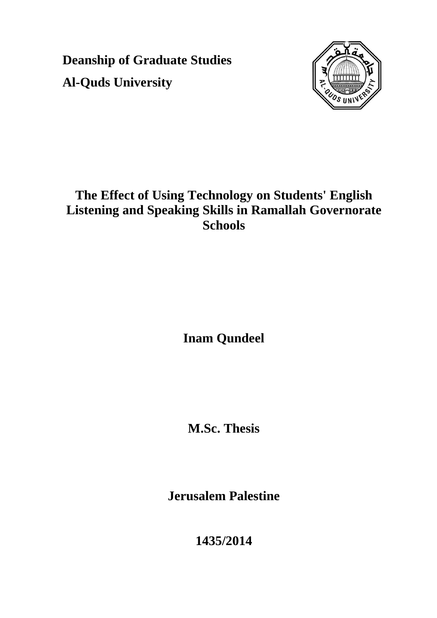**Deanship of Graduate Studies Al-Quds University** 



# **The Effect of Using Technology on Students' English Listening and Speaking Skills in Ramallah Governorate Schools**

**Inam Qundeel** 

**M.Sc. Thesis** 

**Jerusalem Palestine** 

**1435/2014**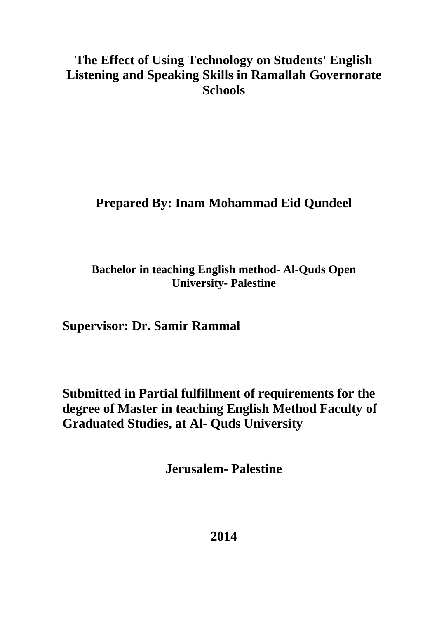# **The Effect of Using Technology on Students' English Listening and Speaking Skills in Ramallah Governorate Schools**

# **Prepared By: Inam Mohammad Eid Qundeel**

# **Bachelor in teaching English method- Al-Quds Open University- Palestine**

**Supervisor: Dr. Samir Rammal** 

**Submitted in Partial fulfillment of requirements for the degree of Master in teaching English Method Faculty of Graduated Studies, at Al- Quds University** 

**Jerusalem- Palestine** 

**2014**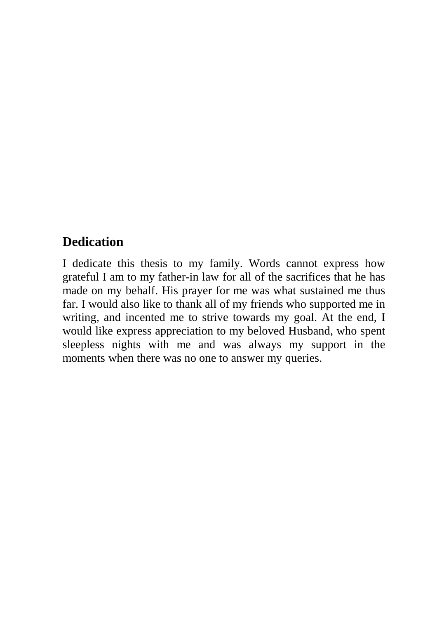# **Dedication**

I dedicate this thesis to my family. Words cannot express how grateful I am to my father-in law for all of the sacrifices that he has made on my behalf. His prayer for me was what sustained me thus far. I would also like to thank all of my friends who supported me in writing, and incented me to strive towards my goal. At the end, I would like express appreciation to my beloved Husband, who spent sleepless nights with me and was always my support in the moments when there was no one to answer my queries.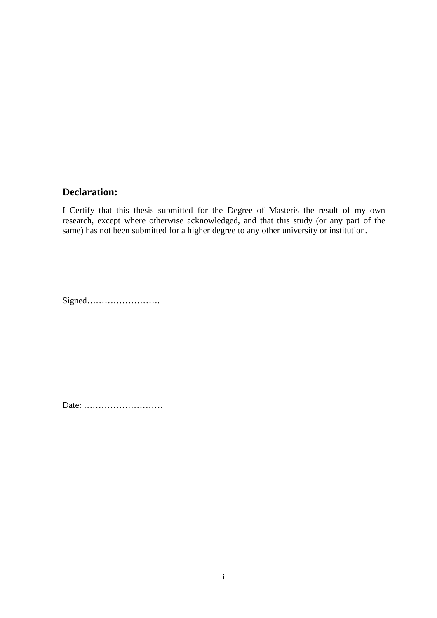## **Declaration:**

I Certify that this thesis submitted for the Degree of Masteris the result of my own research, except where otherwise acknowledged, and that this study (or any part of the same) has not been submitted for a higher degree to any other university or institution.

Signed…………………….

Date: ………………………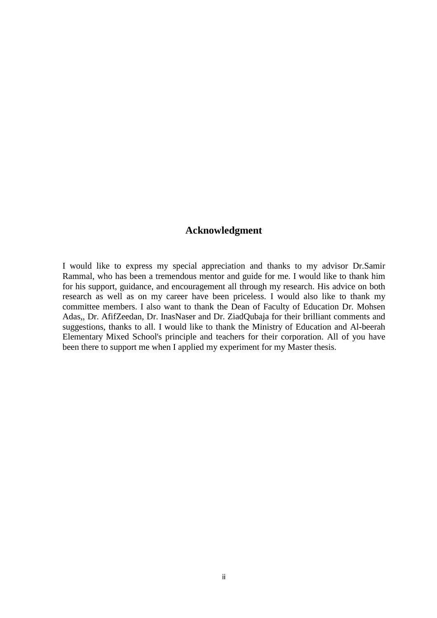#### **Acknowledgment**

I would like to express my special appreciation and thanks to my advisor Dr.Samir Rammal, who has been a tremendous mentor and guide for me. I would like to thank him for his support, guidance, and encouragement all through my research. His advice on both research as well as on my career have been priceless. I would also like to thank my committee members. I also want to thank the Dean of Faculty of Education Dr. Mohsen Adas,, Dr. AfifZeedan, Dr. InasNaser and Dr. ZiadQubaja for their brilliant comments and suggestions, thanks to all. I would like to thank the Ministry of Education and Al-beerah Elementary Mixed School's principle and teachers for their corporation. All of you have been there to support me when I applied my experiment for my Master thesis.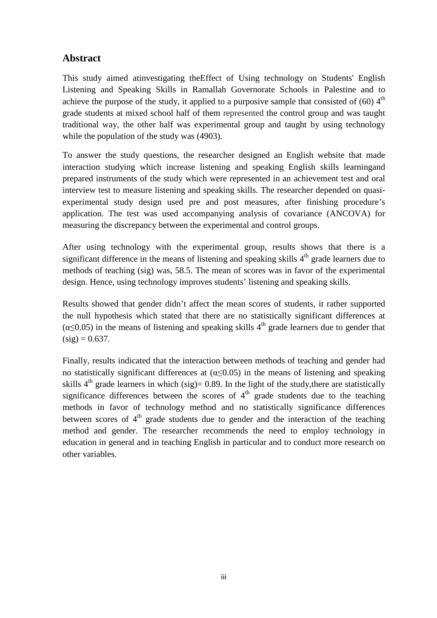# **Abstract**

This study aimed atinvestigating theEffect of Using technology on Students' English Listening and Speaking Skills in Ramallah Governorate Schools in Palestine and to achieve the purpose of the study, it applied to a purposive sample that consisted of  $(60)$  4<sup>th</sup> grade students at mixed school half of them represented the control group and was taught traditional way, the other half was experimental group and taught by using technology while the population of the study was (4903).

To answer the study questions, the researcher designed an English website that made interaction studying which increase listening and speaking English skills learningand prepared instruments of the study which were represented in an achievement test and oral interview test to measure listening and speaking skills. The researcher depended on quasiexperimental study design used pre and post measures, after finishing procedure's application. The test was used accompanying analysis of covariance (ANCOVA) for measuring the discrepancy between the experimental and control groups.

After using technology with the experimental group, results shows that there is a significant difference in the means of listening and speaking skills  $4<sup>th</sup>$  grade learners due to methods of teaching (sig) was, 58.5. The mean of scores was in favor of the experimental design. Hence, using technology improves students' listening and speaking skills.

Results showed that gender didn't affect the mean scores of students, it rather supported the null hypothesis which stated that there are no statistically significant differences at  $(\alpha \leq 0.05)$  in the means of listening and speaking skills  $4<sup>th</sup>$  grade learners due to gender that  $(sig) = 0.637$ .

Finally, results indicated that the interaction between methods of teaching and gender had no statistically significant differences at  $(\alpha \le 0.05)$  in the means of listening and speaking skills  $4<sup>th</sup>$  grade learners in which (sig)= 0.89. In the light of the study, there are statistically significance differences between the scores of  $4<sup>th</sup>$  grade students due to the teaching methods in favor of technology method and no statistically significance differences between scores of  $4<sup>th</sup>$  grade students due to gender and the interaction of the teaching method and gender. The researcher recommends the need to employ technology in education in general and in teaching English in particular and to conduct more research on other variables.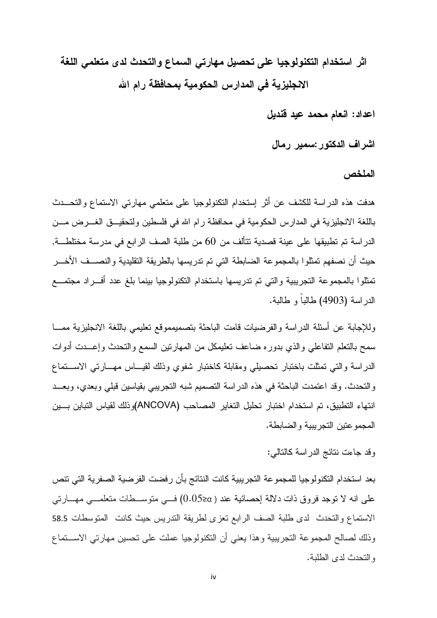# اثر استخدام التكنولوجيا على تحصيل مهارتي السماع والتحدث لدى متعلمي اللغة الانجليزية في المدارس الحكومية بمحافظة رام االله

اعداد: انعام محمد عيد قنديل

اشراف الدكتور:سمير رمال

#### الملخص

هدفت هذه الدراسة للكشف عن أثر إستخدام التكنولوجيا على متعلمي مهارتي الاستماع والتحـدث باللغة الانجليزية في المدارس الحكومية في محافظة رام االله في فلسطين ولتحقيـق الغـرض مـن الدراسة تم تطبيقها على عينة قصدية تتألف من 60 من طلبة الصف الرابع في مدرسة مختلطـة , حيث أن نصفهم تمثلوا بالمجموعة الضابطة التي تم تدريسها بالطريقة التقليدية والنصـف الأخـر تمثلوا بالمجموعة التجريبية والتي تم تدريسها باستخدام التكنولوجيا بينما بلغ عدد أفـراد مجتمـع الدراسة (4903) طالباً و طالبة .

وللإجابة عن أسئلة الدراسة والفرضيات قامت الباحثة بتصميمموقع تعليمي باللغة الانجليزية ممـا سمح بالتعلم التفاعلي والذي بدوره ضاعف تعليمكل من المهارتين السمع والتحدث وإعــدت أدوات الدراسة والتي تمثلت باختبار تحصيلي ومقابلة كاختبار شفوي وذلك لقيـاس مهـارتي الاسـتماع والتحدث. وقد اعتمدت الباحثة في هذه الدراسة التصميم شبه التجريبي بقياسين قبلي وبعدي، وبعـد انتهاء التطبيق، تم استخدام اختبار تحليل التغاير المصاحب (ANCOVA)وذلك لقياس التباين بــين المجموعتين التجريبية والضابطة .

# وقد جاءت نتائج الدراسة كالتالي :

بعد استخدام التكنولوجيا للمجموعة التجريبية كانت النتائج بأن رفضت الفرضية الصفرية التي تنص على انه لا توجد فروق ذات دلالة إحصائية عند ( α≥0.05 (فـي متوسـطات متعلمـي مهـارتي الاستماع والتحدث لدى طلبة الصف الرابع تعزى لطريقة التدريس حيث كانت المتوسطات 58.5 وذلك لصالح المجموعة التجريبية وهذا يعني أن التكنولوجيا عملت على تحسين مهارتي الاسـتماع والتحدث لدى الطلبة.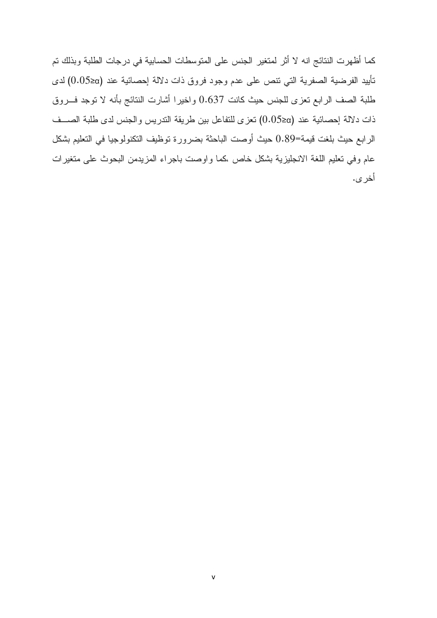كما أظهرت النتائج انه لا أثر لمتغير الجنس على المتوسطات الحسابية في درجات الطلبة وبذلك تم تأييد الفرضية الصفرية التي تنص على عدم وجود فروق ذات دلالة إحصائية عند (α≥0.05 (لدى طلبة الصف الرابع تعزى للجنس حيث كانت 0.637 واخيرا أشارت النتائج بأنه لا توجد فـروق ذات دلالة إحصائية عند (α≥0.05 (تعزى للتفاعل بين طريقة التدريس والجنس لدى طلبة الصـف الرابع حيث بلغت قيمة=0.89 حيث أوصت الباحثة بضرورة توظيف التكنولوجيا في التعليم بشكل عام وفي تعليم اللغة الانجليزية بشكل خاص ،كما واوصت باجراء المزيدمن البحوث على متغيرات أخرى .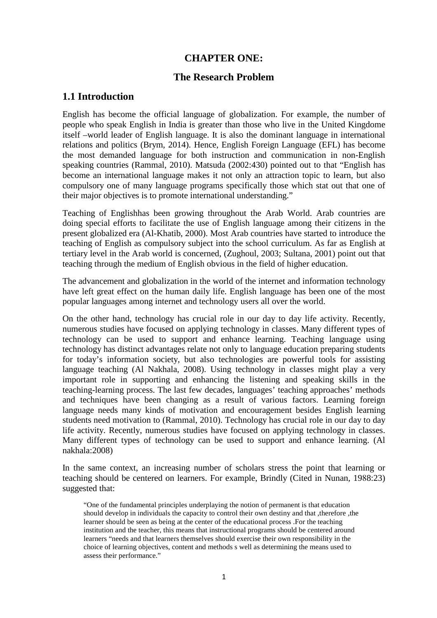#### **CHAPTER ONE:**

#### **The Research Problem**

#### **1.1 Introduction**

English has become the official language of globalization. For example, the number of people who speak English in India is greater than those who live in the United Kingdome itself –world leader of English language. It is also the dominant language in international relations and politics (Brym, 2014). Hence, English Foreign Language (EFL) has become the most demanded language for both instruction and communication in non-English speaking countries (Rammal, 2010). Matsuda (2002:430) pointed out to that "English has become an international language makes it not only an attraction topic to learn, but also compulsory one of many language programs specifically those which stat out that one of their major objectives is to promote international understanding."

Teaching of Englishhas been growing throughout the Arab World. Arab countries are doing special efforts to facilitate the use of English language among their citizens in the present globalized era (Al-Khatib, 2000). Most Arab countries have started to introduce the teaching of English as compulsory subject into the school curriculum. As far as English at tertiary level in the Arab world is concerned, (Zughoul, 2003; Sultana, 2001) point out that teaching through the medium of English obvious in the field of higher education.

The advancement and globalization in the world of the internet and information technology have left great effect on the human daily life. English language has been one of the most popular languages among internet and technology users all over the world.

On the other hand, technology has crucial role in our day to day life activity. Recently, numerous studies have focused on applying technology in classes. Many different types of technology can be used to support and enhance learning. Teaching language using technology has distinct advantages relate not only to language education preparing students for today's information society, but also technologies are powerful tools for assisting language teaching (Al Nakhala, 2008). Using technology in classes might play a very important role in supporting and enhancing the listening and speaking skills in the teaching-learning process. The last few decades, languages' teaching approaches' methods and techniques have been changing as a result of various factors. Learning foreign language needs many kinds of motivation and encouragement besides English learning students need motivation to (Rammal, 2010). Technology has crucial role in our day to day life activity. Recently, numerous studies have focused on applying technology in classes. Many different types of technology can be used to support and enhance learning. (Al nakhala:2008)

In the same context, an increasing number of scholars stress the point that learning or teaching should be centered on learners. For example, Brindly (Cited in Nunan, 1988:23) suggested that:

"One of the fundamental principles underplaying the notion of permanent is that education should develop in individuals the capacity to control their own destiny and that ,therefore ,the learner should be seen as being at the center of the educational process .For the teaching institution and the teacher, this means that instructional programs should be centered around learners "needs and that learners themselves should exercise their own responsibility in the choice of learning objectives, content and methods s well as determining the means used to assess their performance."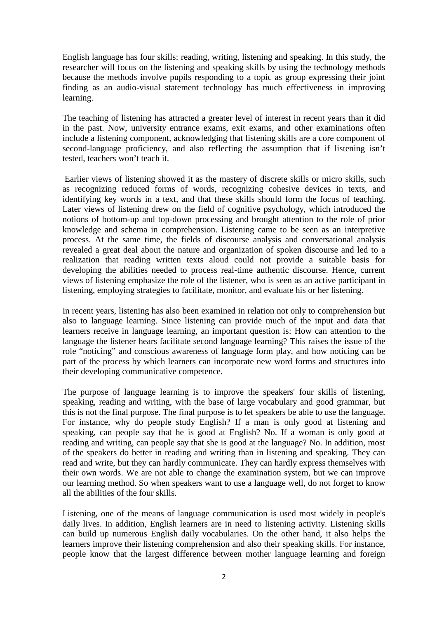English language has four skills: reading, writing, listening and speaking. In this study, the researcher will focus on the listening and speaking skills by using the technology methods because the methods involve pupils responding to a topic as group expressing their joint finding as an audio-visual statement technology has much effectiveness in improving learning.

The teaching of listening has attracted a greater level of interest in recent years than it did in the past. Now, university entrance exams, exit exams, and other examinations often include a listening component, acknowledging that listening skills are a core component of second-language proficiency, and also reflecting the assumption that if listening isn't tested, teachers won't teach it.

 Earlier views of listening showed it as the mastery of discrete skills or micro skills, such as recognizing reduced forms of words, recognizing cohesive devices in texts, and identifying key words in a text, and that these skills should form the focus of teaching. Later views of listening drew on the field of cognitive psychology, which introduced the notions of bottom-up and top-down processing and brought attention to the role of prior knowledge and schema in comprehension. Listening came to be seen as an interpretive process. At the same time, the fields of discourse analysis and conversational analysis revealed a great deal about the nature and organization of spoken discourse and led to a realization that reading written texts aloud could not provide a suitable basis for developing the abilities needed to process real-time authentic discourse. Hence, current views of listening emphasize the role of the listener, who is seen as an active participant in listening, employing strategies to facilitate, monitor, and evaluate his or her listening.

In recent years, listening has also been examined in relation not only to comprehension but also to language learning. Since listening can provide much of the input and data that learners receive in language learning, an important question is: How can attention to the language the listener hears facilitate second language learning? This raises the issue of the role "noticing" and conscious awareness of language form play, and how noticing can be part of the process by which learners can incorporate new word forms and structures into their developing communicative competence.

The purpose of language learning is to improve the speakers' four skills of listening, speaking, reading and writing, with the base of large vocabulary and good grammar, but this is not the final purpose. The final purpose is to let speakers be able to use the language. For instance, why do people study English? If a man is only good at listening and speaking, can people say that he is good at English? No. If a woman is only good at reading and writing, can people say that she is good at the language? No. In addition, most of the speakers do better in reading and writing than in listening and speaking. They can read and write, but they can hardly communicate. They can hardly express themselves with their own words. We are not able to change the examination system, but we can improve our learning method. So when speakers want to use a language well, do not forget to know all the abilities of the four skills.

Listening, one of the means of language communication is used most widely in people's daily lives. In addition, English learners are in need to listening activity. Listening skills can build up numerous English daily vocabularies. On the other hand, it also helps the learners improve their listening comprehension and also their speaking skills. For instance, people know that the largest difference between mother language learning and foreign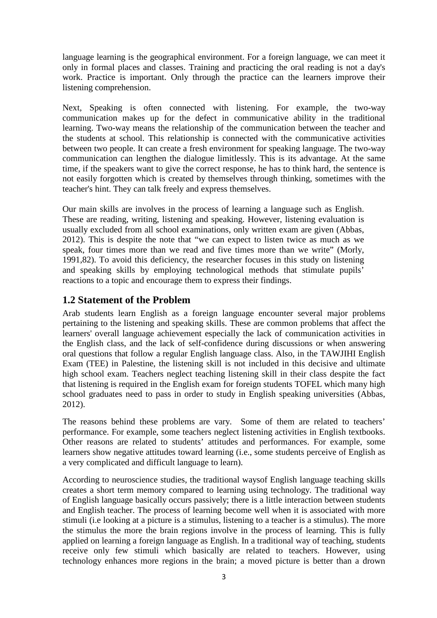language learning is the geographical environment. For a foreign language, we can meet it only in formal places and classes. Training and practicing the oral reading is not a day's work. Practice is important. Only through the practice can the learners improve their listening comprehension.

Next, Speaking is often connected with listening. For example, the two-way communication makes up for the defect in communicative ability in the traditional learning. Two-way means the relationship of the communication between the teacher and the students at school. This relationship is connected with the communicative activities between two people. It can create a fresh environment for speaking language. The two-way communication can lengthen the dialogue limitlessly. This is its advantage. At the same time, if the speakers want to give the correct response, he has to think hard, the sentence is not easily forgotten which is created by themselves through thinking, sometimes with the teacher's hint. They can talk freely and express themselves.

Our main skills are involves in the process of learning a language such as English. These are reading, writing, listening and speaking. However, listening evaluation is usually excluded from all school examinations, only written exam are given (Abbas, 2012). This is despite the note that "we can expect to listen twice as much as we speak, four times more than we read and five times more than we write" (Morly, 1991,82). To avoid this deficiency, the researcher focuses in this study on listening and speaking skills by employing technological methods that stimulate pupils' reactions to a topic and encourage them to express their findings.

## **1.2 Statement of the Problem**

Arab students learn English as a foreign language encounter several major problems pertaining to the listening and speaking skills. These are common problems that affect the learners' overall language achievement especially the lack of communication activities in the English class, and the lack of self-confidence during discussions or when answering oral questions that follow a regular English language class. Also, in the TAWJIHI English Exam (TEE) in Palestine, the listening skill is not included in this decisive and ultimate high school exam. Teachers neglect teaching listening skill in their class despite the fact that listening is required in the English exam for foreign students TOFEL which many high school graduates need to pass in order to study in English speaking universities (Abbas, 2012).

The reasons behind these problems are vary. Some of them are related to teachers' performance. For example, some teachers neglect listening activities in English textbooks. Other reasons are related to students' attitudes and performances. For example, some learners show negative attitudes toward learning (i.e., some students perceive of English as a very complicated and difficult language to learn).

According to neuroscience studies, the traditional waysof English language teaching skills creates a short term memory compared to learning using technology. The traditional way of English language basically occurs passively; there is a little interaction between students and English teacher. The process of learning become well when it is associated with more stimuli (i.e looking at a picture is a stimulus, listening to a teacher is a stimulus). The more the stimulus the more the brain regions involve in the process of learning. This is fully applied on learning a foreign language as English. In a traditional way of teaching, students receive only few stimuli which basically are related to teachers. However, using technology enhances more regions in the brain; a moved picture is better than a drown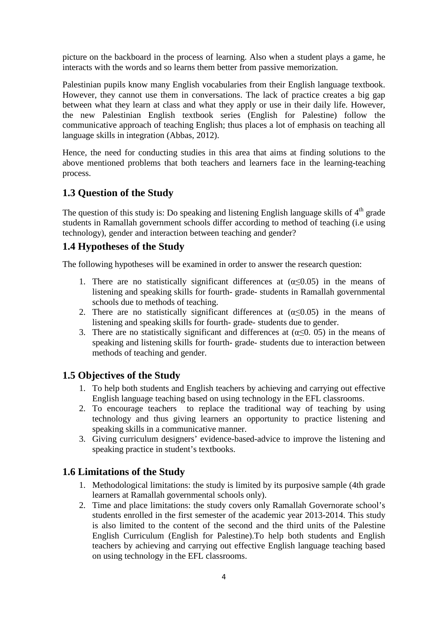picture on the backboard in the process of learning. Also when a student plays a game, he interacts with the words and so learns them better from passive memorization.

Palestinian pupils know many English vocabularies from their English language textbook. However, they cannot use them in conversations. The lack of practice creates a big gap between what they learn at class and what they apply or use in their daily life. However, the new Palestinian English textbook series (English for Palestine) follow the communicative approach of teaching English; thus places a lot of emphasis on teaching all language skills in integration (Abbas, 2012).

Hence, the need for conducting studies in this area that aims at finding solutions to the above mentioned problems that both teachers and learners face in the learning-teaching process.

# **1.3 Question of the Study**

The question of this study is: Do speaking and listening English language skills of  $4<sup>th</sup>$  grade students in Ramallah government schools differ according to method of teaching (i.e using technology), gender and interaction between teaching and gender?

# **1.4 Hypotheses of the Study**

The following hypotheses will be examined in order to answer the research question:

- 1. There are no statistically significant differences at  $(\alpha \le 0.05)$  in the means of listening and speaking skills for fourth- grade- students in Ramallah governmental schools due to methods of teaching.
- 2. There are no statistically significant differences at  $(\alpha \le 0.05)$  in the means of listening and speaking skills for fourth- grade- students due to gender.
- 3. There are no statistically significant and differences at  $(\alpha \le 0.05)$  in the means of speaking and listening skills for fourth- grade- students due to interaction between methods of teaching and gender.

# **1.5 Objectives of the Study**

- 1. To help both students and English teachers by achieving and carrying out effective English language teaching based on using technology in the EFL classrooms.
- 2. To encourage teachers to replace the traditional way of teaching by using technology and thus giving learners an opportunity to practice listening and speaking skills in a communicative manner.
- 3. Giving curriculum designers' evidence-based-advice to improve the listening and speaking practice in student's textbooks.

## **1.6 Limitations of the Study**

- 1. Methodological limitations: the study is limited by its purposive sample (4th grade learners at Ramallah governmental schools only).
- 2. Time and place limitations: the study covers only Ramallah Governorate school's students enrolled in the first semester of the academic year 2013-2014. This study is also limited to the content of the second and the third units of the Palestine English Curriculum (English for Palestine).To help both students and English teachers by achieving and carrying out effective English language teaching based on using technology in the EFL classrooms.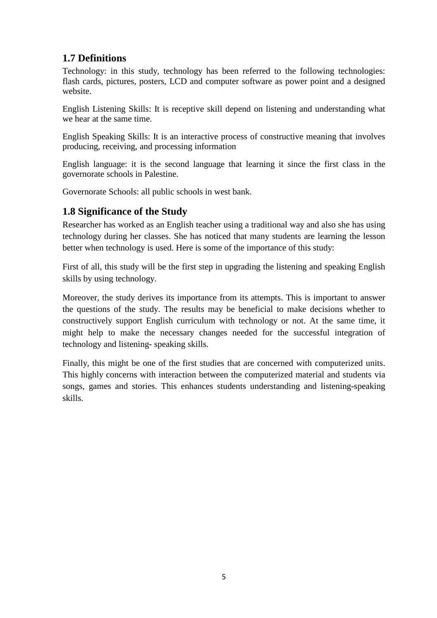# **1.7 Definitions**

Technology: in this study, technology has been referred to the following technologies: flash cards, pictures, posters, LCD and computer software as power point and a designed website.

English Listening Skills: It is receptive skill depend on listening and understanding what we hear at the same time.

English Speaking Skills: It is an interactive process of constructive meaning that involves producing, receiving, and processing information

English language: it is the second language that learning it since the first class in the governorate schools in Palestine.

Governorate Schools: all public schools in west bank.

# **1.8 Significance of the Study**

Researcher has worked as an English teacher using a traditional way and also she has using technology during her classes. She has noticed that many students are learning the lesson better when technology is used. Here is some of the importance of this study:

First of all, this study will be the first step in upgrading the listening and speaking English skills by using technology.

Moreover, the study derives its importance from its attempts. This is important to answer the questions of the study. The results may be beneficial to make decisions whether to constructively support English curriculum with technology or not. At the same time, it might help to make the necessary changes needed for the successful integration of technology and listening- speaking skills.

Finally, this might be one of the first studies that are concerned with computerized units. This highly concerns with interaction between the computerized material and students via songs, games and stories. This enhances students understanding and listening-speaking skills.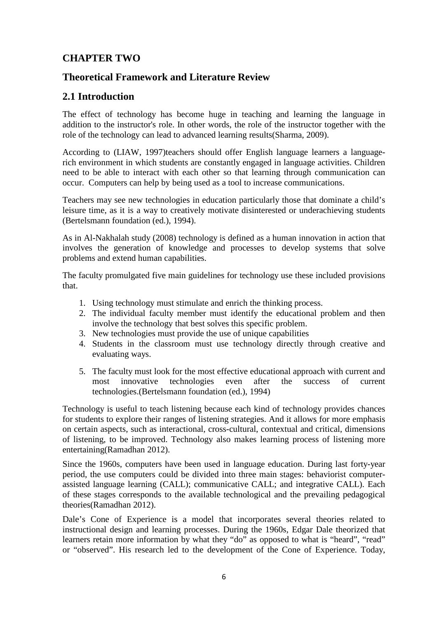# **CHAPTER TWO**

# **Theoretical Framework and Literature Review**

# **2.1 Introduction**

The effect of technology has become huge in teaching and learning the language in addition to the instructor's role. In other words, the role of the instructor together with the role of the technology can lead to advanced learning results(Sharma, 2009).

According to (LIAW, 1997)teachers should offer English language learners a languagerich environment in which students are constantly engaged in language activities. Children need to be able to interact with each other so that learning through communication can occur. Computers can help by being used as a tool to increase communications.

Teachers may see new technologies in education particularly those that dominate a child's leisure time, as it is a way to creatively motivate disinterested or underachieving students (Bertelsmann foundation (ed.), 1994).

As in Al-Nakhalah study (2008) technology is defined as a human innovation in action that involves the generation of knowledge and processes to develop systems that solve problems and extend human capabilities.

The faculty promulgated five main guidelines for technology use these included provisions that.

- 1. Using technology must stimulate and enrich the thinking process.
- 2. The individual faculty member must identify the educational problem and then involve the technology that best solves this specific problem.
- 3. New technologies must provide the use of unique capabilities
- 4. Students in the classroom must use technology directly through creative and evaluating ways.
- 5. The faculty must look for the most effective educational approach with current and most innovative technologies even after the success of current technologies.(Bertelsmann foundation (ed.), 1994)

Technology is useful to teach listening because each kind of technology provides chances for students to explore their ranges of listening strategies. And it allows for more emphasis on certain aspects, such as interactional, cross-cultural, contextual and critical, dimensions of listening, to be improved. Technology also makes learning process of listening more entertaining(Ramadhan 2012).

Since the 1960s, computers have been used in language education. During last forty-year period, the use computers could be divided into three main stages: behaviorist computerassisted language learning (CALL); communicative CALL; and integrative CALL). Each of these stages corresponds to the available technological and the prevailing pedagogical theories(Ramadhan 2012).

Dale's Cone of Experience is a model that incorporates several theories related to instructional design and learning processes. During the 1960s, Edgar Dale theorized that learners retain more information by what they "do" as opposed to what is "heard", "read" or "observed". His research led to the development of the Cone of Experience. Today,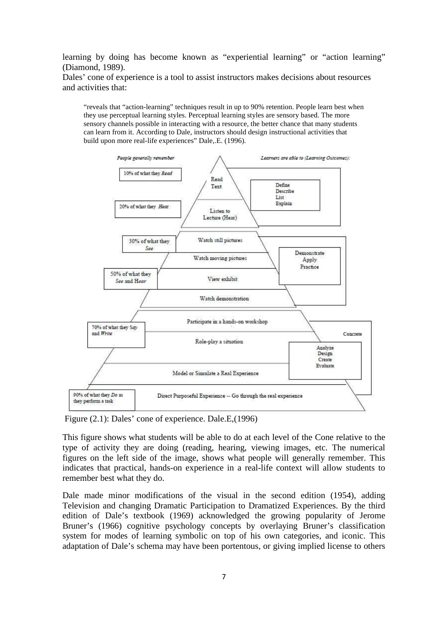learning by doing has become known as "experiential learning" or "action learning" (Diamond, 1989).

Dales' cone of experience is a tool to assist instructors makes decisions about resources and activities that:

"reveals that "action-learning" techniques result in up to 90% retention. People learn best when they use perceptual learning styles. Perceptual learning styles are sensory based. The more sensory channels possible in interacting with a resource, the better chance that many students can learn from it. According to Dale, instructors should design instructional activities that build upon more real-life experiences" Dale,.E. (1996).



Figure (2.1): Dales' cone of experience. Dale.E,(1996)

This figure shows what students will be able to do at each level of the Cone relative to the type of activity they are doing (reading, hearing, viewing images, etc. The numerical figures on the left side of the image, shows what people will generally remember. This indicates that practical, hands-on experience in a real-life context will allow students to remember best what they do.

Dale made minor modifications of the visual in the second edition (1954), adding Television and changing Dramatic Participation to Dramatized Experiences. By the third edition of Dale's textbook (1969) acknowledged the growing popularity of Jerome Bruner's (1966) cognitive psychology concepts by overlaying Bruner's classification system for modes of learning symbolic on top of his own categories, and iconic. This adaptation of Dale's schema may have been portentous, or giving implied license to others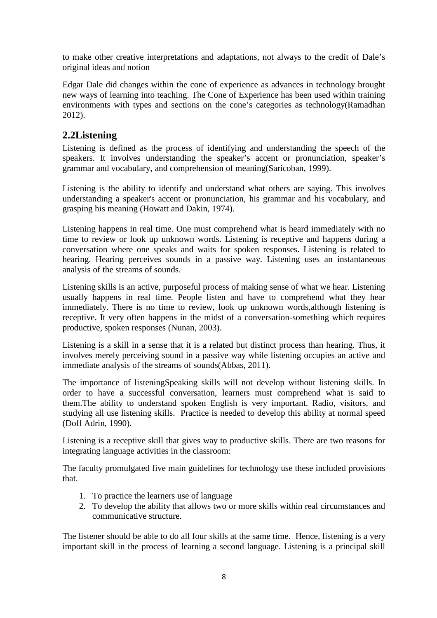to make other creative interpretations and adaptations, not always to the credit of Dale's original ideas and notion

Edgar Dale did changes within the cone of experience as advances in technology brought new ways of learning into teaching. The Cone of Experience has been used within training environments with types and sections on the cone's categories as technology(Ramadhan 2012).

# **2.2Listening**

Listening is defined as the process of identifying and understanding the speech of the speakers. It involves understanding the speaker's accent or pronunciation, speaker's grammar and vocabulary, and comprehension of meaning(Saricoban, 1999).

Listening is the ability to identify and understand what others are saying. This involves understanding a speaker's accent or pronunciation, his grammar and his vocabulary, and grasping his meaning (Howatt and Dakin, 1974).

Listening happens in real time. One must comprehend what is heard immediately with no time to review or look up unknown words. Listening is receptive and happens during a conversation where one speaks and waits for spoken responses. Listening is related to hearing. Hearing perceives sounds in a passive way. Listening uses an instantaneous analysis of the streams of sounds.

Listening skills is an active, purposeful process of making sense of what we hear. Listening usually happens in real time. People listen and have to comprehend what they hear immediately. There is no time to review, look up unknown words,although listening is receptive. It very often happens in the midst of a conversation-something which requires productive, spoken responses (Nunan, 2003).

Listening is a skill in a sense that it is a related but distinct process than hearing. Thus, it involves merely perceiving sound in a passive way while listening occupies an active and immediate analysis of the streams of sounds(Abbas, 2011).

The importance of listeningSpeaking skills will not develop without listening skills. In order to have a successful conversation, learners must comprehend what is said to them.The ability to understand spoken English is very important. Radio, visitors, and studying all use listening skills. Practice is needed to develop this ability at normal speed (Doff Adrin, 1990).

Listening is a receptive skill that gives way to productive skills. There are two reasons for integrating language activities in the classroom:

The faculty promulgated five main guidelines for technology use these included provisions that.

- 1. To practice the learners use of language
- 2. To develop the ability that allows two or more skills within real circumstances and communicative structure.

The listener should be able to do all four skills at the same time. Hence, listening is a very important skill in the process of learning a second language. Listening is a principal skill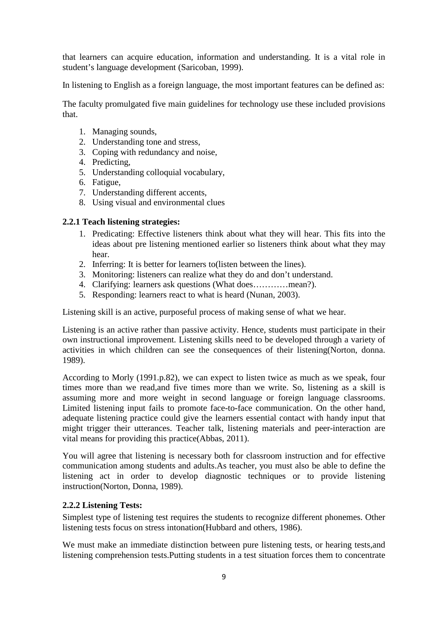that learners can acquire education, information and understanding. It is a vital role in student's language development (Saricoban, 1999).

In listening to English as a foreign language, the most important features can be defined as:

The faculty promulgated five main guidelines for technology use these included provisions that.

- 1. Managing sounds,
- 2. Understanding tone and stress,
- 3. Coping with redundancy and noise,
- 4. Predicting,
- 5. Understanding colloquial vocabulary,
- 6. Fatigue,
- 7. Understanding different accents,
- 8. Using visual and environmental clues

#### **2.2.1 Teach listening strategies:**

- 1. Predicating: Effective listeners think about what they will hear. This fits into the ideas about pre listening mentioned earlier so listeners think about what they may hear.
- 2. Inferring: It is better for learners to(listen between the lines).
- 3. Monitoring: listeners can realize what they do and don't understand.
- 4. Clarifying: learners ask questions (What does…………mean?).
- 5. Responding: learners react to what is heard (Nunan, 2003).

Listening skill is an active, purposeful process of making sense of what we hear.

Listening is an active rather than passive activity. Hence, students must participate in their own instructional improvement. Listening skills need to be developed through a variety of activities in which children can see the consequences of their listening(Norton, donna. 1989).

According to Morly (1991.p.82), we can expect to listen twice as much as we speak, four times more than we read,and five times more than we write. So, listening as a skill is assuming more and more weight in second language or foreign language classrooms. Limited listening input fails to promote face-to-face communication. On the other hand, adequate listening practice could give the learners essential contact with handy input that might trigger their utterances. Teacher talk, listening materials and peer-interaction are vital means for providing this practice(Abbas, 2011).

You will agree that listening is necessary both for classroom instruction and for effective communication among students and adults.As teacher, you must also be able to define the listening act in order to develop diagnostic techniques or to provide listening instruction(Norton, Donna, 1989).

#### **2.2.2 Listening Tests:**

Simplest type of listening test requires the students to recognize different phonemes. Other listening tests focus on stress intonation(Hubbard and others, 1986).

We must make an immediate distinction between pure listening tests, or hearing tests,and listening comprehension tests.Putting students in a test situation forces them to concentrate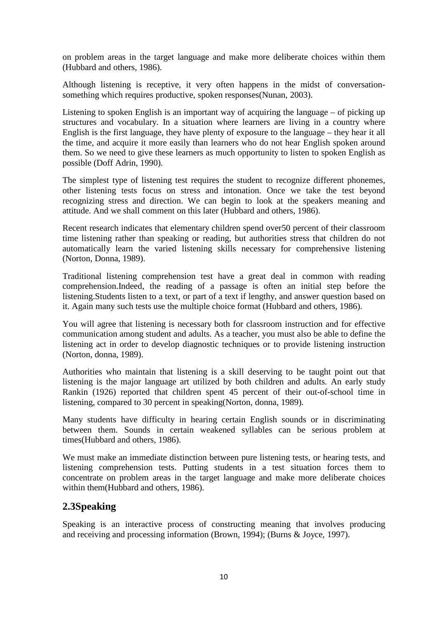on problem areas in the target language and make more deliberate choices within them (Hubbard and others, 1986).

Although listening is receptive, it very often happens in the midst of conversationsomething which requires productive, spoken responses(Nunan, 2003).

Listening to spoken English is an important way of acquiring the language – of picking up structures and vocabulary. In a situation where learners are living in a country where English is the first language, they have plenty of exposure to the language – they hear it all the time, and acquire it more easily than learners who do not hear English spoken around them. So we need to give these learners as much opportunity to listen to spoken English as possible (Doff Adrin, 1990).

The simplest type of listening test requires the student to recognize different phonemes, other listening tests focus on stress and intonation. Once we take the test beyond recognizing stress and direction. We can begin to look at the speakers meaning and attitude. And we shall comment on this later (Hubbard and others, 1986).

Recent research indicates that elementary children spend over50 percent of their classroom time listening rather than speaking or reading, but authorities stress that children do not automatically learn the varied listening skills necessary for comprehensive listening (Norton, Donna, 1989).

Traditional listening comprehension test have a great deal in common with reading comprehension.Indeed, the reading of a passage is often an initial step before the listening.Students listen to a text, or part of a text if lengthy, and answer question based on it. Again many such tests use the multiple choice format (Hubbard and others, 1986).

You will agree that listening is necessary both for classroom instruction and for effective communication among student and adults. As a teacher, you must also be able to define the listening act in order to develop diagnostic techniques or to provide listening instruction (Norton, donna, 1989).

Authorities who maintain that listening is a skill deserving to be taught point out that listening is the major language art utilized by both children and adults. An early study Rankin (1926) reported that children spent 45 percent of their out-of-school time in listening, compared to 30 percent in speaking(Norton, donna, 1989).

Many students have difficulty in hearing certain English sounds or in discriminating between them. Sounds in certain weakened syllables can be serious problem at times(Hubbard and others, 1986).

We must make an immediate distinction between pure listening tests, or hearing tests, and listening comprehension tests. Putting students in a test situation forces them to concentrate on problem areas in the target language and make more deliberate choices within them(Hubbard and others, 1986).

## **2.3Speaking**

Speaking is an interactive process of constructing meaning that involves producing and receiving and processing information (Brown, 1994); (Burns & Joyce, 1997).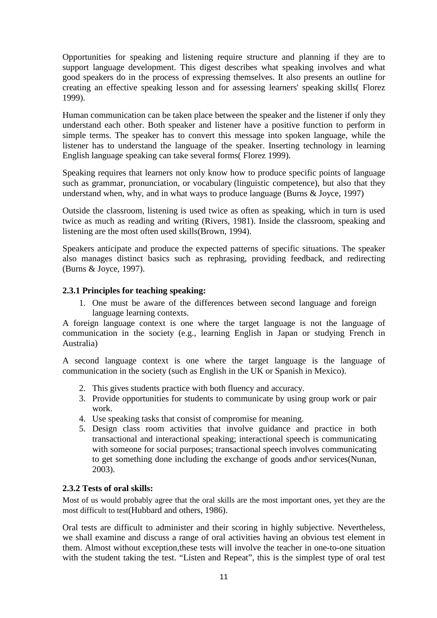Opportunities for speaking and listening require structure and planning if they are to support language development. This digest describes what speaking involves and what good speakers do in the process of expressing themselves. It also presents an outline for creating an effective speaking lesson and for assessing learners' speaking skills( Florez 1999).

Human communication can be taken place between the speaker and the listener if only they understand each other. Both speaker and listener have a positive function to perform in simple terms. The speaker has to convert this message into spoken language, while the listener has to understand the language of the speaker. Inserting technology in learning English language speaking can take several forms( Florez 1999).

Speaking requires that learners not only know how to produce specific points of language such as grammar, pronunciation, or vocabulary (linguistic competence), but also that they understand when, why, and in what ways to produce language (Burns & Joyce, 1997)

Outside the classroom, listening is used twice as often as speaking, which in turn is used twice as much as reading and writing (Rivers, 1981). Inside the classroom, speaking and listening are the most often used skills(Brown, 1994).

Speakers anticipate and produce the expected patterns of specific situations. The speaker also manages distinct basics such as rephrasing, providing feedback, and redirecting (Burns & Joyce, 1997).

#### **2.3.1 Principles for teaching speaking:**

1. One must be aware of the differences between second language and foreign language learning contexts.

A foreign language context is one where the target language is not the language of communication in the society (e.g., learning English in Japan or studying French in Australia)

A second language context is one where the target language is the language of communication in the society (such as English in the UK or Spanish in Mexico).

- 2. This gives students practice with both fluency and accuracy.
- 3. Provide opportunities for students to communicate by using group work or pair work.
- 4. Use speaking tasks that consist of compromise for meaning.
- 5. Design class room activities that involve guidance and practice in both transactional and interactional speaking; interactional speech is communicating with someone for social purposes; transactional speech involves communicating to get something done including the exchange of goods and\or services(Nunan, 2003).

#### **2.3.2 Tests of oral skills:**

Most of us would probably agree that the oral skills are the most important ones, yet they are the most difficult to test(Hubbard and others, 1986).

Oral tests are difficult to administer and their scoring in highly subjective. Nevertheless, we shall examine and discuss a range of oral activities having an obvious test element in them. Almost without exception,these tests will involve the teacher in one-to-one situation with the student taking the test. "Listen and Repeat", this is the simplest type of oral test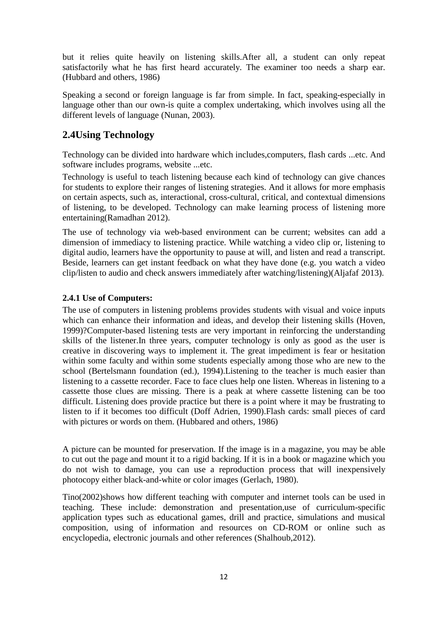but it relies quite heavily on listening skills.After all, a student can only repeat satisfactorily what he has first heard accurately. The examiner too needs a sharp ear. (Hubbard and others, 1986)

Speaking a second or foreign language is far from simple. In fact, speaking-especially in language other than our own-is quite a complex undertaking, which involves using all the different levels of language (Nunan, 2003).

# **2.4Using Technology**

Technology can be divided into hardware which includes,computers, flash cards ...etc. And software includes programs, website ...etc.

Technology is useful to teach listening because each kind of technology can give chances for students to explore their ranges of listening strategies. And it allows for more emphasis on certain aspects, such as, interactional, cross-cultural, critical, and contextual dimensions of listening, to be developed. Technology can make learning process of listening more entertaining(Ramadhan 2012).

The use of technology via web-based environment can be current; websites can add a dimension of immediacy to listening practice. While watching a video clip or, listening to digital audio, learners have the opportunity to pause at will, and listen and read a transcript. Beside, learners can get instant feedback on what they have done (e.g. you watch a video clip/listen to audio and check answers immediately after watching/listening)(Aljafaf 2013).

#### **2.4.1 Use of Computers:**

The use of computers in listening problems provides students with visual and voice inputs which can enhance their information and ideas, and develop their listening skills (Hoven, 1999)?Computer-based listening tests are very important in reinforcing the understanding skills of the listener.In three years, computer technology is only as good as the user is creative in discovering ways to implement it. The great impediment is fear or hesitation within some faculty and within some students especially among those who are new to the school (Bertelsmann foundation (ed.), 1994).Listening to the teacher is much easier than listening to a cassette recorder. Face to face clues help one listen. Whereas in listening to a cassette those clues are missing. There is a peak at where cassette listening can be too difficult. Listening does provide practice but there is a point where it may be frustrating to listen to if it becomes too difficult (Doff Adrien, 1990).Flash cards: small pieces of card with pictures or words on them. (Hubbared and others, 1986)

A picture can be mounted for preservation. If the image is in a magazine, you may be able to cut out the page and mount it to a rigid backing. If it is in a book or magazine which you do not wish to damage, you can use a reproduction process that will inexpensively photocopy either black-and-white or color images (Gerlach, 1980).

Tino(2002)shows how different teaching with computer and internet tools can be used in teaching. These include: demonstration and presentation,use of curriculum-specific application types such as educational games, drill and practice, simulations and musical composition, using of information and resources on CD-ROM or online such as encyclopedia, electronic journals and other references (Shalhoub,2012).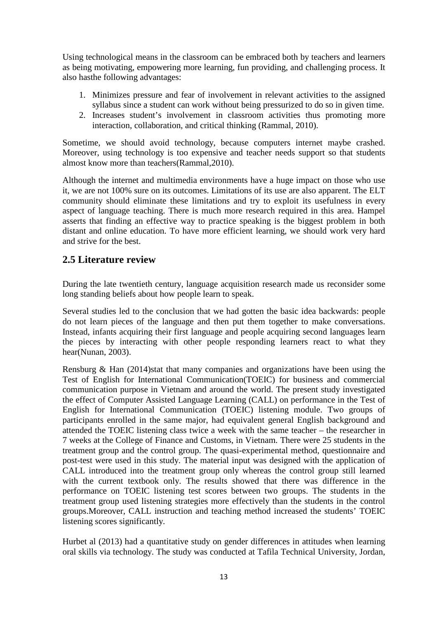Using technological means in the classroom can be embraced both by teachers and learners as being motivating, empowering more learning, fun providing, and challenging process. It also hasthe following advantages:

- 1. Minimizes pressure and fear of involvement in relevant activities to the assigned syllabus since a student can work without being pressurized to do so in given time.
- 2. Increases student's involvement in classroom activities thus promoting more interaction, collaboration, and critical thinking (Rammal, 2010).

Sometime, we should avoid technology, because computers internet maybe crashed. Moreover, using technology is too expensive and teacher needs support so that students almost know more than teachers(Rammal,2010).

Although the internet and multimedia environments have a huge impact on those who use it, we are not 100% sure on its outcomes. Limitations of its use are also apparent. The ELT community should eliminate these limitations and try to exploit its usefulness in every aspect of language teaching. There is much more research required in this area. Hampel asserts that finding an effective way to practice speaking is the biggest problem in both distant and online education. To have more efficient learning, we should work very hard and strive for the best.

## **2.5 Literature review**

During the late twentieth century, language acquisition research made us reconsider some long standing beliefs about how people learn to speak.

Several studies led to the conclusion that we had gotten the basic idea backwards: people do not learn pieces of the language and then put them together to make conversations. Instead, infants acquiring their first language and people acquiring second languages learn the pieces by interacting with other people responding learners react to what they hear(Nunan, 2003).

Rensburg & Han (2014)stat that many companies and organizations have been using the Test of English for International Communication(TOEIC) for business and commercial communication purpose in Vietnam and around the world. The present study investigated the effect of Computer Assisted Language Learning (CALL) on performance in the Test of English for International Communication (TOEIC) listening module. Two groups of participants enrolled in the same major, had equivalent general English background and attended the TOEIC listening class twice a week with the same teacher – the researcher in 7 weeks at the College of Finance and Customs, in Vietnam. There were 25 students in the treatment group and the control group. The quasi-experimental method, questionnaire and post-test were used in this study. The material input was designed with the application of CALL introduced into the treatment group only whereas the control group still learned with the current textbook only. The results showed that there was difference in the performance on TOEIC listening test scores between two groups. The students in the treatment group used listening strategies more effectively than the students in the control groups.Moreover, CALL instruction and teaching method increased the students' TOEIC listening scores significantly.

Hurbet al (2013) had a quantitative study on gender differences in attitudes when learning oral skills via technology. The study was conducted at Tafila Technical University, Jordan,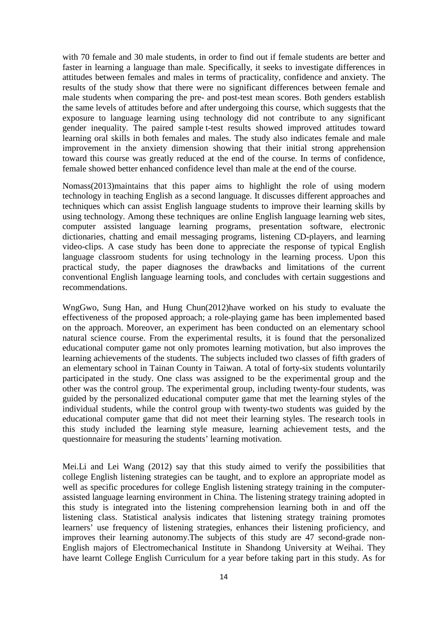with 70 female and 30 male students, in order to find out if female students are better and faster in learning a language than male. Specifically, it seeks to investigate differences in attitudes between females and males in terms of practicality, confidence and anxiety. The results of the study show that there were no significant differences between female and male students when comparing the pre- and post-test mean scores. Both genders establish the same levels of attitudes before and after undergoing this course, which suggests that the exposure to language learning using technology did not contribute to any significant gender inequality. The paired sample t-test results showed improved attitudes toward learning oral skills in both females and males. The study also indicates female and male improvement in the anxiety dimension showing that their initial strong apprehension toward this course was greatly reduced at the end of the course. In terms of confidence, female showed better enhanced confidence level than male at the end of the course.

Nomass(2013)maintains that this paper aims to highlight the role of using modern technology in teaching English as a second language. It discusses different approaches and techniques which can assist English language students to improve their learning skills by using technology. Among these techniques are online English language learning web sites, computer assisted language learning programs, presentation software, electronic dictionaries, chatting and email messaging programs, listening CD-players, and learning video-clips. A case study has been done to appreciate the response of typical English language classroom students for using technology in the learning process. Upon this practical study, the paper diagnoses the drawbacks and limitations of the current conventional English language learning tools, and concludes with certain suggestions and recommendations.

WngGwo, Sung Han, and Hung Chun(2012)have worked on his study to evaluate the effectiveness of the proposed approach; a role-playing game has been implemented based on the approach. Moreover, an experiment has been conducted on an elementary school natural science course. From the experimental results, it is found that the personalized educational computer game not only promotes learning motivation, but also improves the learning achievements of the students. The subjects included two classes of fifth graders of an elementary school in Tainan County in Taiwan. A total of forty-six students voluntarily participated in the study. One class was assigned to be the experimental group and the other was the control group. The experimental group, including twenty-four students, was guided by the personalized educational computer game that met the learning styles of the individual students, while the control group with twenty-two students was guided by the educational computer game that did not meet their learning styles. The research tools in this study included the learning style measure, learning achievement tests, and the questionnaire for measuring the students' learning motivation.

Mei.Li and Lei Wang (2012) say that this study aimed to verify the possibilities that college English listening strategies can be taught, and to explore an appropriate model as well as specific procedures for college English listening strategy training in the computerassisted language learning environment in China. The listening strategy training adopted in this study is integrated into the listening comprehension learning both in and off the listening class. Statistical analysis indicates that listening strategy training promotes learners' use frequency of listening strategies, enhances their listening proficiency, and improves their learning autonomy.The subjects of this study are 47 second-grade non-English majors of Electromechanical Institute in Shandong University at Weihai. They have learnt College English Curriculum for a year before taking part in this study. As for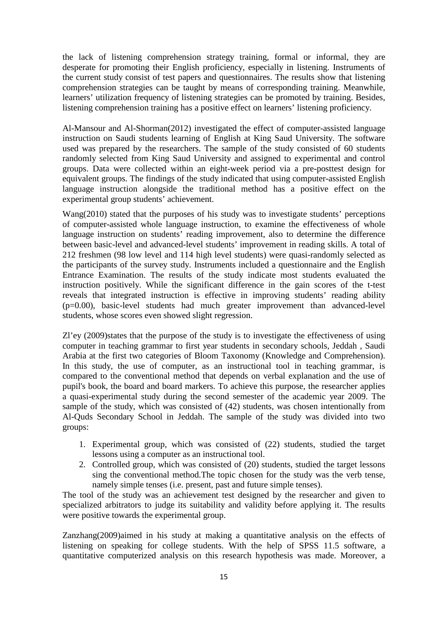the lack of listening comprehension strategy training, formal or informal, they are desperate for promoting their English proficiency, especially in listening. Instruments of the current study consist of test papers and questionnaires. The results show that listening comprehension strategies can be taught by means of corresponding training. Meanwhile, learners' utilization frequency of listening strategies can be promoted by training. Besides, listening comprehension training has a positive effect on learners' listening proficiency.

Al-Mansour and Al-Shorman(2012) investigated the effect of computer-assisted language instruction on Saudi students learning of English at King Saud University. The software used was prepared by the researchers. The sample of the study consisted of 60 students randomly selected from King Saud University and assigned to experimental and control groups. Data were collected within an eight-week period via a pre-posttest design for equivalent groups. The findings of the study indicated that using computer-assisted English language instruction alongside the traditional method has a positive effect on the experimental group students' achievement.

Wang(2010) stated that the purposes of his study was to investigate students' perceptions of computer-assisted whole language instruction, to examine the effectiveness of whole language instruction on students' reading improvement, also to determine the difference between basic-level and advanced-level students' improvement in reading skills. A total of 212 freshmen (98 low level and 114 high level students) were quasi-randomly selected as the participants of the survey study. Instruments included a questionnaire and the English Entrance Examination. The results of the study indicate most students evaluated the instruction positively. While the significant difference in the gain scores of the t-test reveals that integrated instruction is effective in improving students' reading ability (p=0.00), basic-level students had much greater improvement than advanced-level students, whose scores even showed slight regression.

Zl'ey (2009)states that the purpose of the study is to investigate the effectiveness of using computer in teaching grammar to first year students in secondary schools, Jeddah , Saudi Arabia at the first two categories of Bloom Taxonomy (Knowledge and Comprehension). In this study, the use of computer, as an instructional tool in teaching grammar, is compared to the conventional method that depends on verbal explanation and the use of pupil's book, the board and board markers. To achieve this purpose, the researcher applies a quasi-experimental study during the second semester of the academic year 2009. The sample of the study, which was consisted of (42) students, was chosen intentionally from Al-Quds Secondary School in Jeddah. The sample of the study was divided into two groups:

- 1. Experimental group, which was consisted of (22) students, studied the target lessons using a computer as an instructional tool.
- 2. Controlled group, which was consisted of (20) students, studied the target lessons sing the conventional method.The topic chosen for the study was the verb tense, namely simple tenses (i.e. present, past and future simple tenses).

The tool of the study was an achievement test designed by the researcher and given to specialized arbitrators to judge its suitability and validity before applying it. The results were positive towards the experimental group.

Zanzhang(2009)aimed in his study at making a quantitative analysis on the effects of listening on speaking for college students. With the help of SPSS 11.5 software, a quantitative computerized analysis on this research hypothesis was made. Moreover, a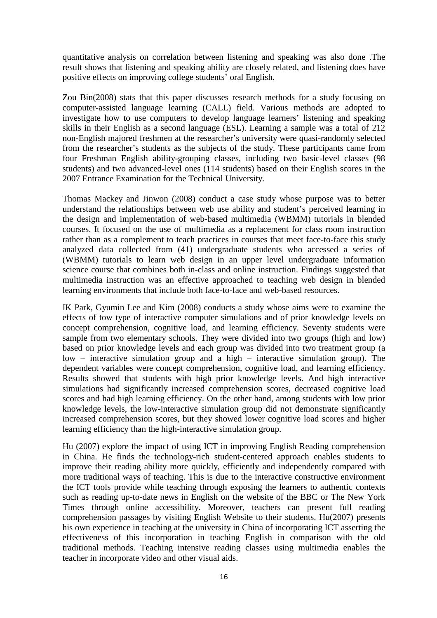quantitative analysis on correlation between listening and speaking was also done .The result shows that listening and speaking ability are closely related, and listening does have positive effects on improving college students' oral English.

Zou Bin(2008) stats that this paper discusses research methods for a study focusing on computer-assisted language learning (CALL) field. Various methods are adopted to investigate how to use computers to develop language learners' listening and speaking skills in their English as a second language (ESL). Learning a sample was a total of 212 non-English majored freshmen at the researcher's university were quasi-randomly selected from the researcher's students as the subjects of the study. These participants came from four Freshman English ability-grouping classes, including two basic-level classes (98 students) and two advanced-level ones (114 students) based on their English scores in the 2007 Entrance Examination for the Technical University.

Thomas Mackey and Jinwon (2008) conduct a case study whose purpose was to better understand the relationships between web use ability and student's perceived learning in the design and implementation of web-based multimedia (WBMM) tutorials in blended courses. It focused on the use of multimedia as a replacement for class room instruction rather than as a complement to teach practices in courses that meet face-to-face this study analyzed data collected from (41) undergraduate students who accessed a series of (WBMM) tutorials to learn web design in an upper level undergraduate information science course that combines both in-class and online instruction. Findings suggested that multimedia instruction was an effective approached to teaching web design in blended learning environments that include both face-to-face and web-based resources.

IK Park, Gyumin Lee and Kim (2008) conducts a study whose aims were to examine the effects of tow type of interactive computer simulations and of prior knowledge levels on concept comprehension, cognitive load, and learning efficiency. Seventy students were sample from two elementary schools. They were divided into two groups (high and low) based on prior knowledge levels and each group was divided into two treatment group (a low – interactive simulation group and a high – interactive simulation group). The dependent variables were concept comprehension, cognitive load, and learning efficiency. Results showed that students with high prior knowledge levels. And high interactive simulations had significantly increased comprehension scores, decreased cognitive load scores and had high learning efficiency. On the other hand, among students with low prior knowledge levels, the low-interactive simulation group did not demonstrate significantly increased comprehension scores, but they showed lower cognitive load scores and higher learning efficiency than the high-interactive simulation group.

Hu (2007) explore the impact of using ICT in improving English Reading comprehension in China. He finds the technology-rich student-centered approach enables students to improve their reading ability more quickly, efficiently and independently compared with more traditional ways of teaching. This is due to the interactive constructive environment the ICT tools provide while teaching through exposing the learners to authentic contexts such as reading up-to-date news in English on the website of the BBC or The New York Times through online accessibility. Moreover, teachers can present full reading comprehension passages by visiting English Website to their students. Hu(2007) presents his own experience in teaching at the university in China of incorporating ICT asserting the effectiveness of this incorporation in teaching English in comparison with the old traditional methods. Teaching intensive reading classes using multimedia enables the teacher in incorporate video and other visual aids.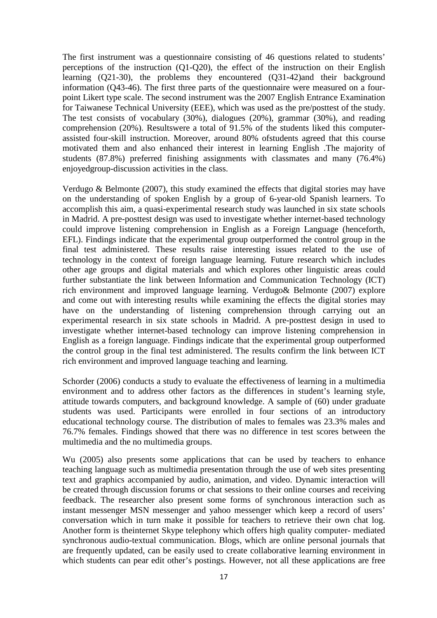The first instrument was a questionnaire consisting of 46 questions related to students' perceptions of the instruction (Q1-Q20), the effect of the instruction on their English learning (Q21-30), the problems they encountered (Q31-42)and their background information (Q43-46). The first three parts of the questionnaire were measured on a fourpoint Likert type scale. The second instrument was the 2007 English Entrance Examination for Taiwanese Technical University (EEE), which was used as the pre/posttest of the study. The test consists of vocabulary (30%), dialogues (20%), grammar (30%), and reading comprehension (20%). Resultswere a total of 91.5% of the students liked this computerassisted four-skill instruction. Moreover, around 80% ofstudents agreed that this course motivated them and also enhanced their interest in learning English .The majority of students (87.8%) preferred finishing assignments with classmates and many (76.4%) enjoyedgroup-discussion activities in the class.

Verdugo & Belmonte (2007), this study examined the effects that digital stories may have on the understanding of spoken English by a group of 6-year-old Spanish learners. To accomplish this aim, a quasi-experimental research study was launched in six state schools in Madrid. A pre-posttest design was used to investigate whether internet-based technology could improve listening comprehension in English as a Foreign Language (henceforth, EFL). Findings indicate that the experimental group outperformed the control group in the final test administered. These results raise interesting issues related to the use of technology in the context of foreign language learning. Future research which includes other age groups and digital materials and which explores other linguistic areas could further substantiate the link between Information and Communication Technology (ICT) rich environment and improved language learning. Verdugo& Belmonte (2007) explore and come out with interesting results while examining the effects the digital stories may have on the understanding of listening comprehension through carrying out an experimental research in six state schools in Madrid. A pre-posttest design in used to investigate whether internet-based technology can improve listening comprehension in English as a foreign language. Findings indicate that the experimental group outperformed the control group in the final test administered. The results confirm the link between ICT rich environment and improved language teaching and learning.

Schorder (2006) conducts a study to evaluate the effectiveness of learning in a multimedia environment and to address other factors as the differences in student's learning style, attitude towards computers, and background knowledge. A sample of (60) under graduate students was used. Participants were enrolled in four sections of an introductory educational technology course. The distribution of males to females was 23.3% males and 76.7% females. Findings showed that there was no difference in test scores between the multimedia and the no multimedia groups.

Wu (2005) also presents some applications that can be used by teachers to enhance teaching language such as multimedia presentation through the use of web sites presenting text and graphics accompanied by audio, animation, and video. Dynamic interaction will be created through discussion forums or chat sessions to their online courses and receiving feedback. The researcher also present some forms of synchronous interaction such as instant messenger MSN messenger and yahoo messenger which keep a record of users' conversation which in turn make it possible for teachers to retrieve their own chat log. Another form is theinternet Skype telephony which offers high quality computer- mediated synchronous audio-textual communication. Blogs, which are online personal journals that are frequently updated, can be easily used to create collaborative learning environment in which students can pear edit other's postings. However, not all these applications are free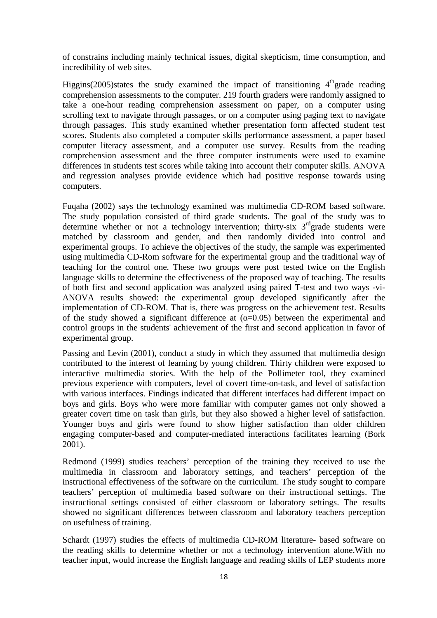of constrains including mainly technical issues, digital skepticism, time consumption, and incredibility of web sites.

Higgins(2005)states the study examined the impact of transitioning  $4<sup>th</sup>$  grade reading comprehension assessments to the computer. 219 fourth graders were randomly assigned to take a one-hour reading comprehension assessment on paper, on a computer using scrolling text to navigate through passages, or on a computer using paging text to navigate through passages. This study examined whether presentation form affected student test scores. Students also completed a computer skills performance assessment, a paper based computer literacy assessment, and a computer use survey. Results from the reading comprehension assessment and the three computer instruments were used to examine differences in students test scores while taking into account their computer skills. ANOVA and regression analyses provide evidence which had positive response towards using computers.

Fuqaha (2002) says the technology examined was multimedia CD-ROM based software. The study population consisted of third grade students. The goal of the study was to determine whether or not a technology intervention; thirty-six  $3<sup>rd</sup>$  grade students were matched by classroom and gender, and then randomly divided into control and experimental groups. To achieve the objectives of the study, the sample was experimented using multimedia CD-Rom software for the experimental group and the traditional way of teaching for the control one. These two groups were post tested twice on the English language skills to determine the effectiveness of the proposed way of teaching. The results of both first and second application was analyzed using paired T-test and two ways -vi-ANOVA results showed: the experimental group developed significantly after the implementation of CD-ROM. That is, there was progress on the achievement test. Results of the study showed a significant difference at  $(\alpha=0.05)$  between the experimental and control groups in the students' achievement of the first and second application in favor of experimental group.

Passing and Levin (2001), conduct a study in which they assumed that multimedia design contributed to the interest of learning by young children. Thirty children were exposed to interactive multimedia stories. With the help of the Pollimeter tool, they examined previous experience with computers, level of covert time-on-task, and level of satisfaction with various interfaces. Findings indicated that different interfaces had different impact on boys and girls. Boys who were more familiar with computer games not only showed a greater covert time on task than girls, but they also showed a higher level of satisfaction. Younger boys and girls were found to show higher satisfaction than older children engaging computer-based and computer-mediated interactions facilitates learning (Bork 2001).

Redmond (1999) studies teachers' perception of the training they received to use the multimedia in classroom and laboratory settings, and teachers' perception of the instructional effectiveness of the software on the curriculum. The study sought to compare teachers' perception of multimedia based software on their instructional settings. The instructional settings consisted of either classroom or laboratory settings. The results showed no significant differences between classroom and laboratory teachers perception on usefulness of training.

Schardt (1997) studies the effects of multimedia CD-ROM literature- based software on the reading skills to determine whether or not a technology intervention alone.With no teacher input, would increase the English language and reading skills of LEP students more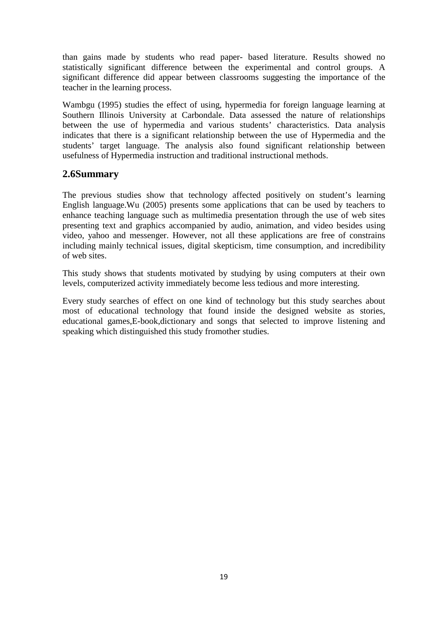than gains made by students who read paper- based literature. Results showed no statistically significant difference between the experimental and control groups. A significant difference did appear between classrooms suggesting the importance of the teacher in the learning process.

Wambgu (1995) studies the effect of using, hypermedia for foreign language learning at Southern Illinois University at Carbondale. Data assessed the nature of relationships between the use of hypermedia and various students' characteristics. Data analysis indicates that there is a significant relationship between the use of Hypermedia and the students' target language. The analysis also found significant relationship between usefulness of Hypermedia instruction and traditional instructional methods.

## **2.6Summary**

The previous studies show that technology affected positively on student's learning English language.Wu (2005) presents some applications that can be used by teachers to enhance teaching language such as multimedia presentation through the use of web sites presenting text and graphics accompanied by audio, animation, and video besides using video, yahoo and messenger. However, not all these applications are free of constrains including mainly technical issues, digital skepticism, time consumption, and incredibility of web sites.

This study shows that students motivated by studying by using computers at their own levels, computerized activity immediately become less tedious and more interesting.

Every study searches of effect on one kind of technology but this study searches about most of educational technology that found inside the designed website as stories, educational games,E-book,dictionary and songs that selected to improve listening and speaking which distinguished this study fromother studies.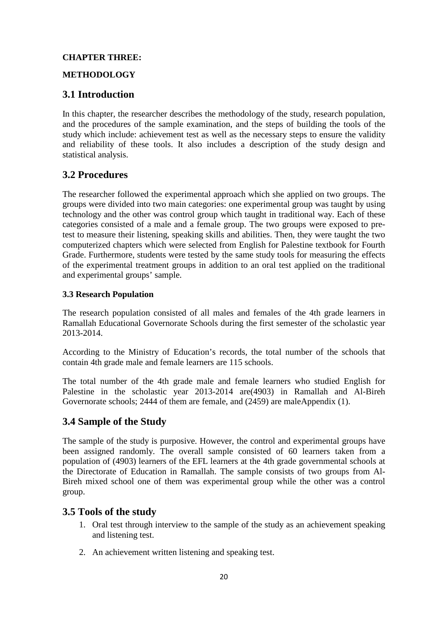#### **CHAPTER THREE:**

## **METHODOLOGY**

# **3.1 Introduction**

In this chapter, the researcher describes the methodology of the study, research population, and the procedures of the sample examination, and the steps of building the tools of the study which include: achievement test as well as the necessary steps to ensure the validity and reliability of these tools. It also includes a description of the study design and statistical analysis.

# **3.2 Procedures**

The researcher followed the experimental approach which she applied on two groups. The groups were divided into two main categories: one experimental group was taught by using technology and the other was control group which taught in traditional way. Each of these categories consisted of a male and a female group. The two groups were exposed to pretest to measure their listening, speaking skills and abilities. Then, they were taught the two computerized chapters which were selected from English for Palestine textbook for Fourth Grade. Furthermore, students were tested by the same study tools for measuring the effects of the experimental treatment groups in addition to an oral test applied on the traditional and experimental groups' sample.

#### **3.3 Research Population**

The research population consisted of all males and females of the 4th grade learners in Ramallah Educational Governorate Schools during the first semester of the scholastic year 2013-2014.

According to the Ministry of Education's records, the total number of the schools that contain 4th grade male and female learners are 115 schools.

The total number of the 4th grade male and female learners who studied English for Palestine in the scholastic year 2013-2014 are(4903) in Ramallah and Al-Bireh Governorate schools; 2444 of them are female, and (2459) are maleAppendix (1).

# **3.4 Sample of the Study**

The sample of the study is purposive. However, the control and experimental groups have been assigned randomly. The overall sample consisted of 60 learners taken from a population of (4903) learners of the EFL learners at the 4th grade governmental schools at the Directorate of Education in Ramallah. The sample consists of two groups from Al-Bireh mixed school one of them was experimental group while the other was a control group.

# **3.5 Tools of the study**

- 1. Oral test through interview to the sample of the study as an achievement speaking and listening test.
- 2. An achievement written listening and speaking test.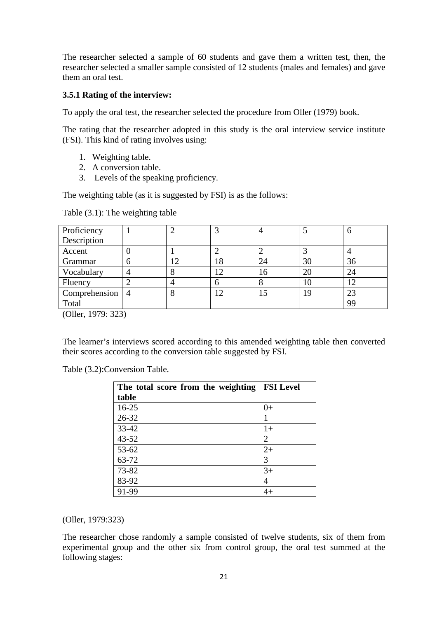The researcher selected a sample of 60 students and gave them a written test, then, the researcher selected a smaller sample consisted of 12 students (males and females) and gave them an oral test.

#### **3.5.1 Rating of the interview:**

To apply the oral test, the researcher selected the procedure from Oller (1979) book.

The rating that the researcher adopted in this study is the oral interview service institute (FSI). This kind of rating involves using:

- 1. Weighting table.
- 2. A conversion table.
- 3. Levels of the speaking proficiency.

The weighting table (as it is suggested by FSI) is as the follows:

| Proficiency   |   |    |    |    |    | 6  |
|---------------|---|----|----|----|----|----|
| Description   |   |    |    |    |    |    |
| Accent        |   |    |    |    |    |    |
| Grammar       |   | 12 | 18 | 24 | 30 | 36 |
| Vocabulary    |   |    | 12 | 16 | 20 | 24 |
| Fluency       |   |    |    |    | 10 | 12 |
| Comprehension | 4 |    | 12 | 15 | 19 | 23 |
| Total         |   |    |    |    |    | 99 |

Table (3.1): The weighting table

(Oller, 1979: 323)

The learner's interviews scored according to this amended weighting table then converted their scores according to the conversion table suggested by FSI.

Table (3.2):Conversion Table.

| The total score from the weighting | <b>FSI</b> Level |
|------------------------------------|------------------|
| table                              |                  |
| $16 - 25$                          | $0+$             |
| 26-32                              |                  |
| $33 - 42$                          | $1+$             |
| $43 - 52$                          | $\overline{2}$   |
| $53 - 62$                          | $2+$             |
| 63-72                              | 3                |
| 73-82                              | $3+$             |
| 83-92                              | 4                |
| 91-99                              |                  |

(Oller, 1979:323)

The researcher chose randomly a sample consisted of twelve students, six of them from experimental group and the other six from control group, the oral test summed at the following stages: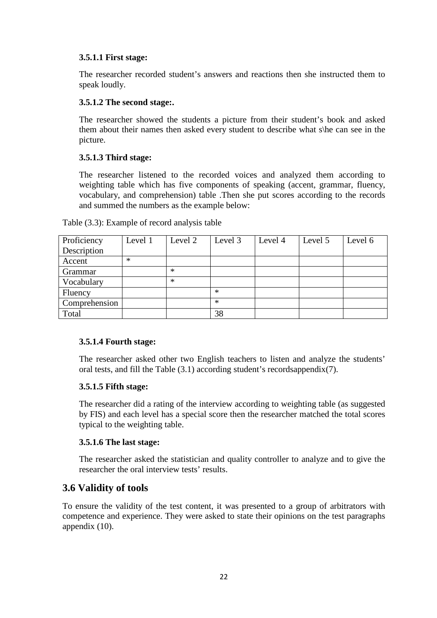#### **3.5.1.1 First stage:**

The researcher recorded student's answers and reactions then she instructed them to speak loudly.

#### **3.5.1.2 The second stage:.**

The researcher showed the students a picture from their student's book and asked them about their names then asked every student to describe what s\he can see in the picture.

#### **3.5.1.3 Third stage:**

The researcher listened to the recorded voices and analyzed them according to weighting table which has five components of speaking (accent, grammar, fluency, vocabulary, and comprehension) table .Then she put scores according to the records and summed the numbers as the example below:

| Proficiency   | Level 1 | Level 2 | Level 3 | Level 4 | Level 5 | Level 6 |
|---------------|---------|---------|---------|---------|---------|---------|
| Description   |         |         |         |         |         |         |
| Accent        | $\ast$  |         |         |         |         |         |
| Grammar       |         | $\ast$  |         |         |         |         |
| Vocabulary    |         | $\ast$  |         |         |         |         |
| Fluency       |         |         | *       |         |         |         |
| Comprehension |         |         | *       |         |         |         |
| Total         |         |         | 38      |         |         |         |

Table (3.3): Example of record analysis table

#### **3.5.1.4 Fourth stage:**

The researcher asked other two English teachers to listen and analyze the students' oral tests, and fill the Table (3.1) according student's recordsappendix(7).

#### **3.5.1.5 Fifth stage:**

The researcher did a rating of the interview according to weighting table (as suggested by FIS) and each level has a special score then the researcher matched the total scores typical to the weighting table.

#### **3.5.1.6 The last stage:**

The researcher asked the statistician and quality controller to analyze and to give the researcher the oral interview tests' results.

## **3.6 Validity of tools**

To ensure the validity of the test content, it was presented to a group of arbitrators with competence and experience. They were asked to state their opinions on the test paragraphs appendix (10).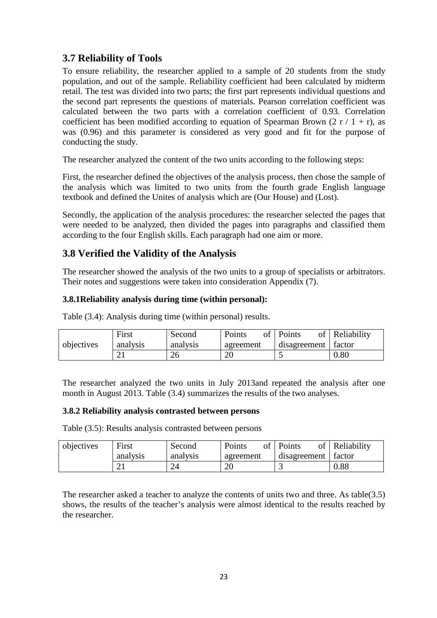# **3.7 Reliability of Tools**

To ensure reliability, the researcher applied to a sample of 20 students from the study population, and out of the sample. Reliability coefficient had been calculated by midterm retail. The test was divided into two parts; the first part represents individual questions and the second part represents the questions of materials. Pearson correlation coefficient was calculated between the two parts with a correlation coefficient of 0.93. Correlation coefficient has been modified according to equation of Spearman Brown  $(2 r / 1 + r)$ , as was (0.96) and this parameter is considered as very good and fit for the purpose of conducting the study.

The researcher analyzed the content of the two units according to the following steps:

First, the researcher defined the objectives of the analysis process, then chose the sample of the analysis which was limited to two units from the fourth grade English language textbook and defined the Unites of analysis which are (Our House) and (Lost).

Secondly, the application of the analysis procedures: the researcher selected the pages that were needed to be analyzed, then divided the pages into paragraphs and classified them according to the four English skills. Each paragraph had one aim or more.

# **3.8 Verified the Validity of the Analysis**

The researcher showed the analysis of the two units to a group of specialists or arbitrators. Their notes and suggestions were taken into consideration Appendix (7).

#### **3.8.1Reliability analysis during time (within personal):**

Table (3.4): Analysis during time (within personal) results.

|            | First    | Second   | of<br>Points | Points       | Reliability |
|------------|----------|----------|--------------|--------------|-------------|
| objectives | analysis | analysis | agreement    | disagreement | factor      |
|            | ◢        | 26       | ററ           |              | 0.80        |

The researcher analyzed the two units in July 2013and repeated the analysis after one month in August 2013. Table (3.4) summarizes the results of the two analyses.

#### **3.8.2 Reliability analysis contrasted between persons**

Table (3.5): Results analysis contrasted between persons

| objectives | First    | Second   | Points    | of   Points<br>of | Reliability |
|------------|----------|----------|-----------|-------------------|-------------|
|            | analysis | analysis | agreement | disagreement      | factor      |
|            | ້.       | 24       | 20        |                   | 0.88        |

The researcher asked a teacher to analyze the contents of units two and three. As table(3.5) shows, the results of the teacher's analysis were almost identical to the results reached by the researcher.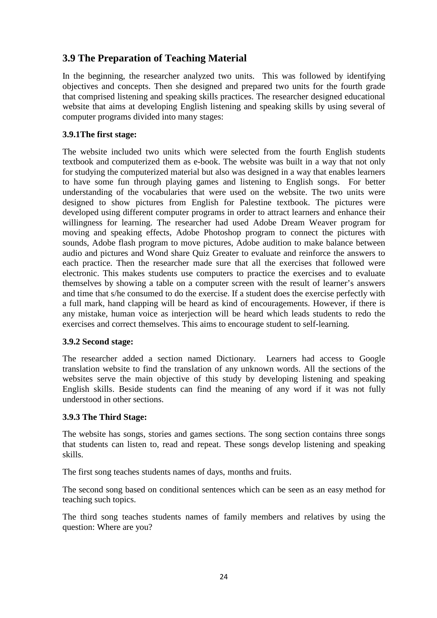# **3.9 The Preparation of Teaching Material**

In the beginning, the researcher analyzed two units. This was followed by identifying objectives and concepts. Then she designed and prepared two units for the fourth grade that comprised listening and speaking skills practices. The researcher designed educational website that aims at developing English listening and speaking skills by using several of computer programs divided into many stages:

#### **3.9.1The first stage:**

The website included two units which were selected from the fourth English students textbook and computerized them as e-book. The website was built in a way that not only for studying the computerized material but also was designed in a way that enables learners to have some fun through playing games and listening to English songs. For better understanding of the vocabularies that were used on the website. The two units were designed to show pictures from English for Palestine textbook. The pictures were developed using different computer programs in order to attract learners and enhance their willingness for learning. The researcher had used Adobe Dream Weaver program for moving and speaking effects, Adobe Photoshop program to connect the pictures with sounds, Adobe flash program to move pictures, Adobe audition to make balance between audio and pictures and Wond share Quiz Greater to evaluate and reinforce the answers to each practice. Then the researcher made sure that all the exercises that followed were electronic. This makes students use computers to practice the exercises and to evaluate themselves by showing a table on a computer screen with the result of learner's answers and time that s/he consumed to do the exercise. If a student does the exercise perfectly with a full mark, hand clapping will be heard as kind of encouragements. However, if there is any mistake, human voice as interjection will be heard which leads students to redo the exercises and correct themselves. This aims to encourage student to self-learning.

#### **3.9.2 Second stage:**

The researcher added a section named Dictionary. Learners had access to Google translation website to find the translation of any unknown words. All the sections of the websites serve the main objective of this study by developing listening and speaking English skills. Beside students can find the meaning of any word if it was not fully understood in other sections.

#### **3.9.3 The Third Stage:**

The website has songs, stories and games sections. The song section contains three songs that students can listen to, read and repeat. These songs develop listening and speaking skills.

The first song teaches students names of days, months and fruits.

The second song based on conditional sentences which can be seen as an easy method for teaching such topics.

The third song teaches students names of family members and relatives by using the question: Where are you?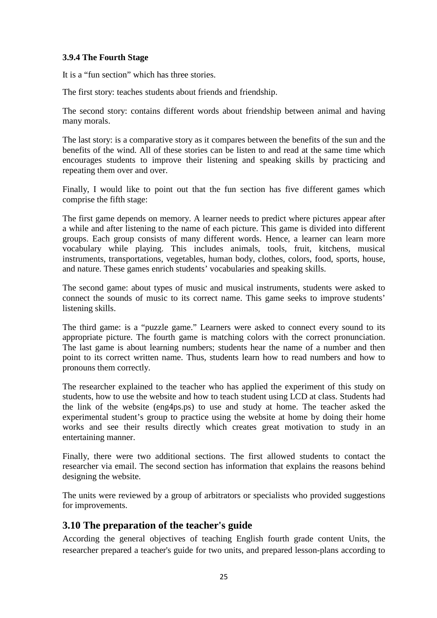#### **3.9.4 The Fourth Stage**

It is a "fun section" which has three stories.

The first story: teaches students about friends and friendship.

The second story: contains different words about friendship between animal and having many morals.

The last story: is a comparative story as it compares between the benefits of the sun and the benefits of the wind. All of these stories can be listen to and read at the same time which encourages students to improve their listening and speaking skills by practicing and repeating them over and over.

Finally, I would like to point out that the fun section has five different games which comprise the fifth stage:

The first game depends on memory. A learner needs to predict where pictures appear after a while and after listening to the name of each picture. This game is divided into different groups. Each group consists of many different words. Hence, a learner can learn more vocabulary while playing. This includes animals, tools, fruit, kitchens, musical instruments, transportations, vegetables, human body, clothes, colors, food, sports, house, and nature. These games enrich students' vocabularies and speaking skills.

The second game: about types of music and musical instruments, students were asked to connect the sounds of music to its correct name. This game seeks to improve students' listening skills.

The third game: is a "puzzle game." Learners were asked to connect every sound to its appropriate picture. The fourth game is matching colors with the correct pronunciation. The last game is about learning numbers; students hear the name of a number and then point to its correct written name. Thus, students learn how to read numbers and how to pronouns them correctly.

The researcher explained to the teacher who has applied the experiment of this study on students, how to use the website and how to teach student using LCD at class. Students had the link of the website (eng4ps.ps) to use and study at home. The teacher asked the experimental student's group to practice using the website at home by doing their home works and see their results directly which creates great motivation to study in an entertaining manner.

Finally, there were two additional sections. The first allowed students to contact the researcher via email. The second section has information that explains the reasons behind designing the website.

The units were reviewed by a group of arbitrators or specialists who provided suggestions for improvements.

#### **3.10 The preparation of the teacher's guide**

According the general objectives of teaching English fourth grade content Units, the researcher prepared a teacher's guide for two units, and prepared lesson-plans according to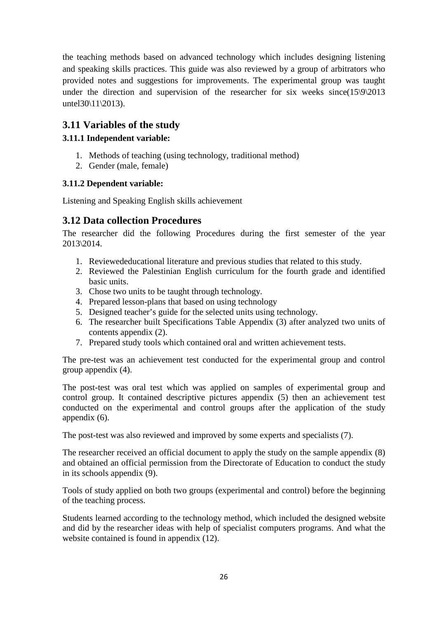the teaching methods based on advanced technology which includes designing listening and speaking skills practices. This guide was also reviewed by a group of arbitrators who provided notes and suggestions for improvements. The experimental group was taught under the direction and supervision of the researcher for six weeks since $(15\sqrt{9}\cdot2013$ untel30\11\2013).

# **3.11 Variables of the study**

#### **3.11.1 Independent variable:**

- 1. Methods of teaching (using technology, traditional method)
- 2. Gender (male, female)

#### **3.11.2 Dependent variable:**

Listening and Speaking English skills achievement

# **3.12 Data collection Procedures**

The researcher did the following Procedures during the first semester of the year 2013\2014.

- 1. Reviewededucational literature and previous studies that related to this study.
- 2. Reviewed the Palestinian English curriculum for the fourth grade and identified basic units.
- 3. Chose two units to be taught through technology.
- 4. Prepared lesson-plans that based on using technology
- 5. Designed teacher's guide for the selected units using technology.
- 6. The researcher built Specifications Table Appendix (3) after analyzed two units of contents appendix (2).
- 7. Prepared study tools which contained oral and written achievement tests.

The pre-test was an achievement test conducted for the experimental group and control group appendix (4).

The post-test was oral test which was applied on samples of experimental group and control group. It contained descriptive pictures appendix (5) then an achievement test conducted on the experimental and control groups after the application of the study appendix (6).

The post-test was also reviewed and improved by some experts and specialists (7).

The researcher received an official document to apply the study on the sample appendix (8) and obtained an official permission from the Directorate of Education to conduct the study in its schools appendix (9).

Tools of study applied on both two groups (experimental and control) before the beginning of the teaching process.

Students learned according to the technology method, which included the designed website and did by the researcher ideas with help of specialist computers programs. And what the website contained is found in appendix (12).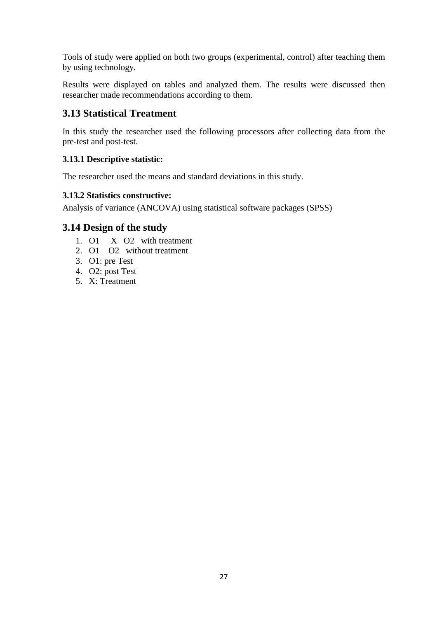Tools of study were applied on both two groups (experimental, control) after teaching them by using technology.

Results were displayed on tables and analyzed them. The results were discussed then researcher made recommendations according to them.

# **3.13 Statistical Treatment**

In this study the researcher used the following processors after collecting data from the pre-test and post-test.

## **3.13.1 Descriptive statistic:**

The researcher used the means and standard deviations in this study.

## **3.13.2 Statistics constructive:**

Analysis of variance (ANCOVA) using statistical software packages (SPSS)

# **3.14 Design of the study**

- 1. O1 X O2 with treatment
- 2. O1 O2 without treatment
- 3. O1: pre Test
- 4. O2: post Test
- 5. X: Treatment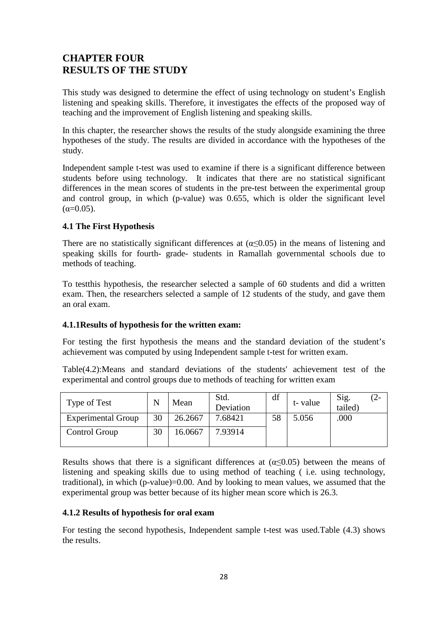## **CHAPTER FOUR RESULTS OF THE STUDY**

This study was designed to determine the effect of using technology on student's English listening and speaking skills. Therefore, it investigates the effects of the proposed way of teaching and the improvement of English listening and speaking skills.

In this chapter, the researcher shows the results of the study alongside examining the three hypotheses of the study. The results are divided in accordance with the hypotheses of the study.

Independent sample t-test was used to examine if there is a significant difference between students before using technology. It indicates that there are no statistical significant differences in the mean scores of students in the pre-test between the experimental group and control group, in which (p-value) was 0.655, which is older the significant level  $(α=0.05)$ .

#### **4.1 The First Hypothesis**

There are no statistically significant differences at  $(\alpha \le 0.05)$  in the means of listening and speaking skills for fourth- grade- students in Ramallah governmental schools due to methods of teaching.

To testthis hypothesis, the researcher selected a sample of 60 students and did a written exam. Then, the researchers selected a sample of 12 students of the study, and gave them an oral exam.

#### **4.1.1Results of hypothesis for the written exam:**

For testing the first hypothesis the means and the standard deviation of the student's achievement was computed by using Independent sample t-test for written exam.

Table(4.2):Means and standard deviations of the students' achievement test of the experimental and control groups due to methods of teaching for written exam

| Type of Test              |    | Mean    | Std.<br>Deviation | df | t-value | Sig.<br>tailed) | (2- |
|---------------------------|----|---------|-------------------|----|---------|-----------------|-----|
| <b>Experimental Group</b> | 30 | 26.2667 | 7.68421           | 58 | 5.056   | .000            |     |
| Control Group             | 30 | 6.0667  | 7.93914           |    |         |                 |     |

Results shows that there is a significant differences at  $(\alpha \le 0.05)$  between the means of listening and speaking skills due to using method of teaching ( i.e. using technology, traditional), in which (p-value)=0.00. And by looking to mean values, we assumed that the experimental group was better because of its higher mean score which is 26.3.

#### **4.1.2 Results of hypothesis for oral exam**

For testing the second hypothesis, Independent sample t-test was used.Table (4.3) shows the results.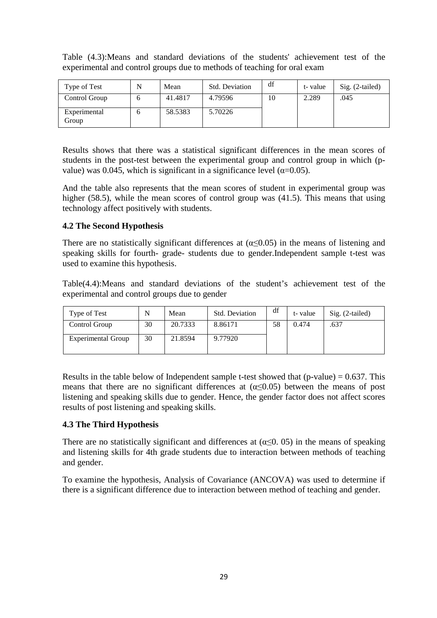Table (4.3):Means and standard deviations of the students' achievement test of the experimental and control groups due to methods of teaching for oral exam

| Type of Test          | N | Mean    | Std. Deviation | df | t-value | $Sig. (2-tailed)$ |
|-----------------------|---|---------|----------------|----|---------|-------------------|
| Control Group         |   | 41.4817 | 4.79596        | 10 | 2.289   | .045              |
| Experimental<br>Group |   | 58.5383 | 5.70226        |    |         |                   |

Results shows that there was a statistical significant differences in the mean scores of students in the post-test between the experimental group and control group in which (pvalue) was 0.045, which is significant in a significance level ( $\alpha$ =0.05).

And the table also represents that the mean scores of student in experimental group was higher (58.5), while the mean scores of control group was (41.5). This means that using technology affect positively with students.

#### **4.2 The Second Hypothesis**

There are no statistically significant differences at  $(\alpha \le 0.05)$  in the means of listening and speaking skills for fourth- grade- students due to gender.Independent sample t-test was used to examine this hypothesis.

Table(4.4):Means and standard deviations of the student's achievement test of the experimental and control groups due to gender

| Type of Test              | N  | Mean    | Std. Deviation | df | t-value | $Sig. (2-tailed)$ |
|---------------------------|----|---------|----------------|----|---------|-------------------|
| Control Group             | 30 | 20.7333 | 8.86171        | 58 | 0.474   | .637              |
| <b>Experimental Group</b> | 30 | 21.8594 | 9.77920        |    |         |                   |

Results in the table below of Independent sample t-test showed that  $(p-value) = 0.637$ . This means that there are no significant differences at  $(\alpha \le 0.05)$  between the means of post listening and speaking skills due to gender. Hence, the gender factor does not affect scores results of post listening and speaking skills.

#### **4.3 The Third Hypothesis**

There are no statistically significant and differences at  $(\alpha \le 0.05)$  in the means of speaking and listening skills for 4th grade students due to interaction between methods of teaching and gender.

To examine the hypothesis, Analysis of Covariance (ANCOVA) was used to determine if there is a significant difference due to interaction between method of teaching and gender.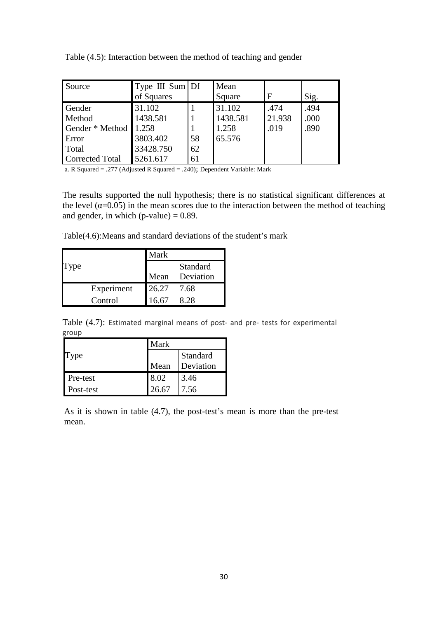| Source                | Type III Sum $DF$ |    | Mean     |             |      |
|-----------------------|-------------------|----|----------|-------------|------|
|                       | of Squares        |    | Square   | $\mathbf F$ | Sig. |
| Gender                | 31.102            |    | 31.102   | .474        | .494 |
| Method                | 1438.581          |    | 1438.581 | 21.938      | .000 |
| Gender * Method 1.258 |                   |    | 1.258    | .019        | .890 |
| Error                 | 3803.402          | 58 | 65.576   |             |      |
| Total                 | 33428.750         | 62 |          |             |      |
| Corrected Total       | 5261.617          | 61 |          |             |      |

Table (4.5): Interaction between the method of teaching and gender

a. R Squared = .277 (Adjusted R Squared = .240); Dependent Variable: Mark

The results supported the null hypothesis; there is no statistical significant differences at the level  $(\alpha=0.05)$  in the mean scores due to the interaction between the method of teaching and gender, in which  $(p-value) = 0.89$ .

Table(4.6):Means and standard deviations of the student's mark

|            | Mark  |           |  |  |
|------------|-------|-----------|--|--|
| Type       |       | Standard  |  |  |
|            | Mean  | Deviation |  |  |
| Experiment | 26.27 | 7.68      |  |  |
| Control    | 16.67 | 8.28      |  |  |

Table (4.7): Estimated marginal means of post- and pre- tests for experimental group

|           | Mark  |                       |  |  |
|-----------|-------|-----------------------|--|--|
| Type      | Mean  | Standard<br>Deviation |  |  |
| Pre-test  | 8.02  | 3.46                  |  |  |
| Post-test | 26.67 | 7.56                  |  |  |

As it is shown in table (4.7), the post-test's mean is more than the pre-test mean.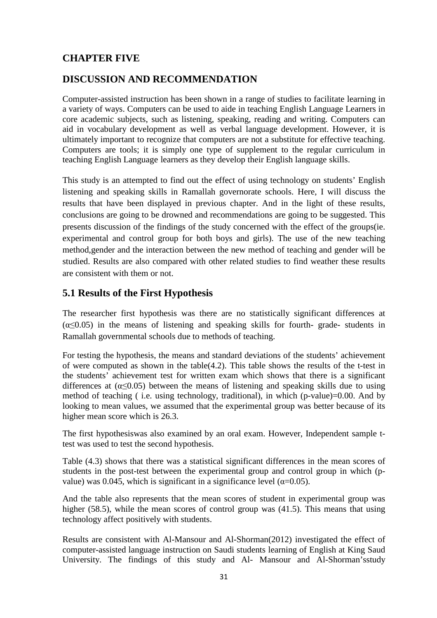## **CHAPTER FIVE**

## **DISCUSSION AND RECOMMENDATION**

Computer-assisted instruction has been shown in a range of studies to facilitate learning in a variety of ways. Computers can be used to aide in teaching English Language Learners in core academic subjects, such as listening, speaking, reading and writing. Computers can aid in vocabulary development as well as verbal language development. However, it is ultimately important to recognize that computers are not a substitute for effective teaching. Computers are tools; it is simply one type of supplement to the regular curriculum in teaching English Language learners as they develop their English language skills.

This study is an attempted to find out the effect of using technology on students' English listening and speaking skills in Ramallah governorate schools. Here, I will discuss the results that have been displayed in previous chapter. And in the light of these results, conclusions are going to be drowned and recommendations are going to be suggested. This presents discussion of the findings of the study concerned with the effect of the groups(ie. experimental and control group for both boys and girls). The use of the new teaching method,gender and the interaction between the new method of teaching and gender will be studied. Results are also compared with other related studies to find weather these results are consistent with them or not.

#### **5.1 Results of the First Hypothesis**

The researcher first hypothesis was there are no statistically significant differences at  $(\alpha \leq 0.05)$  in the means of listening and speaking skills for fourth-grade-students in Ramallah governmental schools due to methods of teaching.

For testing the hypothesis, the means and standard deviations of the students' achievement of were computed as shown in the table(4.2). This table shows the results of the t-test in the students' achievement test for written exam which shows that there is a significant differences at  $(\alpha \leq 0.05)$  between the means of listening and speaking skills due to using method of teaching ( i.e. using technology, traditional), in which (p-value)=0.00. And by looking to mean values, we assumed that the experimental group was better because of its higher mean score which is 26.3.

The first hypothesiswas also examined by an oral exam. However, Independent sample ttest was used to test the second hypothesis.

Table (4.3) shows that there was a statistical significant differences in the mean scores of students in the post-test between the experimental group and control group in which (pvalue) was 0.045, which is significant in a significance level ( $\alpha$ =0.05).

And the table also represents that the mean scores of student in experimental group was higher (58.5), while the mean scores of control group was (41.5). This means that using technology affect positively with students.

Results are consistent with Al-Mansour and Al-Shorman(2012) investigated the effect of computer-assisted language instruction on Saudi students learning of English at King Saud University. The findings of this study and Al- Mansour and Al-Shorman'sstudy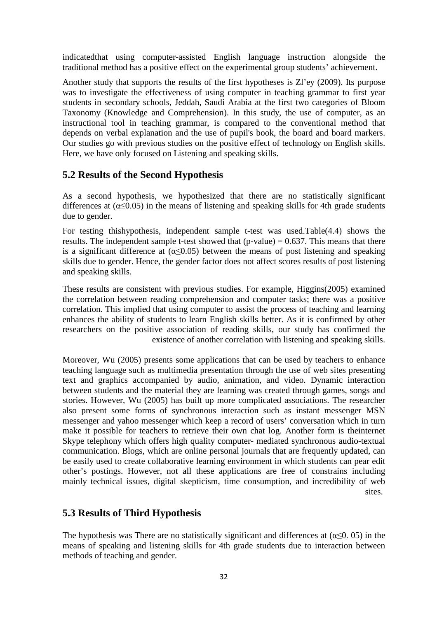indicatedthat using computer-assisted English language instruction alongside the traditional method has a positive effect on the experimental group students' achievement.

Another study that supports the results of the first hypotheses is Zl'ey (2009). Its purpose was to investigate the effectiveness of using computer in teaching grammar to first year students in secondary schools, Jeddah, Saudi Arabia at the first two categories of Bloom Taxonomy (Knowledge and Comprehension). In this study, the use of computer, as an instructional tool in teaching grammar, is compared to the conventional method that depends on verbal explanation and the use of pupil's book, the board and board markers. Our studies go with previous studies on the positive effect of technology on English skills. Here, we have only focused on Listening and speaking skills.

#### **5.2 Results of the Second Hypothesis**

As a second hypothesis, we hypothesized that there are no statistically significant differences at  $(\alpha \le 0.05)$  in the means of listening and speaking skills for 4th grade students due to gender.

For testing thishypothesis, independent sample t-test was used.Table(4.4) shows the results. The independent sample t-test showed that  $(p-value) = 0.637$ . This means that there is a significant difference at ( $\alpha \leq 0.05$ ) between the means of post listening and speaking skills due to gender. Hence, the gender factor does not affect scores results of post listening and speaking skills.

These results are consistent with previous studies. For example, Higgins(2005) examined the correlation between reading comprehension and computer tasks; there was a positive correlation. This implied that using computer to assist the process of teaching and learning enhances the ability of students to learn English skills better. As it is confirmed by other researchers on the positive association of reading skills, our study has confirmed the existence of another correlation with listening and speaking skills.

Moreover, Wu (2005) presents some applications that can be used by teachers to enhance teaching language such as multimedia presentation through the use of web sites presenting text and graphics accompanied by audio, animation, and video. Dynamic interaction between students and the material they are learning was created through games, songs and stories. However, Wu (2005) has built up more complicated associations. The researcher also present some forms of synchronous interaction such as instant messenger MSN messenger and yahoo messenger which keep a record of users' conversation which in turn make it possible for teachers to retrieve their own chat log. Another form is theinternet Skype telephony which offers high quality computer- mediated synchronous audio-textual communication. Blogs, which are online personal journals that are frequently updated, can be easily used to create collaborative learning environment in which students can pear edit other's postings. However, not all these applications are free of constrains including mainly technical issues, digital skepticism, time consumption, and incredibility of web sites.

## **5.3 Results of Third Hypothesis**

The hypothesis was There are no statistically significant and differences at  $(\alpha \le 0.05)$  in the means of speaking and listening skills for 4th grade students due to interaction between methods of teaching and gender.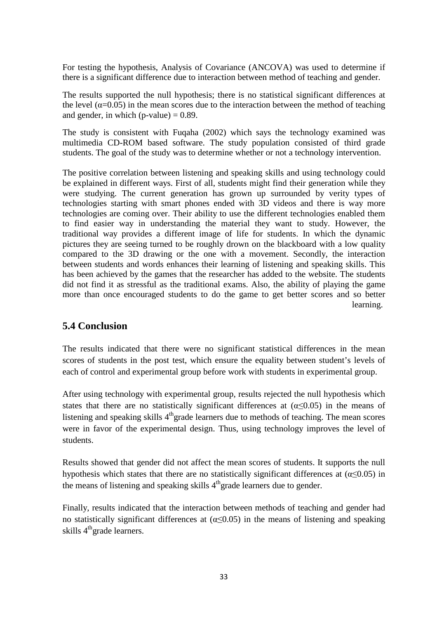For testing the hypothesis, Analysis of Covariance (ANCOVA) was used to determine if there is a significant difference due to interaction between method of teaching and gender.

The results supported the null hypothesis; there is no statistical significant differences at the level  $(\alpha=0.05)$  in the mean scores due to the interaction between the method of teaching and gender, in which  $(p-value) = 0.89$ .

The study is consistent with Fuqaha (2002) which says the technology examined was multimedia CD-ROM based software. The study population consisted of third grade students. The goal of the study was to determine whether or not a technology intervention.

The positive correlation between listening and speaking skills and using technology could be explained in different ways. First of all, students might find their generation while they were studying. The current generation has grown up surrounded by verity types of technologies starting with smart phones ended with 3D videos and there is way more technologies are coming over. Their ability to use the different technologies enabled them to find easier way in understanding the material they want to study. However, the traditional way provides a different image of life for students. In which the dynamic pictures they are seeing turned to be roughly drown on the blackboard with a low quality compared to the 3D drawing or the one with a movement. Secondly, the interaction between students and words enhances their learning of listening and speaking skills. This has been achieved by the games that the researcher has added to the website. The students did not find it as stressful as the traditional exams. Also, the ability of playing the game more than once encouraged students to do the game to get better scores and so better learning.

## **5.4 Conclusion**

The results indicated that there were no significant statistical differences in the mean scores of students in the post test, which ensure the equality between student's levels of each of control and experimental group before work with students in experimental group.

After using technology with experimental group, results rejected the null hypothesis which states that there are no statistically significant differences at  $(\alpha \le 0.05)$  in the means of listening and speaking skills  $4<sup>th</sup>$  grade learners due to methods of teaching. The mean scores were in favor of the experimental design. Thus, using technology improves the level of students.

Results showed that gender did not affect the mean scores of students. It supports the null hypothesis which states that there are no statistically significant differences at  $(\alpha \le 0.05)$  in the means of listening and speaking skills  $4<sup>th</sup>$  grade learners due to gender.

Finally, results indicated that the interaction between methods of teaching and gender had no statistically significant differences at  $(\alpha \le 0.05)$  in the means of listening and speaking skills 4<sup>th</sup> grade learners.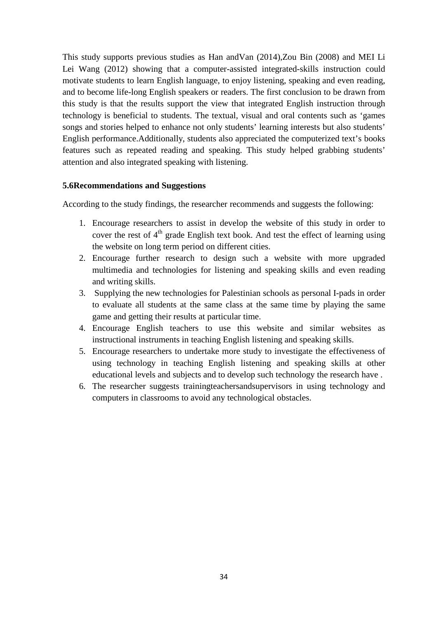This study supports previous studies as Han andVan (2014),Zou Bin (2008) and MEI Li Lei Wang (2012) showing that a computer-assisted integrated-skills instruction could motivate students to learn English language, to enjoy listening, speaking and even reading, and to become life-long English speakers or readers. The first conclusion to be drawn from this study is that the results support the view that integrated English instruction through technology is beneficial to students. The textual, visual and oral contents such as 'games songs and stories helped to enhance not only students' learning interests but also students' English performance.Additionally, students also appreciated the computerized text's books features such as repeated reading and speaking. This study helped grabbing students' attention and also integrated speaking with listening.

#### **5.6Recommendations and Suggestions**

According to the study findings, the researcher recommends and suggests the following:

- 1. Encourage researchers to assist in develop the website of this study in order to cover the rest of  $4<sup>th</sup>$  grade English text book. And test the effect of learning using the website on long term period on different cities.
- 2. Encourage further research to design such a website with more upgraded multimedia and technologies for listening and speaking skills and even reading and writing skills.
- 3. Supplying the new technologies for Palestinian schools as personal I-pads in order to evaluate all students at the same class at the same time by playing the same game and getting their results at particular time.
- 4. Encourage English teachers to use this website and similar websites as instructional instruments in teaching English listening and speaking skills.
- 5. Encourage researchers to undertake more study to investigate the effectiveness of using technology in teaching English listening and speaking skills at other educational levels and subjects and to develop such technology the research have .
- 6. The researcher suggests trainingteachersandsupervisors in using technology and computers in classrooms to avoid any technological obstacles.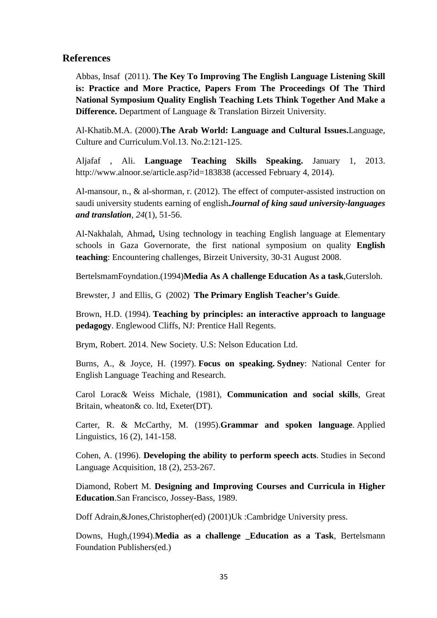#### **References**

Abbas, Insaf (2011). **The Key To Improving The English Language Listening Skill is: Practice and More Practice, Papers From The Proceedings Of The Third National Symposium Quality English Teaching Lets Think Together And Make a Difference.** Department of Language & Translation Birzeit University.

Al-Khatib.M.A. (2000).**The Arab World: Language and Cultural Issues.**Language, Culture and Curriculum.Vol.13. No.2:121-125.

Aljafaf , Ali. **Language Teaching Skills Speaking.** January 1, 2013. http://www.alnoor.se/article.asp?id=183838 (accessed February 4, 2014).

Al-mansour, n., & al-shorman, r. (2012). The effect of computer-assisted instruction on saudi university students earning of english**.***Journal of king saud university-languages and translation, 24*(1), 51-56.

Al-Nakhalah, Ahmad**,** Using technology in teaching English language at Elementary schools in Gaza Governorate, the first national symposium on quality **English teaching**: Encountering challenges, Birzeit University, 30-31 August 2008.

BertelsmamFoyndation.(1994)**Media As A challenge Education As a task**,Gutersloh.

Brewster, J and Ellis, G (2002) **The Primary English Teacher's Guide**.

Brown, H.D. (1994). **Teaching by principles: an interactive approach to language pedagogy**. Englewood Cliffs, NJ: Prentice Hall Regents.

Brym, Robert. 2014. New Society. U.S: Nelson Education Ltd.

Burns, A., & Joyce, H. (1997). **Focus on speaking. Sydney**: National Center for English Language Teaching and Research.

Carol Lorac& Weiss Michale, (1981), **Communication and social skills**, Great Britain, wheaton& co. ltd, Exeter(DT).

Carter, R. & McCarthy, M. (1995).**Grammar and spoken language**. Applied Linguistics, 16 (2), 141-158.

Cohen, A. (1996). **Developing the ability to perform speech acts**. Studies in Second Language Acquisition, 18 (2), 253-267.

Diamond, Robert M. **Designing and Improving Courses and Curricula in Higher Education**.San Francisco, Jossey-Bass, 1989.

Doff Adrain,&Jones,Christopher(ed) (2001)Uk :Cambridge University press.

Downs, Hugh,(1994).**Media as a challenge \_Education as a Task**, Bertelsmann Foundation Publishers(ed.)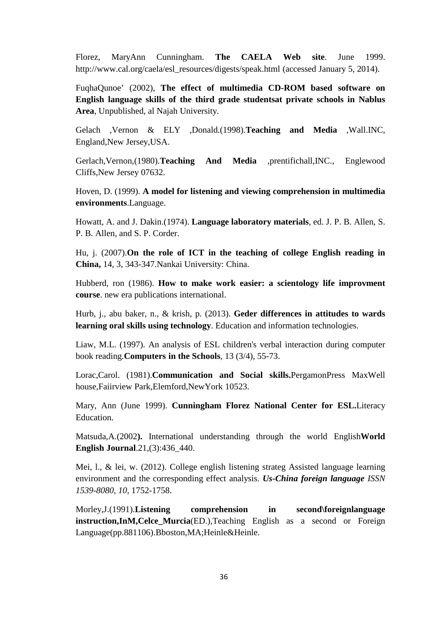Florez, MaryAnn Cunningham. **The CAELA Web site**. June 1999. http://www.cal.org/caela/esl\_resources/digests/speak.html (accessed January 5, 2014).

FuqhaQunoe' (2002), **The effect of multimedia CD-ROM based software on English language skills of the third grade studentsat private schools in Nablus Area**, Unpublished, al Najah University.

Gelach ,Vernon & ELY ,Donald.(1998).**Teaching and Media** ,Wall.INC, England,New Jersey,USA.

Gerlach,Vernon,(1980).**Teaching And Media** ,prentifichall,INC., Englewood Cliffs,New Jersey 07632.

Hoven, D. (1999). **A model for listening and viewing comprehension in multimedia environments**.Language.

Howatt, A. and J. Dakin.(1974). **Language laboratory materials**, ed. J. P. B. Allen, S. P. B. Allen, and S. P. Corder.

Hu, j. (2007).**On the role of ICT in the teaching of college English reading in China,** 14, 3, 343-347.Nankai University: China.

Hubberd, ron (1986). **How to make work easier: a scientology life improvment course**. new era publications international.

Hurb, j., abu baker, n., & krish, p. (2013). **Geder differences in attitudes to wards learning oral skills using technology**. Education and information technologies.

Liaw, M.L. (1997). An analysis of ESL children's verbal interaction during computer book reading.**Computers in the Schools**, 13 (3/4), 55-73.

Lorac,Carol. (1981).**Communication and Social skills.**PergamonPress MaxWell house,Faiirview Park,Elemford,NewYork 10523.

Mary, Ann (June 1999). **Cunningham Florez National Center for ESL.**Literacy Education.

Matsuda,A.(2002**).** International understanding through the world English**World English Journal**.21,(3):436\_440.

Mei, l., & lei, w. (2012). College english listening strateg Assisted language learning environment and the corresponding effect analysis. *Us-China foreign language ISSN 1539-8080, 10*, 1752-1758.

Morley,J.(1991).**Listening comprehension in second\foreignlanguage instruction,InM,Celce Murcia**(ED.),Teaching English as a second or Foreign Language(pp.881106).Bboston,MA;Heinle&Heinle.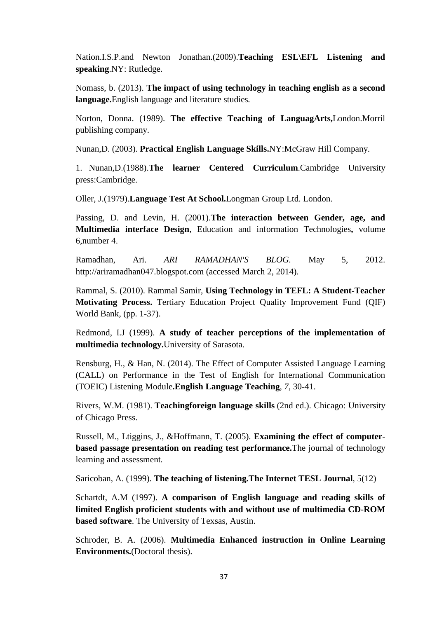Nation.I.S.P.and Newton Jonathan.(2009).**Teaching ESL\EFL Listening and speaking**.NY: Rutledge.

Nomass, b. (2013). **The impact of using technology in teaching english as a second language.**English language and literature studies*.*

Norton, Donna. (1989). **The effective Teaching of LanguagArts,**London.Morril publishing company.

Nunan,D. (2003). **Practical English Language Skills.**NY:McGraw Hill Company.

1. Nunan,D.(1988).**The learner Centered Curriculum**.Cambridge University press:Cambridge.

Oller, J.(1979).**Language Test At School.**Longman Group Ltd. London.

Passing, D. and Levin, H. (2001).**The interaction between Gender, age, and Multimedia interface Design**, Education and information Technologies**,** volume 6,number 4.

Ramadhan, Ari. *ARI RAMADHAN'S BLOG.* May 5, 2012. http://ariramadhan047.blogspot.com (accessed March 2, 2014).

Rammal, S. (2010). Rammal Samir, **Using Technology in TEFL: A Student-Teacher Motivating Process.** Tertiary Education Project Quality Improvement Fund (QIF) World Bank, (pp. 1-37).

Redmond, I.J (1999). **A study of teacher perceptions of the implementation of multimedia technology.**University of Sarasota.

Rensburg, H., & Han, N. (2014). The Effect of Computer Assisted Language Learning (CALL) on Performance in the Test of English for International Communication (TOEIC) Listening Module**.English Language Teaching**, *7*, 30-41.

Rivers, W.M. (1981). **Teachingforeign language skills** (2nd ed.). Chicago: University of Chicago Press.

Russell, M., Ltiggins, J., &Hoffmann, T. (2005). **Examining the effect of computerbased passage presentation on reading test performance.**The journal of technology learning and assessment*.*

Saricoban, A. (1999). **The teaching of listening.The Internet TESL Journal**, 5(12)

Schartdt, A.M (1997). **A comparison of English language and reading skills of limited English proficient students with and without use of multimedia CD-ROM based software**. The University of Texsas, Austin.

Schroder, B. A. (2006). **Multimedia Enhanced instruction in Online Learning Environments.**(Doctoral thesis).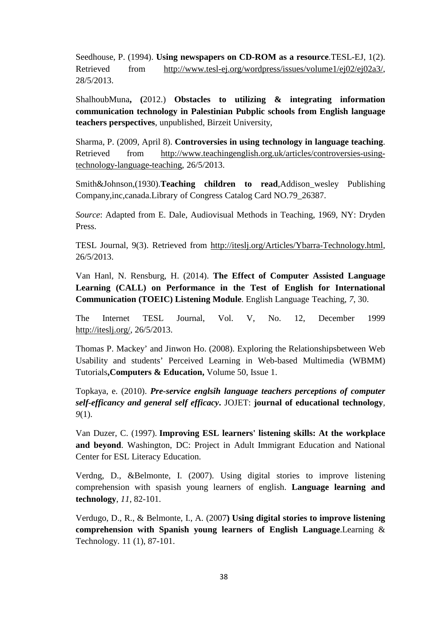Seedhouse, P. (1994). **Using newspapers on CD-ROM as a resource**.TESL-EJ, 1(2). Retrieved from http://www.tesl-ej.org/wordpress/issues/volume1/ej02/ej02a3/, 28/5/2013.

ShalhoubMuna**, (**2012.) **Obstacles to utilizing & integrating information communication technology in Palestinian Pubplic schools from English language teachers perspectives**, unpublished, Birzeit University,

Sharma, P. (2009, April 8). **Controversies in using technology in language teaching**. Retrieved from http://www.teachingenglish.org.uk/articles/controversies-usingtechnology-language-teaching, 26/5/2013.

Smith&Johnson,(1930).**Teaching children to read**,Addison\_wesley Publishing Company,inc,canada.Library of Congress Catalog Card NO.79\_26387.

*Source*: Adapted from E. Dale, Audiovisual Methods in Teaching, 1969, NY: Dryden Press.

TESL Journal, 9(3). Retrieved from http://iteslj.org/Articles/Ybarra-Technology.html, 26/5/2013.

Van Hanl, N. Rensburg, H. (2014). **The Effect of Computer Assisted Language Learning (CALL) on Performance in the Test of English for International Communication (TOEIC) Listening Module**. English Language Teaching, *7*, 30.

The Internet TESL Journal, Vol. V, No. 12, December 1999 http://iteslj.org/, 26/5/2013.

Thomas P. Mackey' and Jinwon Ho. (2008). Exploring the Relationshipsbetween Web Usability and students' Perceived Learning in Web-based Multimedia (WBMM) Tutorials**,Computers & Education,** Volume 50, Issue 1.

Topkaya, e. (2010). *Pre-service englsih language teachers perceptions of computer self-efficancy and general self efficacy***.** JOJET: **journal of educational technology***, 9*(1).

Van Duzer, C. (1997). **Improving ESL learners' listening skills: At the workplace and beyond**. Washington, DC: Project in Adult Immigrant Education and National Center for ESL Literacy Education.

Verdng, D., &Belmonte, I. (2007). Using digital stories to improve listening comprehension with spasish young learners of english. **Language learning and technology**, *11*, 82-101.

Verdugo, D., R., & Belmonte, I., A. (2007**) Using digital stories to improve listening comprehension with Spanish young learners of English Language**.Learning & Technology. 11 (1), 87-101.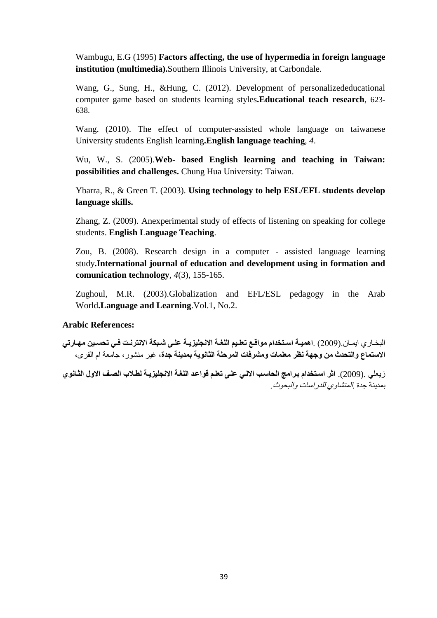Wambugu, E.G (1995) **Factors affecting, the use of hypermedia in foreign language institution (multimedia).**Southern Illinois University, at Carbondale.

Wang, G., Sung, H., &Hung, C. (2012). Development of personalizededucational computer game based on students learning styles**.Educational teach research**, 623- 638.

Wang. (2010). The effect of computer-assisted whole language on taiwanese University students English learning**.English language teaching**, *4*.

Wu, W., S. (2005).**Web- based English learning and teaching in Taiwan: possibilities and challenges.** Chung Hua University: Taiwan.

Ybarra, R., & Green T. (2003). **Using technology to help ESL/EFL students develop language skills.**

Zhang, Z. (2009). Anexperimental study of effects of listening on speaking for college students. **English Language Teaching**.

Zou, B. (2008). Research design in a computer - assisted language learning study**.International journal of education and development using in formation and comunication technology**, *4*(3), 155-165.

Zughoul, M.R. (2003).Globalization and EFL/ESL pedagogy in the Arab World**.Language and Learning**.Vol.1, No.2.

#### **Arabic References:**

البخـار ي ايمـان (2009) اهميــة اسـتخدام مواقــع تعلـيم اللـغـة الانجليزيــة علـى شـبكـة الانترنـت فـي تحسـين مـهـارتي الاستماع والتحدث من وجهة نظر معلمات ومشرفات المرحلة الثانوية بمدينة جدة، غير منشور ، جامعة ام القرى،

زيعلي .(2009). اثر استخدام برامج الحاسب الالي على تعلم قواعد اللغة الانجليزيـة لطـلاب الصـف الاول الثـانوي بمدينة جدة الم*نشاوي للدر اسات و الن*حوث .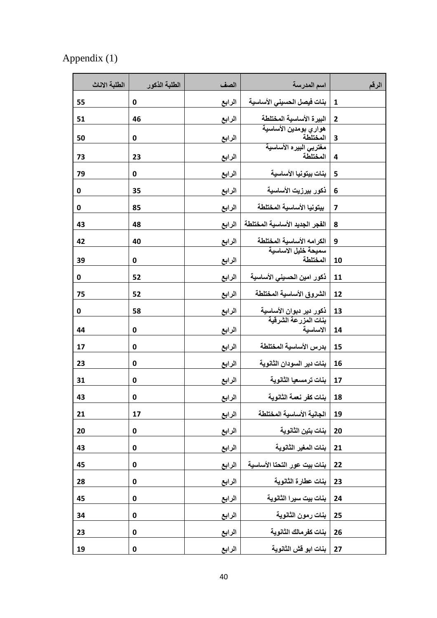Appendix (1)

| الطلبة الاناث | الطلبة الذكور | الصف   | اسم المدرسة                                                                     | الرقم                   |
|---------------|---------------|--------|---------------------------------------------------------------------------------|-------------------------|
| 55            | 0             | الرابع | بنات فيصل الحسيني الأساسية                                                      | $\mathbf{1}$            |
| 51            | 46            | الرابع | البيرة الأساسية المختلطة                                                        | $\overline{2}$          |
| 50            | $\bf{0}$      | الرابع | هواري بومدين الأساسية<br>المختلطة                                               | $\overline{\mathbf{3}}$ |
| 73            | 23            | الرابع | مغتربى البيره الأساسية<br>المختلطة                                              | $\overline{a}$          |
| 79            | 0             | الرابع | بنات بيتونيا الأساسية                                                           | 5                       |
| 0             | 35            | الرابع | ذكور بيرزيت الأساسية                                                            | 6                       |
| $\mathbf 0$   | 85            | الرابع | بيتونيا الأساسية المختلطة                                                       | $\overline{\mathbf{z}}$ |
| 43            | 48            | الرابع | الفجر الجديد الأساسية المختلطة                                                  | 8                       |
| 42            | 40            | الرابع | الكرامه الأساسية المختلطة<br>سميحة خليل الاساسية                                | 9                       |
| 39            | $\mathbf 0$   | الرابع | المختلطة                                                                        | 10                      |
| 0             | 52            | الرابع | ذكور امين الحسيني الأساسية                                                      | 11                      |
| 75            | 52            | الرابع | الشروق الأساسية المختلطة                                                        | 12                      |
| $\mathbf 0$   | 58            | الرابع |                                                                                 |                         |
| 44            | 0             | الرابع | <mark>13   ذكور دير دبوان الأساسية</mark><br>  بنات المزرعة الشرقية<br>الاساسية | 14                      |
| 17            | 0             | الرابع | بدرس الأساسية المختلطة                                                          | 15                      |
| 23            | 0             | الرابع | بنات دير السودان الثانوية                                                       | 16                      |
| 31            | $\bf{0}$      | الرابع | بنات ترمسعيا الثانوية                                                           | 17                      |
| 43            | $\mathbf 0$   | الرابع | بنات كفر نعمة الثانوية                                                          | 18                      |
| 21            | 17            | الرابع | الجانية الأساسية المختلطة                                                       | 19                      |
| 20            | $\pmb{0}$     | الرابع | بنات بتين الثانوية                                                              | 20                      |
| 43            | $\pmb{0}$     | الرابع | بنات المغير الثانوية                                                            | 21                      |
| 45            | 0             | الرابع | بنات بيت عور التحتا الأساسية                                                    | 22                      |
| 28            | 0             | الرابع | بنات عطارة الثانوية                                                             | 23                      |
| 45            | 0             | الرابع | بنات بيت سيرا الثانوية                                                          | 24                      |
| 34            | 0             | الرابع | بنات رمون الثانوية                                                              | 25                      |
| 23            | 0             | الرابع | بنات كفرمالك الثانوية                                                           | 26                      |
| 19            | $\mathbf 0$   | الرابع | بنات ابو قش الثانوية                                                            | 27                      |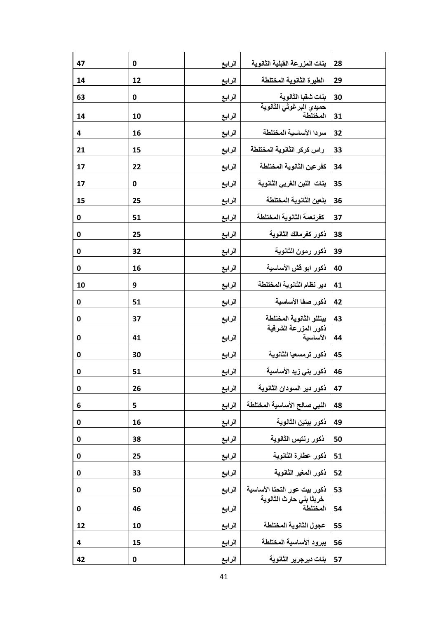| 47          | $\pmb{0}$ | الرابع         | بنات المزرعة القبلية الثانوية       | 28 |
|-------------|-----------|----------------|-------------------------------------|----|
| 14          | 12        | الرابع         | الطيرة الثانوية المختلطة            | 29 |
| 63          | 0         | الرابع         | بنات شقبا الثانوية                  | 30 |
| 14          | 10        | الرابع         | حميدي البرغوثى الثانوية<br>المختلطة | 31 |
| 4           | 16        | الرابع         | سردا الأساسية المختلطة              | 32 |
| 21          | 15        | الرابع         | راس كركر الثانوية المختلطة          | 33 |
| 17          | 22        | الرابع         | كفرعين الثانوية المختلطة            | 34 |
| 17          | 0         | الرابع         | بنات اللبن الغربي الثانوية          | 35 |
| 15          | 25        | الرابع         | بلعين الثانوية المختلطة             | 36 |
| 0           | 51        | الرابع         | كفرنعمة الثانوية المختلطة           | 37 |
| 0           | 25        | الرابع         | ذكور كفرمالك الثانوية               | 38 |
| 0           | 32        | الرابع         | نكور رمون الثانوية                  | 39 |
| 0           | 16        | الرابع         | ذكور ابو قش الأساسية                | 40 |
| 10          | 9         | الرابع         | دير نظام الثانوية المختلطة          | 41 |
| 0           | 51        | الرابع         | ذكور صفا الأساسية                   | 42 |
| 0           | 37        | الرابع         | 43   بيتللو الثانوية المختلطة       |    |
| 0           | 41        | الرابع         | ذكور المزرعة الشرقية<br>الأساسية    | 44 |
| 0           | 30        | الرابع         | ذكور ترمسعيا الثانوية               | 45 |
| 0           | 51        | الرا <u>بع</u> | ذكور بني زيد الأساسية               | 46 |
| $\mathbf 0$ | 26        | الرابع         | ذكور دير السودان الثانوية           | 47 |
| 6           | 5         | الرابع         | النبي صالح الأساسية المختلطة        | 48 |
| $\mathbf 0$ | 16        | الرابع         | ذكور بيتين الثانوية                 | 49 |
| 0           | 38        | الرابع         | ذكور رنتيس الثانوية                 | 50 |
| 0           | 25        | الرابع         | ذكور عطارة الثانوية                 | 51 |
| 0           | 33        | الرابع         | ذكور المغير الثانوية                | 52 |
| 0           | 50        | الرابع         | ذكور بيت عور التحتا الأساسية        | 53 |
| 0           | 46        | الرابع         | خربثا بني حارث الثانوية<br>المختلطة | 54 |
| 12          | 10        | الرابع         | عجول الثانوية المختلطة              | 55 |
| 4           | 15        | الرابع         | <u>يبرود ال</u> أساسية المختلطة     | 56 |
| 42          | 0         | الرابع         | بنات ديرجرير الثانوية               | 57 |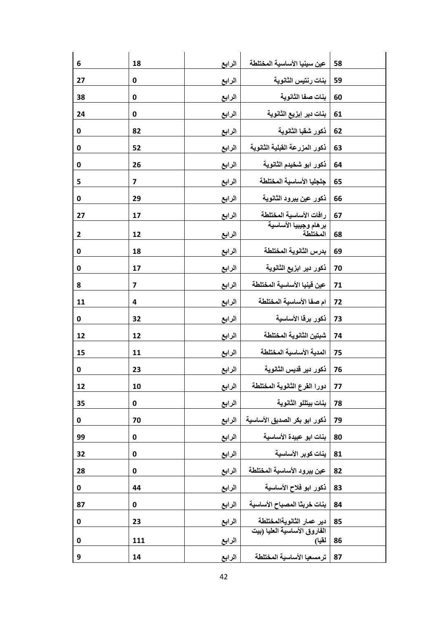| 6                       | 18                      | الرابع  | ع <u>ين سينيا</u> الأساسية المختلطة   | 58 |
|-------------------------|-------------------------|---------|---------------------------------------|----|
| 27                      | 0                       | الرابع  | بنا <u>ت رنت</u> يس الثانوية          | 59 |
| 38                      | $\mathbf 0$             | الرابع  | بنات صفا الثانوية                     | 60 |
| 24                      | $\mathbf 0$             | الرابع  | بنات دير إبزيع الثانوية               | 61 |
| 0                       | 82                      | الرابع  | ذكور شقبا الثانوية                    | 62 |
| 0                       | 52                      | الرابع  | ذكور المزرعة القبلية الثانوية         | 63 |
| 0                       | 26                      | الرابع  | ذكور ابو شخيدم الثانوية               | 64 |
| 5                       | 7                       | الرابع  | جلجليا الأساسية المختلطة              | 65 |
| $\pmb{0}$               | 29                      | الرابع  | ذكور عين يبرود الثانوية               | 66 |
| 27                      | 17                      | الرابع  | رافات الأساسية المختلطة               | 67 |
| $\overline{\mathbf{2}}$ | 12                      | الرابع  | برهام وجيبيا الأساسية<br>المختلطة     | 68 |
| 0                       | 18                      | الرابع  | بدرس الثانوية المختلطة                | 69 |
| 0                       | 17                      | الرابع  | ذكور دير ابزيع الثانوية               | 70 |
| 8                       | $\overline{\mathbf{z}}$ | الرابع  | عين قينيا الأساسية المختلطة           | 71 |
| 11                      | 4                       | الرابع  | ام صفا الأساسية المختلطة              | 72 |
| 0                       | 32                      | الرابع  | ذكور برقا الأساسية                    | 73 |
| 12                      | 12                      | الرابع  | شبتين الثانوية المختلطة               | 74 |
| 15                      | 11                      | الرابع  | المدية الأساسية المختلطة              | 75 |
| 0                       | 23                      | الرابع  | ذكور دير قديس الثانوية                | 76 |
| 12                      | 10                      | المرابع | دورا القرع الثانوية المختلطة          | 77 |
| 35                      | $\mathbf 0$             | الرابع  | بنات بيتللو الثانوية                  | 78 |
| 0                       | 70                      | الرابع  | ذكور ابو بكر الصديق الأساسية          | 79 |
| 99                      | 0                       | الرابع  | بنات ابو عبيدة الأساسية               | 80 |
| 32                      | 0                       | الرابع  | ينات كوبر الأساسية                    | 81 |
| 28                      | $\pmb{0}$               | الرابع  | عي <u>ن يبر</u> ود الأساسية المختلطة  | 82 |
| 0                       | 44                      | الرابع  | <u>ذكور ابو ف</u> لاح الأساسية        | 83 |
| 87                      | 0                       | الرابع  | بنات خربثا المصباح الأساسية           | 84 |
| 0                       | 23                      | الرابع  | دير عمار الثانويةالمختلطة             | 85 |
| $\pmb{0}$               | 111                     | الرابع  | الفاروق الأساسية العليا (بيت<br>لقيا) | 86 |
|                         |                         |         |                                       |    |
| 9                       | 14                      | الرابع  | كترمسعيا الأساسية المختلطة            | 87 |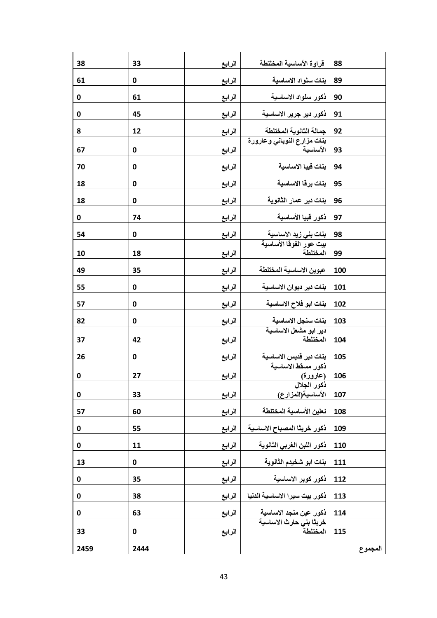| 38   | 33          | الرابع         | قراوة الأساسية المخلتطة                                              | 88      |
|------|-------------|----------------|----------------------------------------------------------------------|---------|
| 61   | $\bf{0}$    | الرابع         | بنات سلواد الاساسية                                                  | 89      |
| 0    | 61          | الرابع         | ذكور سلواد الاساسية                                                  | 90      |
| 0    | 45          | الرابع         | ذكور دير جرير الاساسية                                               | 91      |
| 8    | 12          | الرابع         | 92   جمالة الثانوية المختلطة                                         |         |
| 67   | 0           | الرابع         | بنات مزارع النوباني وعارورة<br>الأساسية                              | 93      |
| 70   | $\bf{0}$    | الرابع         | بنات قبيا الاساسية                                                   | 94      |
| 18   | $\bf{0}$    | الرابع         | بنات برقا الاساسية                                                   | 95      |
| 18   | 0           | الرابع         | بنات دير عمار الثانوية                                               | 96      |
| 0    | 74          | الرابع         | ذكور قبيا الأساسية                                                   | 97      |
| 54   | 0           | ال <u>رابع</u> |                                                                      | 98      |
| 10   | 18          | الرابع         | بنات بن <i>ي</i> زيد الاساسية<br>بيت عور الفوفا الأساسية<br>المختلطة | 99      |
| 49   | 35          | الرابع         | عبوين الاساسية المختلطة                                              | 100     |
| 55   | 0           | الرابع         | بنات دير دبوان الاساسية                                              | 101     |
| 57   | $\mathbf 0$ | الرابع         | بنات ابو فلاح الاساسية                                               | 102     |
| 82   | $\bf{0}$    | الرابع         |                                                                      | 103     |
| 37   | 42          | الرابع         | بنات سنجل الاساسية<br>دير ابو مشعل الاساسية<br>المختلطة              | 104     |
| 26   | 0           | الرابع         | 105   بنات دير قديس الاساسية                                         |         |
| 0    | 27          |                | ذكور مسقط الاساسية                                                   | 106     |
|      |             | الرابع         | (عارورة)<br>ذكور الجلال                                              |         |
| 0    | 33          | الرابع         | 107   الأساسية(المزارع)                                              |         |
| 57   | 60          | الرابع         | أ نعلين الأساسية المختلطة                                            | 108     |
| 0    | 55          | الرابع         | ذكور خربثا المصباح الاساسية                                          | 109     |
| 0    | 11          | الرابع         | ذكور اللبن الغربي الثانوية                                           | 110     |
| 13   | 0           | الرابع         | بنات ابو شخيدم الثانوية                                              | 111     |
| 0    | 35          | الرابع         | ذكور كوبر الاساسية                                                   | 112     |
| 0    | 38          | الرابع         | ذكور بيت سيرا الاساسية الدنيا                                        | 113     |
| 0    | 63          | الرابع         | <u>أكور عين منجد الا</u> ساسية<br>  خربثا بن <i>ي</i> حارث الاساسية  | 114     |
| 33   | 0           | الرابع         | المختلطة                                                             | 115     |
| 2459 | 2444        |                |                                                                      | المجموع |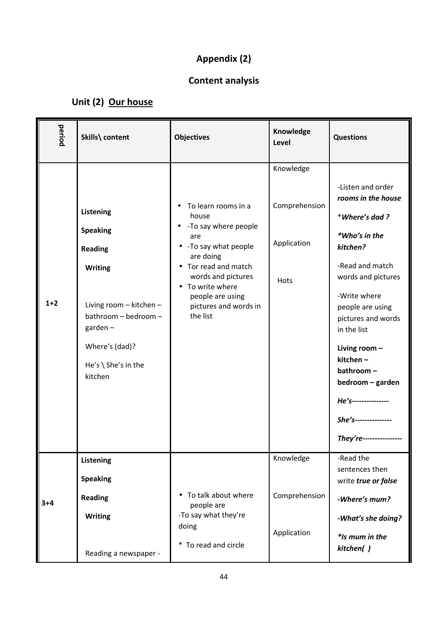## Appendix (2)

## Content analysis

## Unit (2) Our house

| period | Skills\ content                                                                                                                                                                                 | <b>Objectives</b>                                                                                                                                                                                                                            | Knowledge<br>Level                                | <b>Questions</b>                                                                                                                                                                                                                                                                                                                             |
|--------|-------------------------------------------------------------------------------------------------------------------------------------------------------------------------------------------------|----------------------------------------------------------------------------------------------------------------------------------------------------------------------------------------------------------------------------------------------|---------------------------------------------------|----------------------------------------------------------------------------------------------------------------------------------------------------------------------------------------------------------------------------------------------------------------------------------------------------------------------------------------------|
| $1+2$  | Listening<br><b>Speaking</b><br><b>Reading</b><br><b>Writing</b><br>Living room - kitchen -<br>bathroom - bedroom -<br>$garden -$<br>Where's (dad)?<br>He's $\setminus$ She's in the<br>kitchen | To learn rooms in a<br>٠<br>house<br>-To say where people<br>are<br>-To say what people<br>$\bullet$<br>are doing<br>• Tor read and match<br>words and pictures<br>• To write where<br>people are using<br>pictures and words in<br>the list | Knowledge<br>Comprehension<br>Application<br>Hots | -Listen and order<br>rooms in the house<br>*Where's dad?<br>*Who's in the<br>kitchen?<br>-Read and match<br>words and pictures<br>-Write where<br>people are using<br>pictures and words<br>in the list<br>Living room -<br>kitchen-<br>bathroom-<br>bedroom - garden<br>He's--------------<br>She's--------------<br>They're--------------- |
| $3+4$  | Listening<br><b>Speaking</b><br><b>Reading</b><br><b>Writing</b><br>Reading a newspaper -                                                                                                       | To talk about where<br>$\bullet$<br>people are<br>-To say what they're<br>doing<br>* To read and circle                                                                                                                                      | Knowledge<br>Comprehension<br>Application         | -Read the<br>sentences then<br>write true or false<br>-Where's mum?<br>-What's she doing?<br>*Is mum in the<br>kitchen()                                                                                                                                                                                                                     |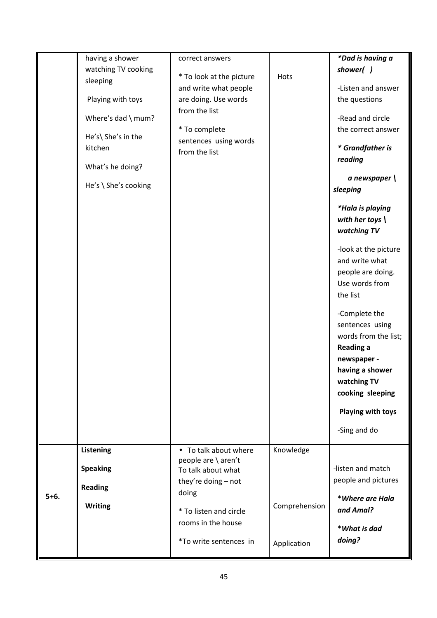|          | having a shower<br>watching TV cooking | correct answers                               |               | *Dad is having a<br>shower()                                                                                                                                                           |
|----------|----------------------------------------|-----------------------------------------------|---------------|----------------------------------------------------------------------------------------------------------------------------------------------------------------------------------------|
|          | sleeping                               | * To look at the picture                      | Hots          |                                                                                                                                                                                        |
|          | Playing with toys                      | and write what people<br>are doing. Use words |               | -Listen and answer<br>the questions                                                                                                                                                    |
|          |                                        | from the list                                 |               |                                                                                                                                                                                        |
|          | Where's dad \ mum?                     | * To complete                                 |               | -Read and circle<br>the correct answer                                                                                                                                                 |
|          | He's\ She's in the                     | sentences using words                         |               |                                                                                                                                                                                        |
|          | kitchen                                | from the list                                 |               | * Grandfather is<br>reading                                                                                                                                                            |
|          | What's he doing?                       |                                               |               |                                                                                                                                                                                        |
|          | He's \ She's cooking                   |                                               |               | $a$ newspaper $\setminus$<br>sleeping                                                                                                                                                  |
|          |                                        |                                               |               | *Hala is playing                                                                                                                                                                       |
|          |                                        |                                               |               | with her toys $\langle$<br>watching TV                                                                                                                                                 |
|          |                                        |                                               |               | -look at the picture<br>and write what<br>people are doing.<br>Use words from<br>the list                                                                                              |
|          |                                        |                                               |               | -Complete the<br>sentences using<br>words from the list;<br><b>Reading a</b><br>newspaper -<br>having a shower<br>watching TV<br>cooking sleeping<br>Playing with toys<br>-Sing and do |
|          | <b>Listening</b>                       | • To talk about where                         | Knowledge     |                                                                                                                                                                                        |
|          | <b>Speaking</b>                        | people are \ aren't<br>To talk about what     |               | -listen and match                                                                                                                                                                      |
|          |                                        | they're doing - not                           |               | people and pictures                                                                                                                                                                    |
| $5 + 6.$ | <b>Reading</b><br><b>Writing</b>       | doing                                         | Comprehension | *Where are Hala                                                                                                                                                                        |
|          |                                        | * To listen and circle                        |               | and Amal?                                                                                                                                                                              |
|          |                                        | rooms in the house                            |               | *What is dad                                                                                                                                                                           |
|          |                                        | *To write sentences in                        | Application   | doing?                                                                                                                                                                                 |
|          |                                        |                                               |               |                                                                                                                                                                                        |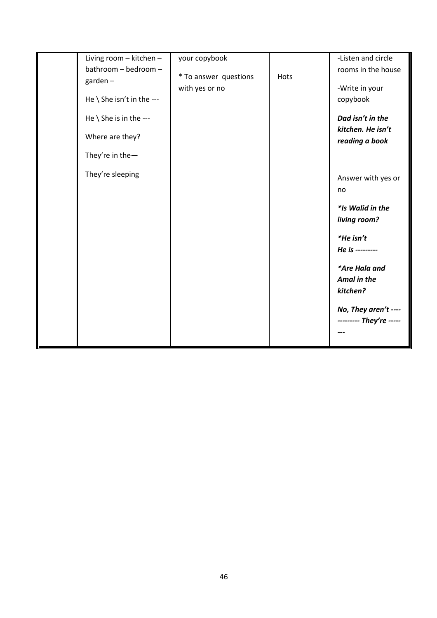|  | Living room - kitchen -              | your copybook         |      | -Listen and circle      |
|--|--------------------------------------|-----------------------|------|-------------------------|
|  | bathroom - bedroom -<br>$garden -$   |                       |      | rooms in the house      |
|  |                                      | * To answer questions | Hots |                         |
|  |                                      | with yes or no        |      | -Write in your          |
|  | He $\backslash$ She isn't in the --- |                       |      | copybook                |
|  | He $\setminus$ She is in the ---     |                       |      | Dad isn't in the        |
|  |                                      |                       |      | kitchen. He isn't       |
|  | Where are they?                      |                       |      | reading a book          |
|  |                                      |                       |      |                         |
|  | They're in the $-$                   |                       |      |                         |
|  | They're sleeping                     |                       |      |                         |
|  |                                      |                       |      | Answer with yes or      |
|  |                                      |                       |      | no                      |
|  |                                      |                       |      | *Is Walid in the        |
|  |                                      |                       |      | living room?            |
|  |                                      |                       |      |                         |
|  |                                      |                       |      | *He isn't               |
|  |                                      |                       |      | He is ---------         |
|  |                                      |                       |      | *Are Hala and           |
|  |                                      |                       |      | Amal in the             |
|  |                                      |                       |      | kitchen?                |
|  |                                      |                       |      |                         |
|  |                                      |                       |      | No, They aren't ----    |
|  |                                      |                       |      | --------- They're ----- |
|  |                                      |                       |      |                         |
|  |                                      |                       |      |                         |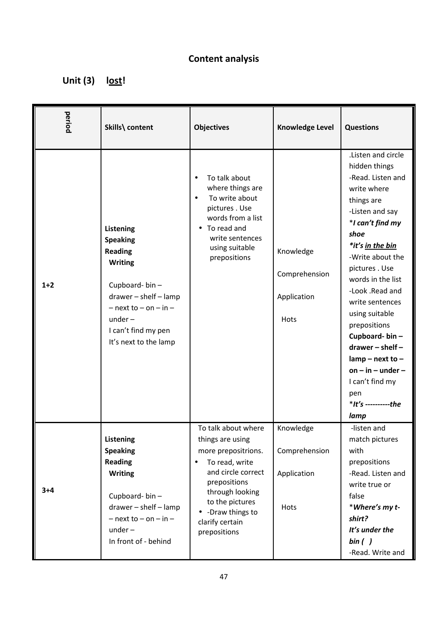## Content analysis

## Unit (3) lost!

| period  | Skills\ content                                                                                                                                                                                          | <b>Objectives</b>                                                                                                                                                                                                                 | Knowledge Level                                   | <b>Questions</b>                                                                                                                                                                                                                                                                                                                                                                                                                       |
|---------|----------------------------------------------------------------------------------------------------------------------------------------------------------------------------------------------------------|-----------------------------------------------------------------------------------------------------------------------------------------------------------------------------------------------------------------------------------|---------------------------------------------------|----------------------------------------------------------------------------------------------------------------------------------------------------------------------------------------------------------------------------------------------------------------------------------------------------------------------------------------------------------------------------------------------------------------------------------------|
| $1+2$   | Listening<br><b>Speaking</b><br><b>Reading</b><br><b>Writing</b><br>Cupboard-bin-<br>drawer - shelf - lamp<br>$-$ next to $-$ on $-$ in $-$<br>under $-$<br>I can't find my pen<br>It's next to the lamp | To talk about<br>$\bullet$<br>where things are<br>To write about<br>$\bullet$<br>pictures. Use<br>words from a list<br>To read and<br>$\bullet$<br>write sentences<br>using suitable<br>prepositions                              | Knowledge<br>Comprehension<br>Application<br>Hots | .Listen and circle<br>hidden things<br>-Read. Listen and<br>write where<br>things are<br>-Listen and say<br>*I can't find my<br>shoe<br>*it's in the bin<br>-Write about the<br>pictures. Use<br>words in the list<br>-Look .Read and<br>write sentences<br>using suitable<br>prepositions<br>Cupboard-bin-<br>$drawer - shelf -$<br>$lamp$ – next to –<br>on $-$ in $-$ under $-$<br>I can't find my<br>pen<br>$*$ It's ----------the |
| $3 + 4$ | Listening<br><b>Speaking</b><br><b>Reading</b><br><b>Writing</b><br>Cupboard-bin-<br>drawer - shelf - lamp<br>$-$ next to $-$ on $-$ in $-$<br>$under -$<br>In front of - behind                         | To talk about where<br>things are using<br>more prepositrions.<br>To read, write<br>$\bullet$<br>and circle correct<br>prepositions<br>through looking<br>to the pictures<br>• -Draw things to<br>clarify certain<br>prepositions | Knowledge<br>Comprehension<br>Application<br>Hots | lamp<br>-listen and<br>match pictures<br>with<br>prepositions<br>-Read. Listen and<br>write true or<br>false<br>*Where's my t-<br>shirt?<br>It's under the<br>bin( )<br>-Read. Write and                                                                                                                                                                                                                                               |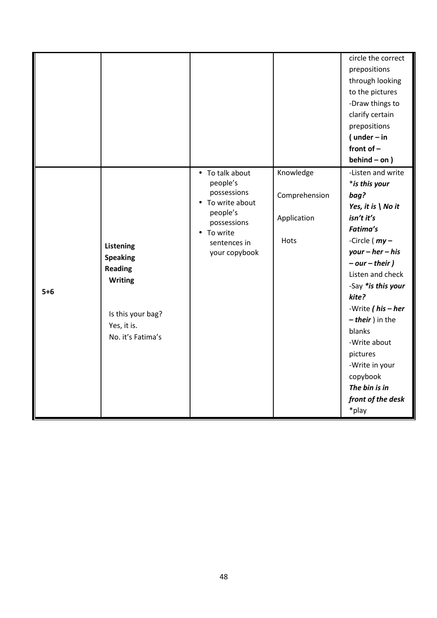|       |                                                                                                                                  |                                                                                                                                                                |                                                   | circle the correct<br>prepositions<br>through looking<br>to the pictures<br>-Draw things to<br>clarify certain<br>prepositions<br>$($ under – in<br>front of $-$<br>behind $-$ on $)$                                                                                                                                                                                    |
|-------|----------------------------------------------------------------------------------------------------------------------------------|----------------------------------------------------------------------------------------------------------------------------------------------------------------|---------------------------------------------------|--------------------------------------------------------------------------------------------------------------------------------------------------------------------------------------------------------------------------------------------------------------------------------------------------------------------------------------------------------------------------|
| $5+6$ | <b>Listening</b><br><b>Speaking</b><br><b>Reading</b><br><b>Writing</b><br>Is this your bag?<br>Yes, it is.<br>No. it's Fatima's | • To talk about<br>people's<br>possessions<br>To write about<br>$\bullet$<br>people's<br>possessions<br>To write<br>$\bullet$<br>sentences in<br>your copybook | Knowledge<br>Comprehension<br>Application<br>Hots | -Listen and write<br>* is this your<br>bag?<br>Yes, it is \ No it<br>isn't it's<br>Fatima's<br>-Circle $(my -$<br>$your - her - his$<br>$-$ our $-$ their)<br>Listen and check<br>-Say *is this your<br>kite?<br>-Write (his - her<br>- their) in the<br>blanks<br>-Write about<br>pictures<br>-Write in your<br>copybook<br>The bin is in<br>front of the desk<br>*play |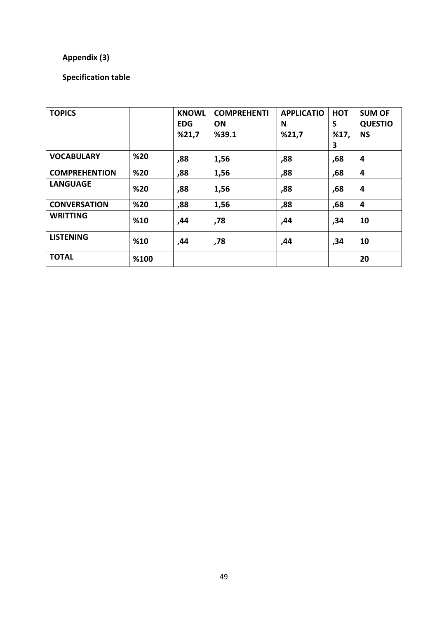## Appendix (3)

#### Specification table

| <b>TOPICS</b>        |      | <b>KNOWL</b> | <b>COMPREHENTI</b> | <b>APPLICATIO</b> | <b>HOT</b> | <b>SUM OF</b>  |
|----------------------|------|--------------|--------------------|-------------------|------------|----------------|
|                      |      | <b>EDG</b>   | <b>ON</b>          | N                 | S          | <b>QUESTIO</b> |
|                      |      | %21,7        | %39.1              | %21,7             | %17,       | <b>NS</b>      |
|                      |      |              |                    |                   | 3          |                |
| <b>VOCABULARY</b>    | %20  | ,88          | 1,56               | ,88               | ,68        | 4              |
| <b>COMPREHENTION</b> | %20  | ,88          | 1,56               | ,88               | ,68        | 4              |
| <b>LANGUAGE</b>      | %20  | ,88          | 1,56               | ,88               | ,68        | 4              |
| <b>CONVERSATION</b>  | %20  | ,88          | 1,56               | ,88               | ,68        | 4              |
| <b>WRITTING</b>      | %10  | ,44          | ,78                | ,44               | ,34        | 10             |
| <b>LISTENING</b>     | %10  | ,44          | ,78                | ,44               | 34,        | 10             |
| <b>TOTAL</b>         | %100 |              |                    |                   |            | 20             |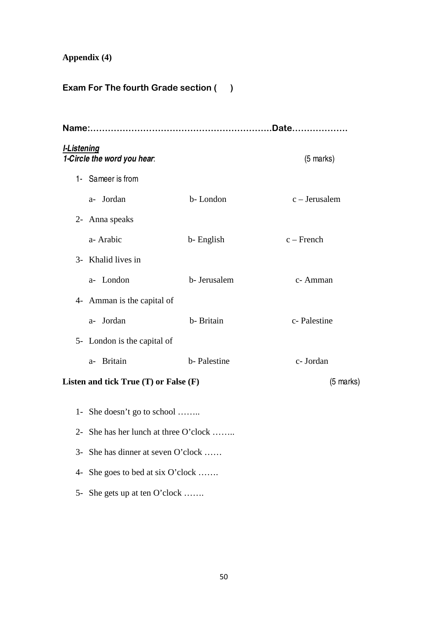## **Appendix (4)**

**Exam For The fourth Grade section ( )** 

| <b>I-Listening</b> | 1-Circle the word you hear.              |                                       | (5 marks)       |
|--------------------|------------------------------------------|---------------------------------------|-----------------|
|                    | 1- Sameer is from                        |                                       |                 |
|                    | a- Jordan                                | b-London                              | $c$ – Jerusalem |
|                    | 2- Anna speaks                           |                                       |                 |
|                    | a- Arabic                                | b-English                             | $c$ – French    |
|                    | 3- Khalid lives in                       |                                       |                 |
|                    | a- London                                | b- Jerusalem                          | c- Amman        |
|                    | 4- Amman is the capital of               |                                       |                 |
|                    | a- Jordan                                | b-Britain                             | c-Palestine     |
|                    | 5- London is the capital of              |                                       |                 |
|                    | a- Britain                               | b-Palestine                           | c- Jordan       |
|                    | Listen and tick $True(T)$ or False $(F)$ |                                       | (5 marks)       |
|                    | 1- She doesn't go to school              |                                       |                 |
|                    |                                          | 2- She has her lunch at three O'clock |                 |
| $3-$               | She has dinner at seven O'clock          |                                       |                 |
| 4-                 | She goes to bed at six O'clock           |                                       |                 |
|                    | 5- She gets up at ten O'clock            |                                       |                 |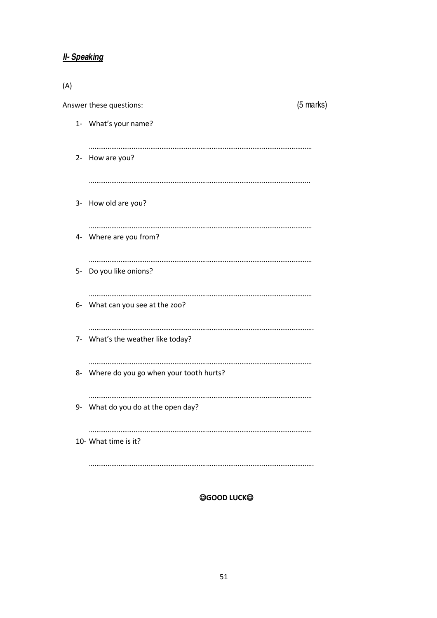## **II- Speaking**

| (A) |                                           |
|-----|-------------------------------------------|
|     | (5 marks)<br>Answer these questions:      |
|     | 1- What's your name?                      |
|     | 2- How are you?                           |
|     |                                           |
|     | 3- How old are you?                       |
|     | 4- Where are you from?                    |
|     | 5- Do you like onions?                    |
|     | 6- What can you see at the zoo?           |
|     | 7- What's the weather like today?         |
|     | 8- Where do you go when your tooth hurts? |
|     | 9- What do you do at the open day?        |
|     | 10- What time is it?                      |
|     |                                           |

**©GOOD LUCK<sup>©</sup>**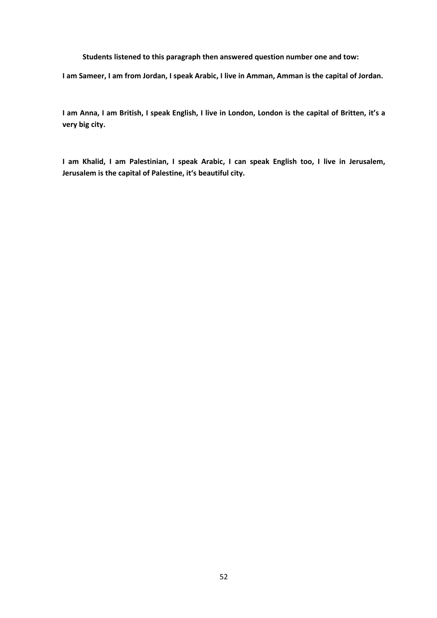Students listened to this paragraph then answered question number one and tow:

I am Sameer, I am from Jordan, I speak Arabic, I live in Amman, Amman is the capital of Jordan.

I am Anna, I am British, I speak English, I live in London, London is the capital of Britten, it's a very big city.

I am Khalid, I am Palestinian, I speak Arabic, I can speak English too, I live in Jerusalem, Jerusalem is the capital of Palestine, it's beautiful city.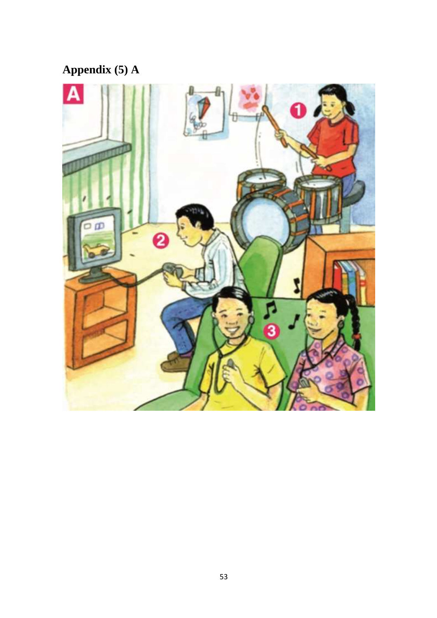# **Appendix (5) A**

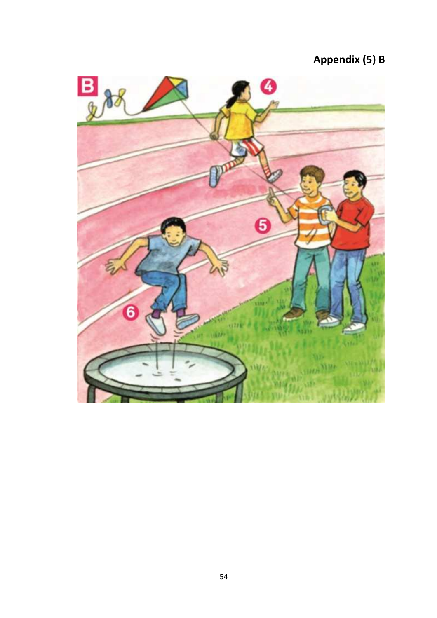# Appendix (5) B

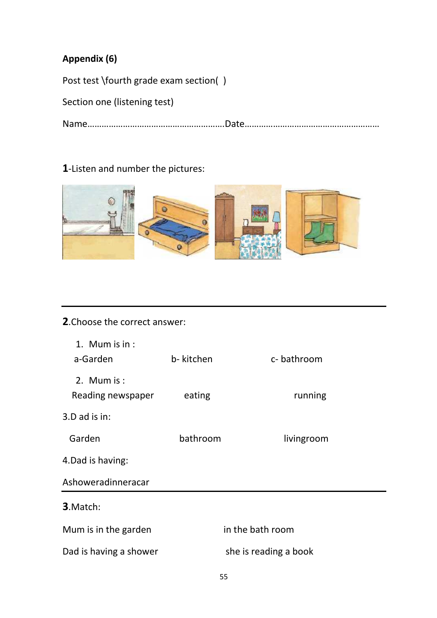## Appendix (6)

Post test \fourth grade exam section()

Section one (listening test)

Name………………………………………………….Date…………………………………………………

## 1-Listen and number the pictures:



## 2.Choose the correct answer:

| 1. Mum is $in:$<br>a-Garden                     | b- kitchen | c-bathroom |  |  |  |
|-------------------------------------------------|------------|------------|--|--|--|
| 2. Mum is:<br>Reading newspaper                 | eating     | running    |  |  |  |
| 3.D ad is in:                                   |            |            |  |  |  |
| Garden                                          | bathroom   | livingroom |  |  |  |
| 4.Dad is having:                                |            |            |  |  |  |
| Ashoweradinneracar                              |            |            |  |  |  |
| 3.Match:                                        |            |            |  |  |  |
| in the bath room<br>Mum is in the garden        |            |            |  |  |  |
| Dad is having a shower<br>she is reading a book |            |            |  |  |  |
|                                                 |            |            |  |  |  |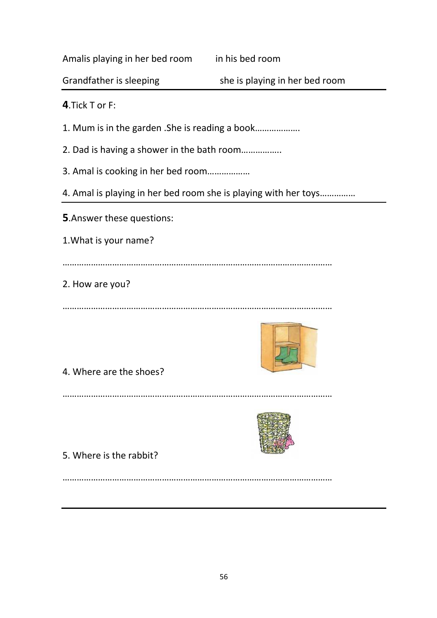| Amalis playing in her bed room                                  | in his bed room                |
|-----------------------------------------------------------------|--------------------------------|
| Grandfather is sleeping                                         | she is playing in her bed room |
| 4. Tick T or F:                                                 |                                |
| 1. Mum is in the garden . She is reading a book                 |                                |
| 2. Dad is having a shower in the bath room                      |                                |
| 3. Amal is cooking in her bed room                              |                                |
| 4. Amal is playing in her bed room she is playing with her toys |                                |
| <b>5.</b> Answer these questions:                               |                                |
| 1. What is your name?                                           |                                |
|                                                                 |                                |
| 2. How are you?                                                 |                                |
|                                                                 |                                |
| 4. Where are the shoes?                                         |                                |
| 5. Where is the rabbit?                                         |                                |
|                                                                 |                                |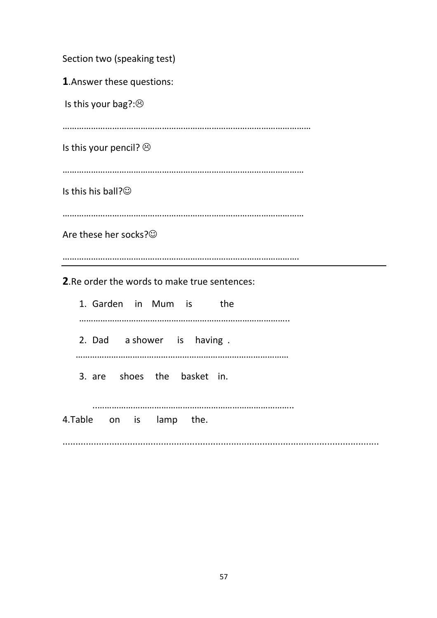Section two (speaking test)

1.Answer these questions:

Is this your bag?: $\circledcirc$ 

……………………………………………………………………………………………

Is this your pencil?  $\odot$ 

…………………………………………………………………………………………

Is this his ball?☺

…………………………………………………………………………………………

Are these her socks?☺

……………………………………………………………………………………….

2.Re order the words to make true sentences:

1. Garden in Mum is the …………………………………………………………………………….. 2. Dad a shower is having . ……………………………………………………………………………… 3. are shoes the basket in. ..……………………………………………………………………….. 4.Table on is lamp the.

..........................................................................................................................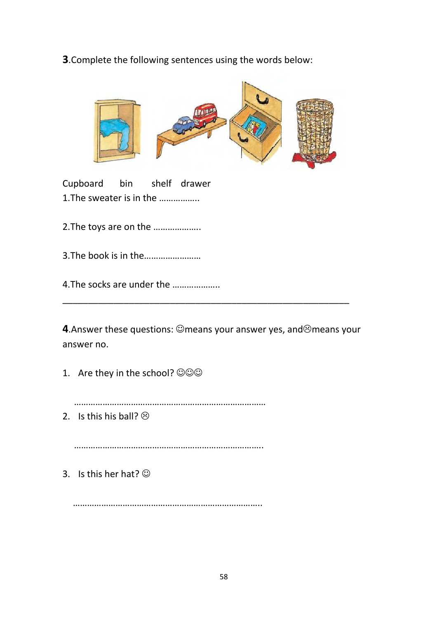3.Complete the following sentences using the words below:



Cupboard bin shelf drawer 1.The sweater is in the ……………..

2.The toys are on the ………………..

3.The book is in the……………………

4.The socks are under the ………………..

4. Answer these questions:  $\odot$  means your answer yes, and $\odot$  means your answer no.

\_\_\_\_\_\_\_\_\_\_\_\_\_\_\_\_\_\_\_\_\_\_\_\_\_\_\_\_\_\_\_\_\_\_\_\_\_\_\_\_\_\_\_\_\_\_\_\_\_\_\_\_\_\_\_\_

1. Are they in the school?  $\circledcirc\circledcirc$ 

………………………………………………………………………

2. Is this his ball?  $\odot$ 

……………………………………………………………………..

3. Is this her hat?  $\odot$ 

……………………………………………………………………..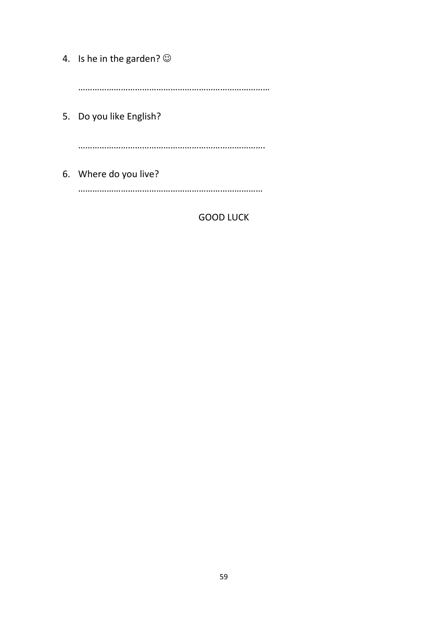4. Is he in the garden?  $\odot$ 

………………………………………………………………………

5. Do you like English?

…………………………………………………………………….

6. Where do you live?

……………………………………………………………………

## GOOD LUCK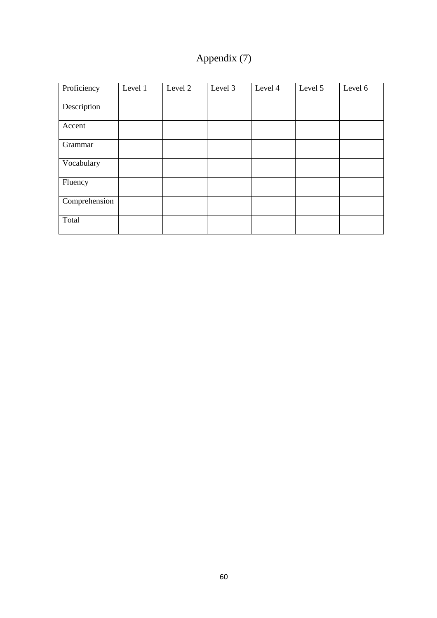## Appendix (7)

| Proficiency   | Level 1 | Level 2 | Level 3 | Level 4 | Level 5 | Level 6 |
|---------------|---------|---------|---------|---------|---------|---------|
| Description   |         |         |         |         |         |         |
| Accent        |         |         |         |         |         |         |
| Grammar       |         |         |         |         |         |         |
| Vocabulary    |         |         |         |         |         |         |
| Fluency       |         |         |         |         |         |         |
| Comprehension |         |         |         |         |         |         |
| Total         |         |         |         |         |         |         |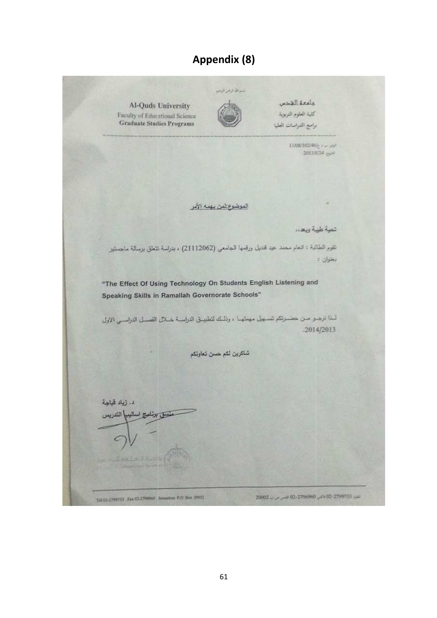## Appendix (8)

سواط لرمن الرميو وامعة الهدس **Al-Quds University** كلية العلوم التربوية Faculty of Educational Science **Graduate Studies Programs** بوامج المتواسات العليا  $13.038/102/46\delta_{\xi} > -100$ 2013/8/24 الموضوع لمن يهمه الأمر تعية طبية وبعد.. نقوم الطالبة : انعام محمد عيد قديل ورقمها الجامعي (21112062) ، بدراسة نتعلق برسالة ماجمشير بعثوان : "The Effect Of Using Technology On Students English Listening and Speaking Skills in Ramallah Governorate Schools" لْمَا ترجمو من حضرتكم تسهيل مهمتهما ، وذلك لتطبيق الدراسة خملال الفصل الدراسمي الاول  $.2014/2013$ شاكرين لكم حسن تعاونكم د. زياد قباجة منيق برنامج اساليبها التدريس Ĉ **SERVICE STATE** Tel 02-2799753 Fax 02-2796960 Jermalins P.O. Box 20002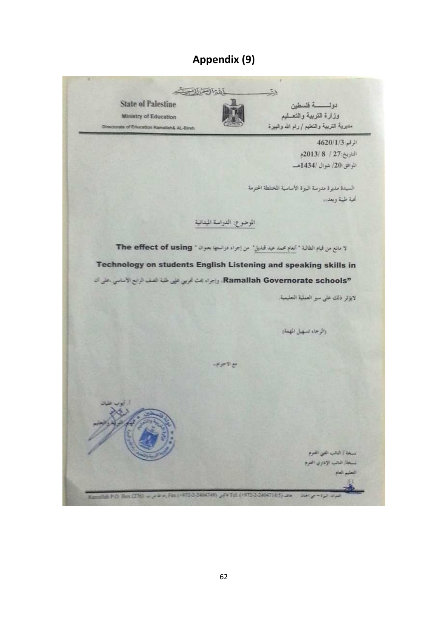## Appendix (9)

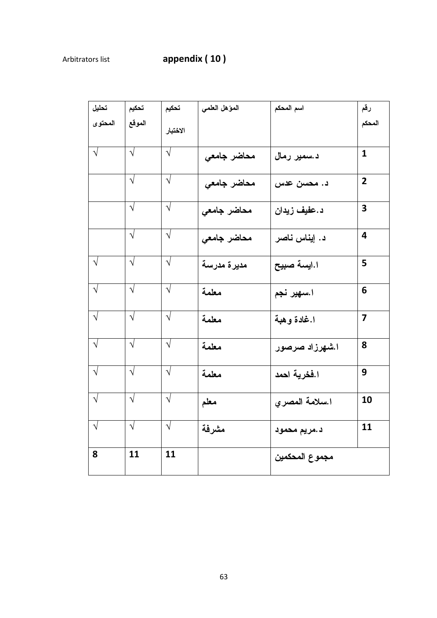| تحليل      | تحكيم      | تحكيم      | المؤهل العلمى | اسم المحكم     | رقم                     |
|------------|------------|------------|---------------|----------------|-------------------------|
| المحتوى    | الموقع     | الاختبار   |               |                | المحكم                  |
| $\sqrt{}$  | $\sqrt{}$  | $\sqrt{}$  | محاضر جامعى   | د سمير رمال    | $\mathbf{1}$            |
|            | $\sqrt{ }$ | $\sqrt{ }$ | محاضر جامعى   | د. محسن عدس    | $\overline{2}$          |
|            | $\sqrt{}$  | $\sqrt{}$  | محاضر جامعى   | د .عفيف زيدان  | 3                       |
|            | $\sqrt{}$  | $\sqrt{}$  | محاضر جامعى   | د. إيناس ناصر  | 4                       |
| $\sqrt{ }$ | $\sqrt{}$  | $\sqrt{ }$ | مديرة مدرسة   | ا.ايسة صبيح    | 5                       |
| $\sqrt{ }$ | $\sqrt{ }$ | $\sqrt{ }$ | معلمة         | ١.سهير نجم     | 6                       |
| $\sqrt{}$  | $\sqrt{}$  | $\sqrt{}$  | معلمة         | ا.غادة وهبة    | $\overline{\mathbf{z}}$ |
| $\sqrt{}$  | $\sqrt{}$  | $\sqrt{}$  | معلمة         | ا.شهرزاد صرصور | 8                       |
| $\sqrt{ }$ | $\sqrt{ }$ | $\sqrt{}$  | معلمة         | ا.فغرية احمد   | 9                       |
| $\sqrt{ }$ | $\sqrt{}$  | $\sqrt{ }$ | معلم          | ا.سلامة المصري | 10                      |
| $\sqrt{ }$ | $\sqrt{}$  | $\sqrt{ }$ | مشرفة         | د.مريم محمود   | 11                      |
| 8          | 11         | 11         |               | مجموع المحكمين |                         |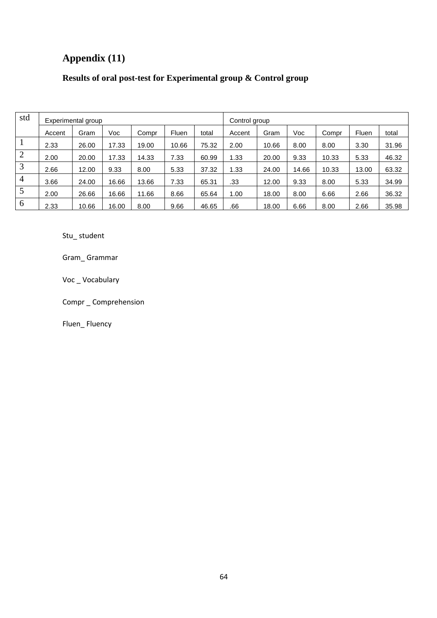# **Appendix (11)**

## **Results of oral post-test for Experimental group & Control group**

| std            | Experimental group |       |       |       |       |       | Control group |       |       |       |       |       |
|----------------|--------------------|-------|-------|-------|-------|-------|---------------|-------|-------|-------|-------|-------|
|                | Accent             | Gram  | Voc   | Compr | Fluen | total | Accent        | Gram  | Voc   | Compr | Fluen | total |
|                | 2.33               | 26.00 | 17.33 | 19.00 | 10.66 | 75.32 | 2.00          | 10.66 | 8.00  | 8.00  | 3.30  | 31.96 |
| $\overline{2}$ | 2.00               | 20.00 | 17.33 | 14.33 | 7.33  | 60.99 | 1.33          | 20.00 | 9.33  | 10.33 | 5.33  | 46.32 |
| 3              | 2.66               | 12.00 | 9.33  | 8.00  | 5.33  | 37.32 | 1.33          | 24.00 | 14.66 | 10.33 | 13.00 | 63.32 |
| $\overline{4}$ | 3.66               | 24.00 | 16.66 | 13.66 | 7.33  | 65.31 | .33           | 12.00 | 9.33  | 8.00  | 5.33  | 34.99 |
| 5              | 2.00               | 26.66 | 16.66 | 11.66 | 8.66  | 65.64 | 1.00          | 18.00 | 8.00  | 6.66  | 2.66  | 36.32 |
| 6              | 2.33               | 10.66 | 16.00 | 8.00  | 9.66  | 46.65 | .66           | 18.00 | 6.66  | 8.00  | 2.66  | 35.98 |

Stu\_ student

Gram\_ Grammar

Voc \_ Vocabulary

Compr \_ Comprehension

Fluen\_ Fluency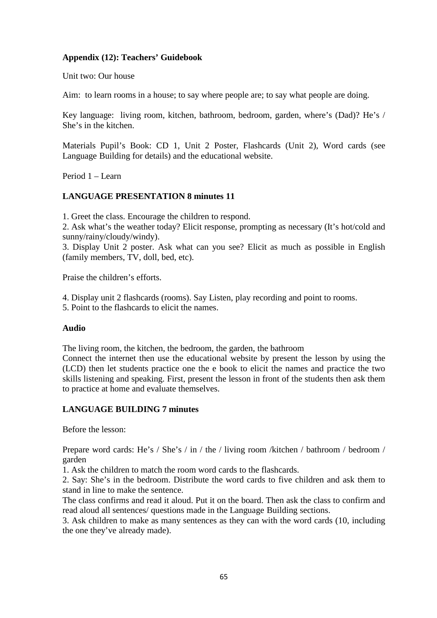## **Appendix (12): Teachers' Guidebook**

Unit two: Our house

Aim: to learn rooms in a house; to say where people are; to say what people are doing.

Key language: living room, kitchen, bathroom, bedroom, garden, where's (Dad)? He's / She's in the kitchen.

Materials Pupil's Book: CD 1, Unit 2 Poster, Flashcards (Unit 2), Word cards (see Language Building for details) and the educational website.

Period 1 – Learn

## **LANGUAGE PRESENTATION 8 minutes 11**

1. Greet the class. Encourage the children to respond.

2. Ask what's the weather today? Elicit response, prompting as necessary (It's hot/cold and sunny/rainy/cloudy/windy).

3. Display Unit 2 poster. Ask what can you see? Elicit as much as possible in English (family members, TV, doll, bed, etc).

Praise the children's efforts.

4. Display unit 2 flashcards (rooms). Say Listen, play recording and point to rooms.

5. Point to the flashcards to elicit the names.

## **Audio**

The living room, the kitchen, the bedroom, the garden, the bathroom

Connect the internet then use the educational website by present the lesson by using the (LCD) then let students practice one the e book to elicit the names and practice the two skills listening and speaking. First, present the lesson in front of the students then ask them to practice at home and evaluate themselves.

## **LANGUAGE BUILDING 7 minutes**

Before the lesson:

Prepare word cards: He's / She's / in / the / living room / kitchen / bathroom / bedroom / garden

1. Ask the children to match the room word cards to the flashcards.

2. Say: She's in the bedroom. Distribute the word cards to five children and ask them to stand in line to make the sentence.

The class confirms and read it aloud. Put it on the board. Then ask the class to confirm and read aloud all sentences/ questions made in the Language Building sections.

3. Ask children to make as many sentences as they can with the word cards (10, including the one they've already made).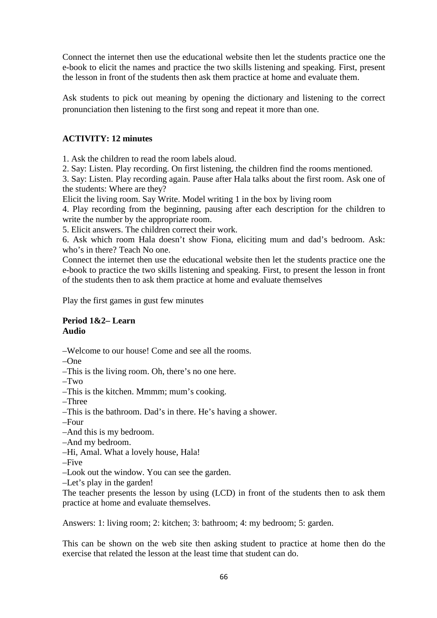Connect the internet then use the educational website then let the students practice one the e-book to elicit the names and practice the two skills listening and speaking. First, present the lesson in front of the students then ask them practice at home and evaluate them.

Ask students to pick out meaning by opening the dictionary and listening to the correct pronunciation then listening to the first song and repeat it more than one.

## **ACTIVITY: 12 minutes**

1. Ask the children to read the room labels aloud.

2. Say: Listen. Play recording. On first listening, the children find the rooms mentioned.

3. Say: Listen. Play recording again. Pause after Hala talks about the first room. Ask one of the students: Where are they?

Elicit the living room. Say Write. Model writing 1 in the box by living room

4. Play recording from the beginning, pausing after each description for the children to write the number by the appropriate room.

5. Elicit answers. The children correct their work.

6. Ask which room Hala doesn't show Fiona, eliciting mum and dad's bedroom. Ask: who's in there? Teach No one.

Connect the internet then use the educational website then let the students practice one the e-book to practice the two skills listening and speaking. First, to present the lesson in front of the students then to ask them practice at home and evaluate themselves

Play the first games in gust few minutes

## **Period 1&2– Learn Audio**

–Welcome to our house! Come and see all the rooms.

 $-One$ 

–This is the living room. Oh, there's no one here.

–Two

–This is the kitchen. Mmmm; mum's cooking.

–Three

–This is the bathroom. Dad's in there. He's having a shower.

–Four

–And this is my bedroom.

- –And my bedroom.
- –Hi, Amal. What a lovely house, Hala!

–Five

–Look out the window. You can see the garden.

–Let's play in the garden!

The teacher presents the lesson by using (LCD) in front of the students then to ask them practice at home and evaluate themselves.

Answers: 1: living room; 2: kitchen; 3: bathroom; 4: my bedroom; 5: garden.

This can be shown on the web site then asking student to practice at home then do the exercise that related the lesson at the least time that student can do.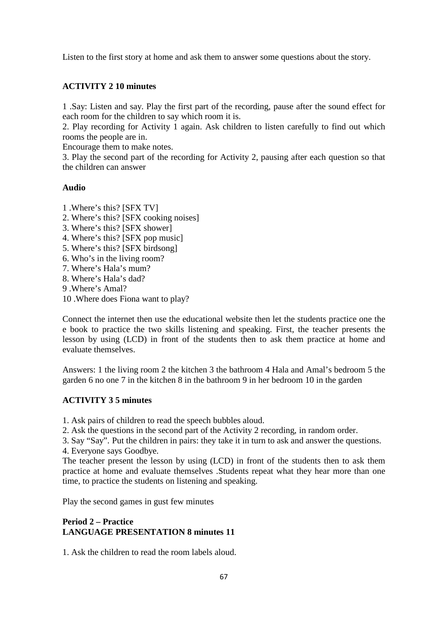Listen to the first story at home and ask them to answer some questions about the story.

## **ACTIVITY 2 10 minutes**

1 .Say: Listen and say. Play the first part of the recording, pause after the sound effect for each room for the children to say which room it is.

2. Play recording for Activity 1 again. Ask children to listen carefully to find out which rooms the people are in.

Encourage them to make notes.

3. Play the second part of the recording for Activity 2, pausing after each question so that the children can answer

## **Audio**

- 1 .Where's this? [SFX TV]
- 2. Where's this? [SFX cooking noises]
- 3. Where's this? [SFX shower]
- 4. Where's this? [SFX pop music]
- 5. Where's this? [SFX birdsong]
- 6. Who's in the living room?
- 7. Where's Hala's mum?
- 8. Where's Hala's dad?
- 9 .Where's Amal?
- 10 .Where does Fiona want to play?

Connect the internet then use the educational website then let the students practice one the e book to practice the two skills listening and speaking. First, the teacher presents the lesson by using (LCD) in front of the students then to ask them practice at home and evaluate themselves.

Answers: 1 the living room 2 the kitchen 3 the bathroom 4 Hala and Amal's bedroom 5 the garden 6 no one 7 in the kitchen 8 in the bathroom 9 in her bedroom 10 in the garden

## **ACTIVITY 3 5 minutes**

1. Ask pairs of children to read the speech bubbles aloud.

2. Ask the questions in the second part of the Activity 2 recording, in random order.

3. Say "Say". Put the children in pairs: they take it in turn to ask and answer the questions. 4. Everyone says Goodbye.

The teacher present the lesson by using (LCD) in front of the students then to ask them practice at home and evaluate themselves .Students repeat what they hear more than one time, to practice the students on listening and speaking.

Play the second games in gust few minutes

## **Period 2 – Practice LANGUAGE PRESENTATION 8 minutes 11**

1. Ask the children to read the room labels aloud.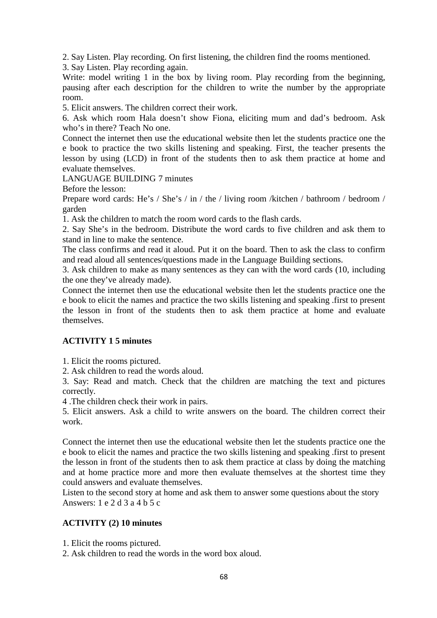2. Say Listen. Play recording. On first listening, the children find the rooms mentioned.

3. Say Listen. Play recording again.

Write: model writing 1 in the box by living room. Play recording from the beginning, pausing after each description for the children to write the number by the appropriate room.

5. Elicit answers. The children correct their work.

6. Ask which room Hala doesn't show Fiona, eliciting mum and dad's bedroom. Ask who's in there? Teach No one.

Connect the internet then use the educational website then let the students practice one the e book to practice the two skills listening and speaking. First, the teacher presents the lesson by using (LCD) in front of the students then to ask them practice at home and evaluate themselves.

LANGUAGE BUILDING 7 minutes

Before the lesson:

Prepare word cards: He's / She's / in / the / living room /kitchen / bathroom / bedroom / garden

1. Ask the children to match the room word cards to the flash cards.

2. Say She's in the bedroom. Distribute the word cards to five children and ask them to stand in line to make the sentence.

The class confirms and read it aloud. Put it on the board. Then to ask the class to confirm and read aloud all sentences/questions made in the Language Building sections.

3. Ask children to make as many sentences as they can with the word cards (10, including the one they've already made).

Connect the internet then use the educational website then let the students practice one the e book to elicit the names and practice the two skills listening and speaking .first to present the lesson in front of the students then to ask them practice at home and evaluate themselves.

## **ACTIVITY 1 5 minutes**

1. Elicit the rooms pictured.

2. Ask children to read the words aloud.

3. Say: Read and match. Check that the children are matching the text and pictures correctly.

4 .The children check their work in pairs.

5. Elicit answers. Ask a child to write answers on the board. The children correct their work.

Connect the internet then use the educational website then let the students practice one the e book to elicit the names and practice the two skills listening and speaking .first to present the lesson in front of the students then to ask them practice at class by doing the matching and at home practice more and more then evaluate themselves at the shortest time they could answers and evaluate themselves.

Listen to the second story at home and ask them to answer some questions about the story Answers: 1 e 2 d 3 a 4 b 5 c

## **ACTIVITY (2) 10 minutes**

1. Elicit the rooms pictured.

2. Ask children to read the words in the word box aloud.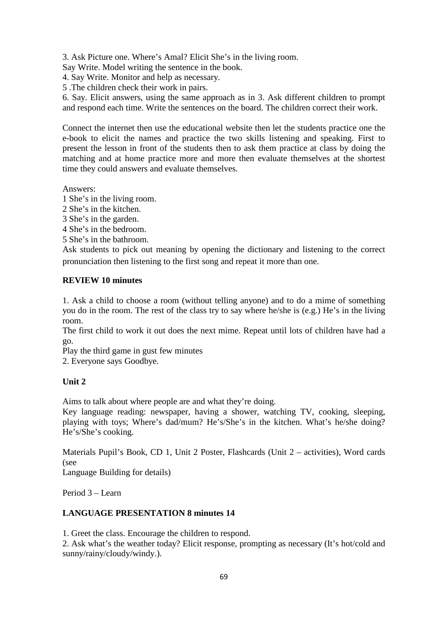3. Ask Picture one. Where's Amal? Elicit She's in the living room.

Say Write. Model writing the sentence in the book.

4. Say Write. Monitor and help as necessary.

5 .The children check their work in pairs.

6. Say. Elicit answers, using the same approach as in 3. Ask different children to prompt and respond each time. Write the sentences on the board. The children correct their work.

Connect the internet then use the educational website then let the students practice one the e-book to elicit the names and practice the two skills listening and speaking. First to present the lesson in front of the students then to ask them practice at class by doing the matching and at home practice more and more then evaluate themselves at the shortest time they could answers and evaluate themselves.

Answers:

1 She's in the living room.

2 She's in the kitchen.

3 She's in the garden.

4 She's in the bedroom.

5 She's in the bathroom.

Ask students to pick out meaning by opening the dictionary and listening to the correct pronunciation then listening to the first song and repeat it more than one.

#### **REVIEW 10 minutes**

1. Ask a child to choose a room (without telling anyone) and to do a mime of something you do in the room. The rest of the class try to say where he/she is (e.g.) He's in the living room.

The first child to work it out does the next mime. Repeat until lots of children have had a go.

Play the third game in gust few minutes

2. Everyone says Goodbye.

## **Unit 2**

Aims to talk about where people are and what they're doing.

Key language reading: newspaper, having a shower, watching TV, cooking, sleeping, playing with toys; Where's dad/mum? He's/She's in the kitchen. What's he/she doing? He's/She's cooking.

Materials Pupil's Book, CD 1, Unit 2 Poster, Flashcards (Unit 2 – activities), Word cards (see

Language Building for details)

Period 3 – Learn

## **LANGUAGE PRESENTATION 8 minutes 14**

1. Greet the class. Encourage the children to respond.

2. Ask what's the weather today? Elicit response, prompting as necessary (It's hot/cold and sunny/rainy/cloudy/windy.).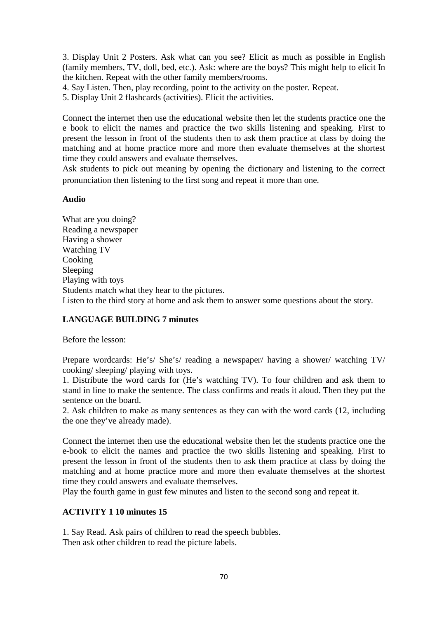3. Display Unit 2 Posters. Ask what can you see? Elicit as much as possible in English (family members, TV, doll, bed, etc.). Ask: where are the boys? This might help to elicit In the kitchen. Repeat with the other family members/rooms.

4. Say Listen. Then, play recording, point to the activity on the poster. Repeat.

5. Display Unit 2 flashcards (activities). Elicit the activities.

Connect the internet then use the educational website then let the students practice one the e book to elicit the names and practice the two skills listening and speaking. First to present the lesson in front of the students then to ask them practice at class by doing the matching and at home practice more and more then evaluate themselves at the shortest time they could answers and evaluate themselves.

Ask students to pick out meaning by opening the dictionary and listening to the correct pronunciation then listening to the first song and repeat it more than one.

#### **Audio**

What are you doing? Reading a newspaper Having a shower Watching TV Cooking Sleeping Playing with toys Students match what they hear to the pictures. Listen to the third story at home and ask them to answer some questions about the story.

## **LANGUAGE BUILDING 7 minutes**

Before the lesson:

Prepare wordcards: He's/ She's/ reading a newspaper/ having a shower/ watching TV/ cooking/ sleeping/ playing with toys.

1. Distribute the word cards for (He's watching TV). To four children and ask them to stand in line to make the sentence. The class confirms and reads it aloud. Then they put the sentence on the board.

2. Ask children to make as many sentences as they can with the word cards (12, including the one they've already made).

Connect the internet then use the educational website then let the students practice one the e-book to elicit the names and practice the two skills listening and speaking. First to present the lesson in front of the students then to ask them practice at class by doing the matching and at home practice more and more then evaluate themselves at the shortest time they could answers and evaluate themselves.

Play the fourth game in gust few minutes and listen to the second song and repeat it.

## **ACTIVITY 1 10 minutes 15**

1. Say Read. Ask pairs of children to read the speech bubbles.

Then ask other children to read the picture labels.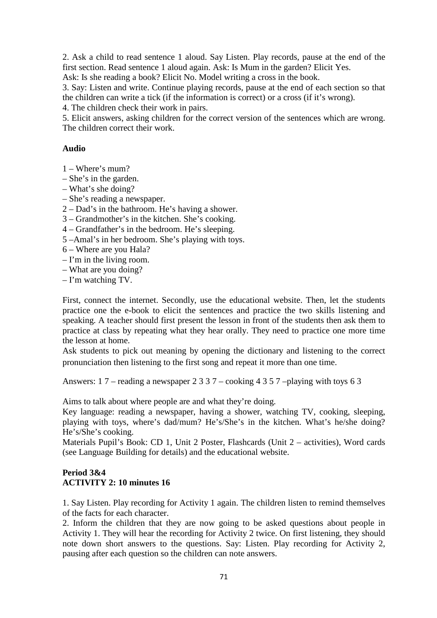2. Ask a child to read sentence 1 aloud. Say Listen. Play records, pause at the end of the first section. Read sentence 1 aloud again. Ask: Is Mum in the garden? Elicit Yes.

Ask: Is she reading a book? Elicit No. Model writing a cross in the book.

3. Say: Listen and write. Continue playing records, pause at the end of each section so that the children can write a tick (if the information is correct) or a cross (if it's wrong).

4. The children check their work in pairs.

5. Elicit answers, asking children for the correct version of the sentences which are wrong. The children correct their work.

## **Audio**

 $1 -$ Where's mum?

– She's in the garden.

- What's she doing?
- She's reading a newspaper.
- 2 Dad's in the bathroom. He's having a shower.
- 3 Grandmother's in the kitchen. She's cooking.
- 4 Grandfather's in the bedroom. He's sleeping.
- 5 –Amal's in her bedroom. She's playing with toys.

6 – Where are you Hala?

- I'm in the living room.
- What are you doing?
- I'm watching TV.

First, connect the internet. Secondly, use the educational website. Then, let the students practice one the e-book to elicit the sentences and practice the two skills listening and speaking. A teacher should first present the lesson in front of the students then ask them to practice at class by repeating what they hear orally. They need to practice one more time the lesson at home.

Ask students to pick out meaning by opening the dictionary and listening to the correct pronunciation then listening to the first song and repeat it more than one time.

Answers:  $17$  – reading a newspaper  $2 \times 3 \times 7$  – cooking  $4 \times 3 \times 7$  –playing with toys 6 3

Aims to talk about where people are and what they're doing.

Key language: reading a newspaper, having a shower, watching TV, cooking, sleeping, playing with toys, where's dad/mum? He's/She's in the kitchen. What's he/she doing? He's/She's cooking.

Materials Pupil's Book: CD 1, Unit 2 Poster, Flashcards (Unit 2 – activities), Word cards (see Language Building for details) and the educational website.

## **Period 3&4 ACTIVITY 2: 10 minutes 16**

1. Say Listen. Play recording for Activity 1 again. The children listen to remind themselves of the facts for each character.

2. Inform the children that they are now going to be asked questions about people in Activity 1. They will hear the recording for Activity 2 twice. On first listening, they should note down short answers to the questions. Say: Listen. Play recording for Activity 2, pausing after each question so the children can note answers.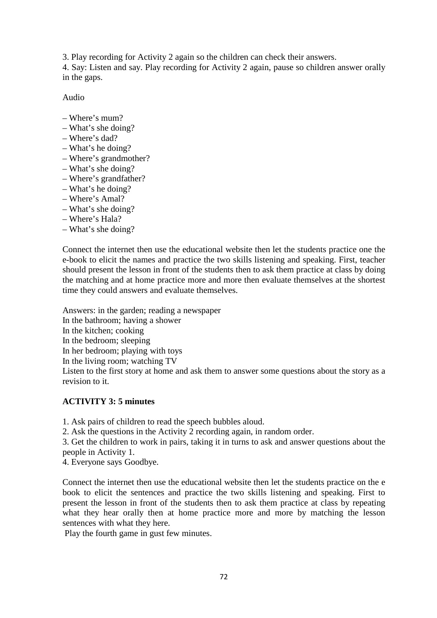3. Play recording for Activity 2 again so the children can check their answers.

4. Say: Listen and say. Play recording for Activity 2 again, pause so children answer orally in the gaps.

Audio

- Where's mum?
- What's she doing?
- Where's dad?
- What's he doing?
- Where's grandmother?
- What's she doing?
- Where's grandfather?
- What's he doing?
- Where's Amal?
- What's she doing?
- Where's Hala?
- What's she doing?

Connect the internet then use the educational website then let the students practice one the e-book to elicit the names and practice the two skills listening and speaking. First, teacher should present the lesson in front of the students then to ask them practice at class by doing the matching and at home practice more and more then evaluate themselves at the shortest time they could answers and evaluate themselves.

Answers: in the garden; reading a newspaper

In the bathroom; having a shower

In the kitchen; cooking

In the bedroom; sleeping

In her bedroom; playing with toys

In the living room; watching TV

Listen to the first story at home and ask them to answer some questions about the story as a revision to it.

## **ACTIVITY 3: 5 minutes**

1. Ask pairs of children to read the speech bubbles aloud.

2. Ask the questions in the Activity 2 recording again, in random order.

3. Get the children to work in pairs, taking it in turns to ask and answer questions about the people in Activity 1.

4. Everyone says Goodbye.

Connect the internet then use the educational website then let the students practice on the e book to elicit the sentences and practice the two skills listening and speaking. First to present the lesson in front of the students then to ask them practice at class by repeating what they hear orally then at home practice more and more by matching the lesson sentences with what they here.

Play the fourth game in gust few minutes.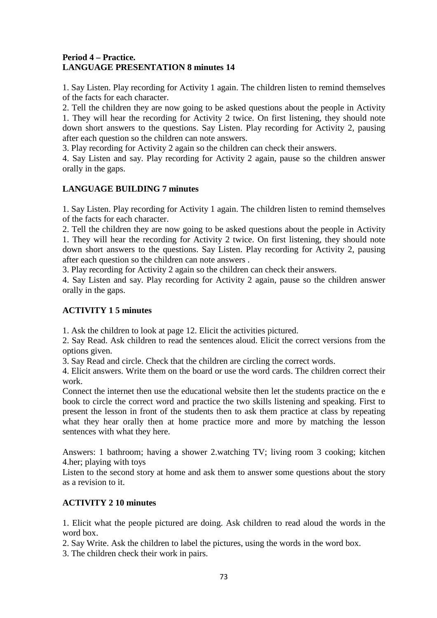## **Period 4 – Practice. LANGUAGE PRESENTATION 8 minutes 14**

1. Say Listen. Play recording for Activity 1 again. The children listen to remind themselves of the facts for each character.

2. Tell the children they are now going to be asked questions about the people in Activity 1. They will hear the recording for Activity 2 twice. On first listening, they should note down short answers to the questions. Say Listen. Play recording for Activity 2, pausing after each question so the children can note answers.

3. Play recording for Activity 2 again so the children can check their answers.

4. Say Listen and say. Play recording for Activity 2 again, pause so the children answer orally in the gaps.

## **LANGUAGE BUILDING 7 minutes**

1. Say Listen. Play recording for Activity 1 again. The children listen to remind themselves of the facts for each character.

2. Tell the children they are now going to be asked questions about the people in Activity 1. They will hear the recording for Activity 2 twice. On first listening, they should note down short answers to the questions. Say Listen. Play recording for Activity 2, pausing after each question so the children can note answers .

3. Play recording for Activity 2 again so the children can check their answers.

4. Say Listen and say. Play recording for Activity 2 again, pause so the children answer orally in the gaps.

## **ACTIVITY 1 5 minutes**

1. Ask the children to look at page 12. Elicit the activities pictured.

2. Say Read. Ask children to read the sentences aloud. Elicit the correct versions from the options given.

3. Say Read and circle. Check that the children are circling the correct words.

4. Elicit answers. Write them on the board or use the word cards. The children correct their work.

Connect the internet then use the educational website then let the students practice on the e book to circle the correct word and practice the two skills listening and speaking. First to present the lesson in front of the students then to ask them practice at class by repeating what they hear orally then at home practice more and more by matching the lesson sentences with what they here.

Answers: 1 bathroom; having a shower 2.watching TV; living room 3 cooking; kitchen 4.her; playing with toys

Listen to the second story at home and ask them to answer some questions about the story as a revision to it.

## **ACTIVITY 2 10 minutes**

1. Elicit what the people pictured are doing. Ask children to read aloud the words in the word box.

2. Say Write. Ask the children to label the pictures, using the words in the word box.

3. The children check their work in pairs.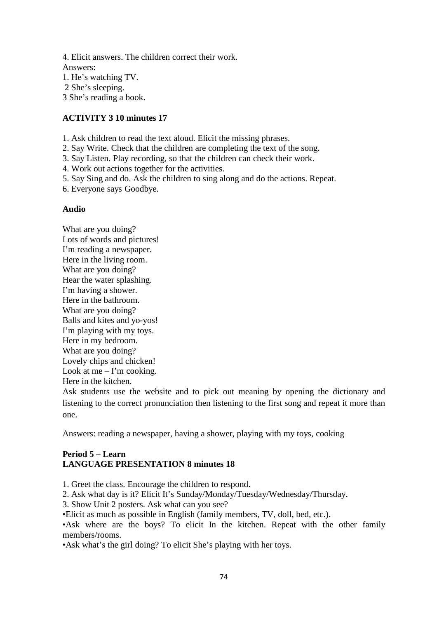4. Elicit answers. The children correct their work. Answers: 1. He's watching TV. 2 She's sleeping.

3 She's reading a book.

## **ACTIVITY 3 10 minutes 17**

1. Ask children to read the text aloud. Elicit the missing phrases.

2. Say Write. Check that the children are completing the text of the song.

3. Say Listen. Play recording, so that the children can check their work.

4. Work out actions together for the activities.

5. Say Sing and do. Ask the children to sing along and do the actions. Repeat.

6. Everyone says Goodbye.

#### **Audio**

What are you doing? Lots of words and pictures! I'm reading a newspaper. Here in the living room. What are you doing? Hear the water splashing. I'm having a shower. Here in the bathroom. What are you doing? Balls and kites and yo-yos! I'm playing with my toys. Here in my bedroom. What are you doing? Lovely chips and chicken! Look at me  $-$  I'm cooking. Here in the kitchen.

Ask students use the website and to pick out meaning by opening the dictionary and listening to the correct pronunciation then listening to the first song and repeat it more than one.

Answers: reading a newspaper, having a shower, playing with my toys, cooking

## **Period 5 – Learn LANGUAGE PRESENTATION 8 minutes 18**

1. Greet the class. Encourage the children to respond.

2. Ask what day is it? Elicit It's Sunday/Monday/Tuesday/Wednesday/Thursday.

3. Show Unit 2 posters. Ask what can you see?

•Elicit as much as possible in English (family members, TV, doll, bed, etc.).

•Ask where are the boys? To elicit In the kitchen. Repeat with the other family members/rooms.

•Ask what's the girl doing? To elicit She's playing with her toys.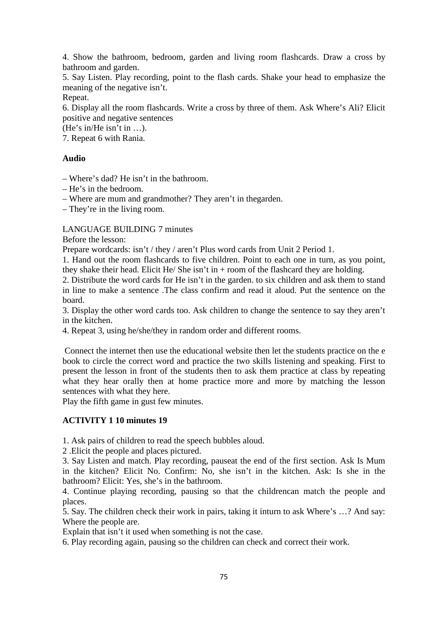4. Show the bathroom, bedroom, garden and living room flashcards. Draw a cross by bathroom and garden.

5. Say Listen. Play recording, point to the flash cards. Shake your head to emphasize the meaning of the negative isn't.

Repeat.

6. Display all the room flashcards. Write a cross by three of them. Ask Where's Ali? Elicit positive and negative sentences

(He's in/He isn't in …).

7. Repeat 6 with Rania.

## **Audio**

– Where's dad? He isn't in the bathroom.

– He's in the bedroom.

– Where are mum and grandmother? They aren't in thegarden.

– They're in the living room.

LANGUAGE BUILDING 7 minutes

Before the lesson:

Prepare wordcards: isn't / they / aren't Plus word cards from Unit 2 Period 1.

1. Hand out the room flashcards to five children. Point to each one in turn, as you point, they shake their head. Elicit He/ She isn't in + room of the flashcard they are holding.

2. Distribute the word cards for He isn't in the garden. to six children and ask them to stand in line to make a sentence .The class confirm and read it aloud. Put the sentence on the board.

3. Display the other word cards too. Ask children to change the sentence to say they aren't in the kitchen.

4. Repeat 3, using he/she/they in random order and different rooms.

 Connect the internet then use the educational website then let the students practice on the e book to circle the correct word and practice the two skills listening and speaking. First to present the lesson in front of the students then to ask them practice at class by repeating what they hear orally then at home practice more and more by matching the lesson sentences with what they here.

Play the fifth game in gust few minutes.

## **ACTIVITY 1 10 minutes 19**

1. Ask pairs of children to read the speech bubbles aloud.

2 .Elicit the people and places pictured.

3. Say Listen and match. Play recording, pauseat the end of the first section. Ask Is Mum in the kitchen? Elicit No. Confirm: No, she isn't in the kitchen. Ask: Is she in the bathroom? Elicit: Yes, she's in the bathroom.

4. Continue playing recording, pausing so that the childrencan match the people and places.

5. Say. The children check their work in pairs, taking it inturn to ask Where's …? And say: Where the people are.

Explain that isn't it used when something is not the case.

6. Play recording again, pausing so the children can check and correct their work.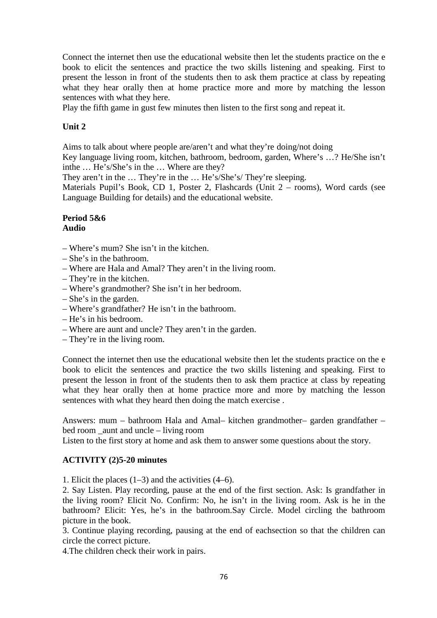Connect the internet then use the educational website then let the students practice on the e book to elicit the sentences and practice the two skills listening and speaking. First to present the lesson in front of the students then to ask them practice at class by repeating what they hear orally then at home practice more and more by matching the lesson sentences with what they here.

Play the fifth game in gust few minutes then listen to the first song and repeat it.

## **Unit 2**

Aims to talk about where people are/aren't and what they're doing/not doing Key language living room, kitchen, bathroom, bedroom, garden, Where's …? He/She isn't

inthe … He's/She's in the … Where are they?

They aren't in the ... They're in the ... He's/She's/ They're sleeping.

Materials Pupil's Book, CD 1, Poster 2, Flashcards (Unit 2 – rooms), Word cards (see Language Building for details) and the educational website.

#### **Period 5&6 Audio**

- $-$  Where's mum? She isn't in the kitchen.
- She's in the bathroom.
- Where are Hala and Amal? They aren't in the living room.
- They're in the kitchen.
- Where's grandmother? She isn't in her bedroom.
- She's in the garden.
- Where's grandfather? He isn't in the bathroom.
- He's in his bedroom.
- Where are aunt and uncle? They aren't in the garden.
- They're in the living room.

Connect the internet then use the educational website then let the students practice on the e book to elicit the sentences and practice the two skills listening and speaking. First to present the lesson in front of the students then to ask them practice at class by repeating what they hear orally then at home practice more and more by matching the lesson sentences with what they heard then doing the match exercise .

Answers: mum – bathroom Hala and Amal– kitchen grandmother– garden grandfather – bed room aunt and uncle – living room

Listen to the first story at home and ask them to answer some questions about the story.

## **ACTIVITY (2)5-20 minutes**

1. Elicit the places  $(1-3)$  and the activities  $(4-6)$ .

2. Say Listen. Play recording, pause at the end of the first section. Ask: Is grandfather in the living room? Elicit No. Confirm: No, he isn't in the living room. Ask is he in the bathroom? Elicit: Yes, he's in the bathroom.Say Circle. Model circling the bathroom picture in the book.

3. Continue playing recording, pausing at the end of eachsection so that the children can circle the correct picture.

4.The children check their work in pairs.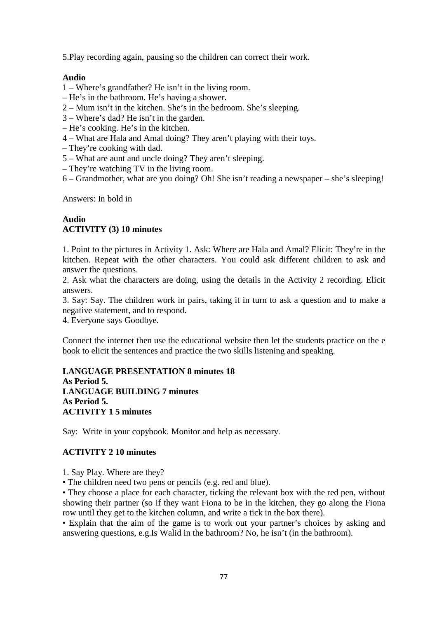5.Play recording again, pausing so the children can correct their work.

## **Audio**

1 – Where's grandfather? He isn't in the living room.

- He's in the bathroom. He's having a shower.
- 2 Mum isn't in the kitchen. She's in the bedroom. She's sleeping.
- 3 Where's dad? He isn't in the garden.
- He's cooking. He's in the kitchen.
- 4 What are Hala and Amal doing? They aren't playing with their toys.
- They're cooking with dad.
- 5 What are aunt and uncle doing? They aren't sleeping.
- They're watching TV in the living room.
- 6 Grandmother, what are you doing? Oh! She isn't reading a newspaper she's sleeping!

Answers: In bold in

#### **Audio ACTIVITY (3) 10 minutes**

1. Point to the pictures in Activity 1. Ask: Where are Hala and Amal? Elicit: They're in the kitchen. Repeat with the other characters. You could ask different children to ask and answer the questions.

2. Ask what the characters are doing, using the details in the Activity 2 recording. Elicit answers.

3. Say: Say. The children work in pairs, taking it in turn to ask a question and to make a negative statement, and to respond.

4. Everyone says Goodbye.

Connect the internet then use the educational website then let the students practice on the e book to elicit the sentences and practice the two skills listening and speaking.

#### **LANGUAGE PRESENTATION 8 minutes 18 As Period 5. LANGUAGE BUILDING 7 minutes As Period 5. ACTIVITY 1 5 minutes**

Say: Write in your copybook. Monitor and help as necessary.

#### **ACTIVITY 2 10 minutes**

1. Say Play. Where are they?

• The children need two pens or pencils (e.g. red and blue).

• They choose a place for each character, ticking the relevant box with the red pen, without showing their partner (so if they want Fiona to be in the kitchen, they go along the Fiona row until they get to the kitchen column, and write a tick in the box there).

• Explain that the aim of the game is to work out your partner's choices by asking and answering questions, e.g.Is Walid in the bathroom? No, he isn't (in the bathroom).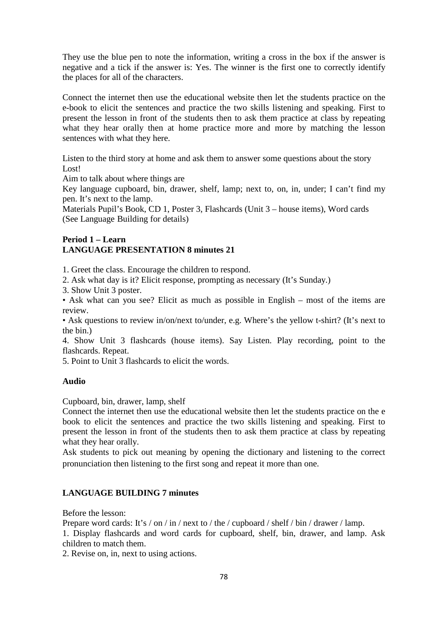They use the blue pen to note the information, writing a cross in the box if the answer is negative and a tick if the answer is: Yes. The winner is the first one to correctly identify the places for all of the characters.

Connect the internet then use the educational website then let the students practice on the e-book to elicit the sentences and practice the two skills listening and speaking. First to present the lesson in front of the students then to ask them practice at class by repeating what they hear orally then at home practice more and more by matching the lesson sentences with what they here.

Listen to the third story at home and ask them to answer some questions about the story Lost!

Aim to talk about where things are

Key language cupboard, bin, drawer, shelf, lamp; next to, on, in, under; I can't find my pen. It's next to the lamp.

Materials Pupil's Book, CD 1, Poster 3, Flashcards (Unit 3 – house items), Word cards (See Language Building for details)

#### **Period 1 – Learn LANGUAGE PRESENTATION 8 minutes 21**

1. Greet the class. Encourage the children to respond.

2. Ask what day is it? Elicit response, prompting as necessary (It's Sunday.)

3. Show Unit 3 poster.

• Ask what can you see? Elicit as much as possible in English – most of the items are review.

• Ask questions to review in/on/next to/under, e.g. Where's the yellow t-shirt? (It's next to the bin.)

4. Show Unit 3 flashcards (house items). Say Listen. Play recording, point to the flashcards. Repeat.

5. Point to Unit 3 flashcards to elicit the words.

## **Audio**

Cupboard, bin, drawer, lamp, shelf

Connect the internet then use the educational website then let the students practice on the e book to elicit the sentences and practice the two skills listening and speaking. First to present the lesson in front of the students then to ask them practice at class by repeating what they hear orally.

Ask students to pick out meaning by opening the dictionary and listening to the correct pronunciation then listening to the first song and repeat it more than one.

## **LANGUAGE BUILDING 7 minutes**

Before the lesson:

Prepare word cards: It's / on / in / next to / the / cupboard / shelf / bin / drawer / lamp.

1. Display flashcards and word cards for cupboard, shelf, bin, drawer, and lamp. Ask children to match them.

2. Revise on, in, next to using actions.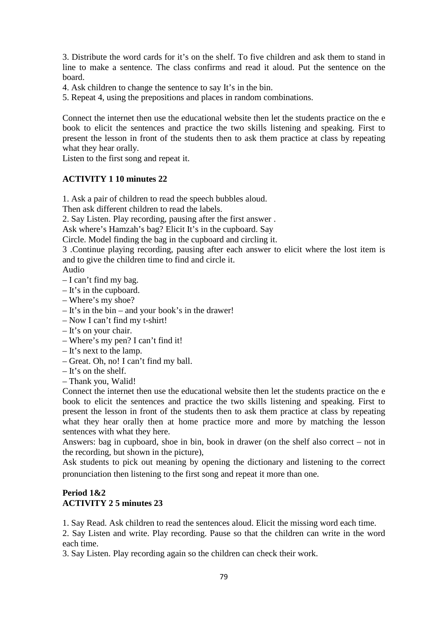3. Distribute the word cards for it's on the shelf. To five children and ask them to stand in line to make a sentence. The class confirms and read it aloud. Put the sentence on the board.

4. Ask children to change the sentence to say It's in the bin.

5. Repeat 4, using the prepositions and places in random combinations.

Connect the internet then use the educational website then let the students practice on the e book to elicit the sentences and practice the two skills listening and speaking. First to present the lesson in front of the students then to ask them practice at class by repeating what they hear orally.

Listen to the first song and repeat it.

## **ACTIVITY 1 10 minutes 22**

1. Ask a pair of children to read the speech bubbles aloud.

Then ask different children to read the labels.

2. Say Listen. Play recording, pausing after the first answer .

Ask where's Hamzah's bag? Elicit It's in the cupboard. Say

Circle. Model finding the bag in the cupboard and circling it.

3 .Continue playing recording, pausing after each answer to elicit where the lost item is and to give the children time to find and circle it.

- Audio
- I can't find my bag.
- It's in the cupboard.
- Where's my shoe?
- It's in the bin and your book's in the drawer!
- Now I can't find my t-shirt!
- It's on your chair.
- Where's my pen? I can't find it!
- It's next to the lamp.
- Great. Oh, no! I can't find my ball.
- It's on the shelf.
- Thank you, Walid!

Connect the internet then use the educational website then let the students practice on the e book to elicit the sentences and practice the two skills listening and speaking. First to present the lesson in front of the students then to ask them practice at class by repeating what they hear orally then at home practice more and more by matching the lesson sentences with what they here.

Answers: bag in cupboard, shoe in bin, book in drawer (on the shelf also correct – not in the recording, but shown in the picture),

Ask students to pick out meaning by opening the dictionary and listening to the correct pronunciation then listening to the first song and repeat it more than one.

## **Period 1&2 ACTIVITY 2 5 minutes 23**

1. Say Read. Ask children to read the sentences aloud. Elicit the missing word each time.

2. Say Listen and write. Play recording. Pause so that the children can write in the word each time.

3. Say Listen. Play recording again so the children can check their work.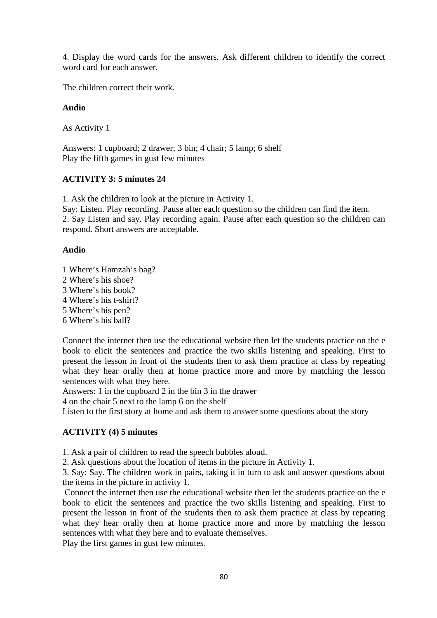4. Display the word cards for the answers. Ask different children to identify the correct word card for each answer.

The children correct their work.

## **Audio**

As Activity 1

Answers: 1 cupboard; 2 drawer; 3 bin; 4 chair; 5 lamp; 6 shelf Play the fifth games in gust few minutes

## **ACTIVITY 3: 5 minutes 24**

1. Ask the children to look at the picture in Activity 1.

Say: Listen. Play recording. Pause after each question so the children can find the item. 2. Say Listen and say. Play recording again. Pause after each question so the children can respond. Short answers are acceptable.

#### **Audio**

- 1 Where's Hamzah's bag?
- 2 Where's his shoe?
- 3 Where's his book?
- 4 Where's his t-shirt?
- 5 Where's his pen?
- 6 Where's his ball?

Connect the internet then use the educational website then let the students practice on the e book to elicit the sentences and practice the two skills listening and speaking. First to present the lesson in front of the students then to ask them practice at class by repeating what they hear orally then at home practice more and more by matching the lesson sentences with what they here.

Answers: 1 in the cupboard 2 in the bin 3 in the drawer

4 on the chair 5 next to the lamp 6 on the shelf

Listen to the first story at home and ask them to answer some questions about the story

## **ACTIVITY (4) 5 minutes**

1. Ask a pair of children to read the speech bubbles aloud.

2. Ask questions about the location of items in the picture in Activity 1.

3. Say: Say. The children work in pairs, taking it in turn to ask and answer questions about the items in the picture in activity 1.

 Connect the internet then use the educational website then let the students practice on the e book to elicit the sentences and practice the two skills listening and speaking. First to present the lesson in front of the students then to ask them practice at class by repeating what they hear orally then at home practice more and more by matching the lesson sentences with what they here and to evaluate themselves.

Play the first games in gust few minutes.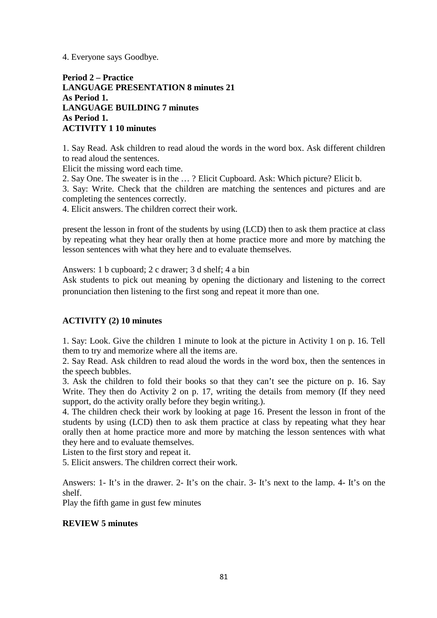4. Everyone says Goodbye.

**Period 2 – Practice LANGUAGE PRESENTATION 8 minutes 21 As Period 1. LANGUAGE BUILDING 7 minutes As Period 1. ACTIVITY 1 10 minutes** 

1. Say Read. Ask children to read aloud the words in the word box. Ask different children to read aloud the sentences.

Elicit the missing word each time.

2. Say One. The sweater is in the … ? Elicit Cupboard. Ask: Which picture? Elicit b.

3. Say: Write. Check that the children are matching the sentences and pictures and are completing the sentences correctly.

4. Elicit answers. The children correct their work.

present the lesson in front of the students by using (LCD) then to ask them practice at class by repeating what they hear orally then at home practice more and more by matching the lesson sentences with what they here and to evaluate themselves.

Answers: 1 b cupboard; 2 c drawer; 3 d shelf; 4 a bin

Ask students to pick out meaning by opening the dictionary and listening to the correct pronunciation then listening to the first song and repeat it more than one.

#### **ACTIVITY (2) 10 minutes**

1. Say: Look. Give the children 1 minute to look at the picture in Activity 1 on p. 16. Tell them to try and memorize where all the items are.

2. Say Read. Ask children to read aloud the words in the word box, then the sentences in the speech bubbles.

3. Ask the children to fold their books so that they can't see the picture on p. 16. Say Write. They then do Activity 2 on p. 17, writing the details from memory (If they need support, do the activity orally before they begin writing.).

4. The children check their work by looking at page 16. Present the lesson in front of the students by using (LCD) then to ask them practice at class by repeating what they hear orally then at home practice more and more by matching the lesson sentences with what they here and to evaluate themselves.

Listen to the first story and repeat it.

5. Elicit answers. The children correct their work.

Answers: 1- It's in the drawer. 2- It's on the chair. 3- It's next to the lamp. 4- It's on the shelf.

Play the fifth game in gust few minutes

#### **REVIEW 5 minutes**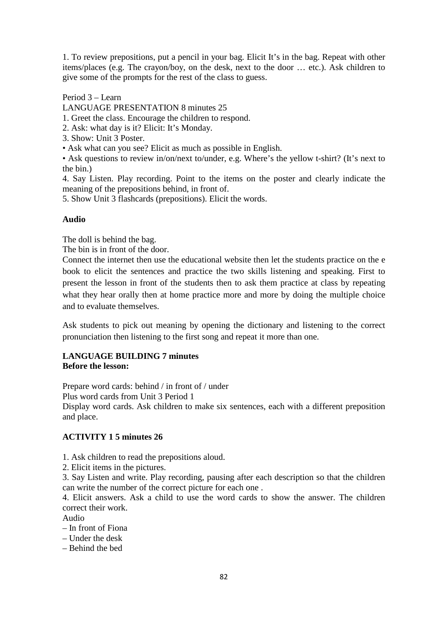1. To review prepositions, put a pencil in your bag. Elicit It's in the bag. Repeat with other items/places (e.g. The crayon/boy, on the desk, next to the door … etc.). Ask children to give some of the prompts for the rest of the class to guess.

#### Period 3 – Learn

LANGUAGE PRESENTATION 8 minutes 25

1. Greet the class. Encourage the children to respond.

2. Ask: what day is it? Elicit: It's Monday.

3. Show: Unit 3 Poster.

• Ask what can you see? Elicit as much as possible in English.

• Ask questions to review in/on/next to/under, e.g. Where's the yellow t-shirt? (It's next to the bin.)

4. Say Listen. Play recording. Point to the items on the poster and clearly indicate the meaning of the prepositions behind, in front of.

5. Show Unit 3 flashcards (prepositions). Elicit the words.

#### **Audio**

The doll is behind the bag.

The bin is in front of the door.

Connect the internet then use the educational website then let the students practice on the e book to elicit the sentences and practice the two skills listening and speaking. First to present the lesson in front of the students then to ask them practice at class by repeating what they hear orally then at home practice more and more by doing the multiple choice and to evaluate themselves.

Ask students to pick out meaning by opening the dictionary and listening to the correct pronunciation then listening to the first song and repeat it more than one.

#### **LANGUAGE BUILDING 7 minutes Before the lesson:**

Prepare word cards: behind / in front of / under Plus word cards from Unit 3 Period 1 Display word cards. Ask children to make six sentences, each with a different preposition and place.

## **ACTIVITY 1 5 minutes 26**

1. Ask children to read the prepositions aloud.

2. Elicit items in the pictures.

3. Say Listen and write. Play recording, pausing after each description so that the children can write the number of the correct picture for each one .

4. Elicit answers. Ask a child to use the word cards to show the answer. The children correct their work.

Audio

– In front of Fiona

- Under the desk
- Behind the bed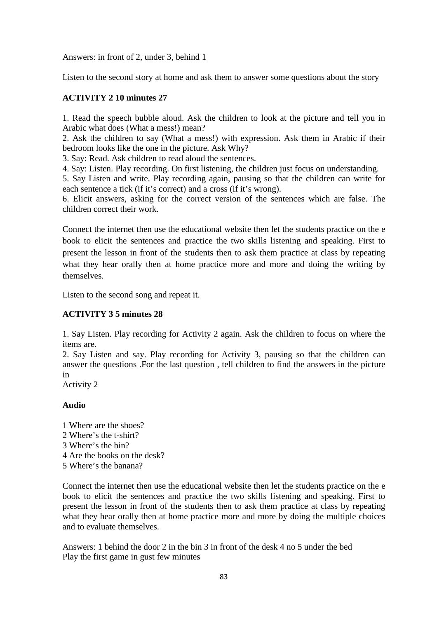Answers: in front of 2, under 3, behind 1

Listen to the second story at home and ask them to answer some questions about the story

## **ACTIVITY 2 10 minutes 27**

1. Read the speech bubble aloud. Ask the children to look at the picture and tell you in Arabic what does (What a mess!) mean?

2. Ask the children to say (What a mess!) with expression. Ask them in Arabic if their bedroom looks like the one in the picture. Ask Why?

3. Say: Read. Ask children to read aloud the sentences.

4. Say: Listen. Play recording. On first listening, the children just focus on understanding.

5. Say Listen and write. Play recording again, pausing so that the children can write for each sentence a tick (if it's correct) and a cross (if it's wrong).

6. Elicit answers, asking for the correct version of the sentences which are false. The children correct their work.

Connect the internet then use the educational website then let the students practice on the e book to elicit the sentences and practice the two skills listening and speaking. First to present the lesson in front of the students then to ask them practice at class by repeating what they hear orally then at home practice more and more and doing the writing by themselves.

Listen to the second song and repeat it.

## **ACTIVITY 3 5 minutes 28**

1. Say Listen. Play recording for Activity 2 again. Ask the children to focus on where the items are.

2. Say Listen and say. Play recording for Activity 3, pausing so that the children can answer the questions .For the last question , tell children to find the answers in the picture in

Activity 2

## **Audio**

1 Where are the shoes? 2 Where's the t-shirt? 3 Where's the bin? 4 Are the books on the desk? 5 Where's the banana?

Connect the internet then use the educational website then let the students practice on the e book to elicit the sentences and practice the two skills listening and speaking. First to present the lesson in front of the students then to ask them practice at class by repeating what they hear orally then at home practice more and more by doing the multiple choices and to evaluate themselves.

Answers: 1 behind the door 2 in the bin 3 in front of the desk 4 no 5 under the bed Play the first game in gust few minutes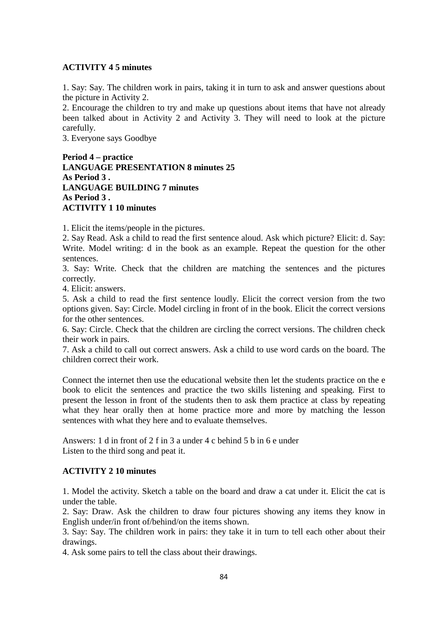#### **ACTIVITY 4 5 minutes**

1. Say: Say. The children work in pairs, taking it in turn to ask and answer questions about the picture in Activity 2.

2. Encourage the children to try and make up questions about items that have not already been talked about in Activity 2 and Activity 3. They will need to look at the picture carefully.

3. Everyone says Goodbye

**Period 4 – practice LANGUAGE PRESENTATION 8 minutes 25 As Period 3 . LANGUAGE BUILDING 7 minutes As Period 3 . ACTIVITY 1 10 minutes** 

1. Elicit the items/people in the pictures.

2. Say Read. Ask a child to read the first sentence aloud. Ask which picture? Elicit: d. Say: Write. Model writing: d in the book as an example. Repeat the question for the other sentences.

3. Say: Write. Check that the children are matching the sentences and the pictures correctly.

4. Elicit: answers.

5. Ask a child to read the first sentence loudly. Elicit the correct version from the two options given. Say: Circle. Model circling in front of in the book. Elicit the correct versions for the other sentences.

6. Say: Circle. Check that the children are circling the correct versions. The children check their work in pairs.

7. Ask a child to call out correct answers. Ask a child to use word cards on the board. The children correct their work.

Connect the internet then use the educational website then let the students practice on the e book to elicit the sentences and practice the two skills listening and speaking. First to present the lesson in front of the students then to ask them practice at class by repeating what they hear orally then at home practice more and more by matching the lesson sentences with what they here and to evaluate themselves.

Answers: 1 d in front of 2 f in 3 a under 4 c behind 5 b in 6 e under Listen to the third song and peat it.

#### **ACTIVITY 2 10 minutes**

1. Model the activity. Sketch a table on the board and draw a cat under it. Elicit the cat is under the table.

2. Say: Draw. Ask the children to draw four pictures showing any items they know in English under/in front of/behind/on the items shown.

3. Say: Say. The children work in pairs: they take it in turn to tell each other about their drawings.

4. Ask some pairs to tell the class about their drawings.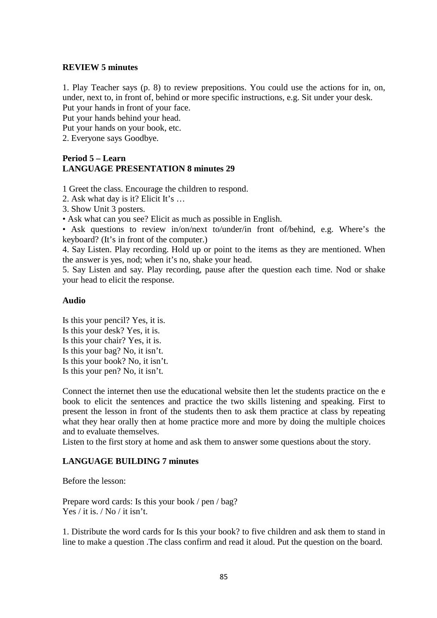#### **REVIEW 5 minutes**

1. Play Teacher says (p. 8) to review prepositions. You could use the actions for in, on, under, next to, in front of, behind or more specific instructions, e.g. Sit under your desk. Put your hands in front of your face.

Put your hands behind your head.

Put your hands on your book, etc.

2. Everyone says Goodbye.

#### **Period 5 – Learn LANGUAGE PRESENTATION 8 minutes 29**

1 Greet the class. Encourage the children to respond.

2. Ask what day is it? Elicit It's …

3. Show Unit 3 posters.

• Ask what can you see? Elicit as much as possible in English.

• Ask questions to review in/on/next to/under/in front of/behind, e.g. Where's the keyboard? (It's in front of the computer.)

4. Say Listen. Play recording. Hold up or point to the items as they are mentioned. When the answer is yes, nod; when it's no, shake your head.

5. Say Listen and say. Play recording, pause after the question each time. Nod or shake your head to elicit the response.

#### **Audio**

Is this your pencil? Yes, it is. Is this your desk? Yes, it is. Is this your chair? Yes, it is. Is this your bag? No, it isn't. Is this your book? No, it isn't. Is this your pen? No, it isn't.

Connect the internet then use the educational website then let the students practice on the e book to elicit the sentences and practice the two skills listening and speaking. First to present the lesson in front of the students then to ask them practice at class by repeating what they hear orally then at home practice more and more by doing the multiple choices and to evaluate themselves.

Listen to the first story at home and ask them to answer some questions about the story.

## **LANGUAGE BUILDING 7 minutes**

Before the lesson:

Prepare word cards: Is this your book / pen / bag? Yes / it is. / No / it isn't.

1. Distribute the word cards for Is this your book? to five children and ask them to stand in line to make a question .The class confirm and read it aloud. Put the question on the board.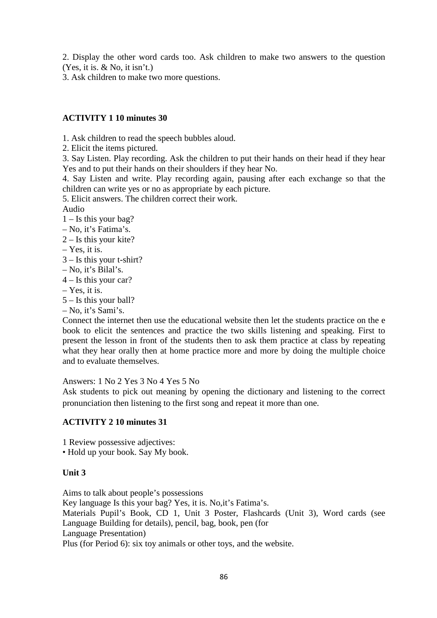2. Display the other word cards too. Ask children to make two answers to the question (Yes, it is. & No, it isn't.)

3. Ask children to make two more questions.

## **ACTIVITY 1 10 minutes 30**

1. Ask children to read the speech bubbles aloud.

2. Elicit the items pictured.

3. Say Listen. Play recording. Ask the children to put their hands on their head if they hear Yes and to put their hands on their shoulders if they hear No.

4. Say Listen and write. Play recording again, pausing after each exchange so that the children can write yes or no as appropriate by each picture.

5. Elicit answers. The children correct their work.

Audio

1 – Is this your bag?

– No, it's Fatima's. 2 – Is this your kite?

– Yes, it is.

3 – Is this your t-shirt?

– No, it's Bilal's.

4 – Is this your car?

– Yes, it is.

5 – Is this your ball?

– No, it's Sami's.

Connect the internet then use the educational website then let the students practice on the e book to elicit the sentences and practice the two skills listening and speaking. First to present the lesson in front of the students then to ask them practice at class by repeating what they hear orally then at home practice more and more by doing the multiple choice and to evaluate themselves.

Answers: 1 No 2 Yes 3 No 4 Yes 5 No

Ask students to pick out meaning by opening the dictionary and listening to the correct pronunciation then listening to the first song and repeat it more than one.

## **ACTIVITY 2 10 minutes 31**

1 Review possessive adjectives:

• Hold up your book. Say My book.

## **Unit 3**

Aims to talk about people's possessions

Key language Is this your bag? Yes, it is. No,it's Fatima's.

Materials Pupil's Book, CD 1, Unit 3 Poster, Flashcards (Unit 3), Word cards (see Language Building for details), pencil, bag, book, pen (for

Language Presentation)

Plus (for Period 6): six toy animals or other toys, and the website.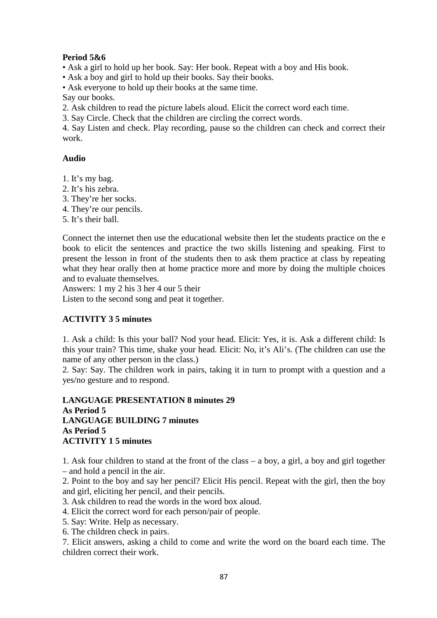#### **Period 5&6**

• Ask a girl to hold up her book. Say: Her book. Repeat with a boy and His book.

• Ask a boy and girl to hold up their books. Say their books.

• Ask everyone to hold up their books at the same time.

Say our books.

2. Ask children to read the picture labels aloud. Elicit the correct word each time.

3. Say Circle. Check that the children are circling the correct words.

4. Say Listen and check. Play recording, pause so the children can check and correct their work.

#### **Audio**

- 1. It's my bag.
- 2. It's his zebra.
- 3. They're her socks.
- 4. They're our pencils.
- 5. It's their ball.

Connect the internet then use the educational website then let the students practice on the e book to elicit the sentences and practice the two skills listening and speaking. First to present the lesson in front of the students then to ask them practice at class by repeating what they hear orally then at home practice more and more by doing the multiple choices and to evaluate themselves.

Answers: 1 my 2 his 3 her 4 our 5 their

Listen to the second song and peat it together.

## **ACTIVITY 3 5 minutes**

1. Ask a child: Is this your ball? Nod your head. Elicit: Yes, it is. Ask a different child: Is this your train? This time, shake your head. Elicit: No, it's Ali's. (The children can use the name of any other person in the class.)

2. Say: Say. The children work in pairs, taking it in turn to prompt with a question and a yes/no gesture and to respond.

#### **LANGUAGE PRESENTATION 8 minutes 29 As Period 5 LANGUAGE BUILDING 7 minutes As Period 5 ACTIVITY 1 5 minutes**

1. Ask four children to stand at the front of the class – a boy, a girl, a boy and girl together – and hold a pencil in the air.

2. Point to the boy and say her pencil? Elicit His pencil. Repeat with the girl, then the boy and girl, eliciting her pencil, and their pencils.

3. Ask children to read the words in the word box aloud.

4. Elicit the correct word for each person/pair of people.

5. Say: Write. Help as necessary.

6. The children check in pairs.

7. Elicit answers, asking a child to come and write the word on the board each time. The children correct their work.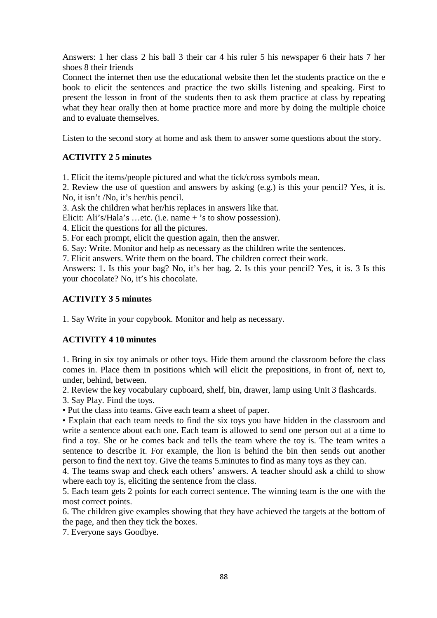Answers: 1 her class 2 his ball 3 their car 4 his ruler 5 his newspaper 6 their hats 7 her shoes 8 their friends

Connect the internet then use the educational website then let the students practice on the e book to elicit the sentences and practice the two skills listening and speaking. First to present the lesson in front of the students then to ask them practice at class by repeating what they hear orally then at home practice more and more by doing the multiple choice and to evaluate themselves.

Listen to the second story at home and ask them to answer some questions about the story.

## **ACTIVITY 2 5 minutes**

1. Elicit the items/people pictured and what the tick/cross symbols mean.

2. Review the use of question and answers by asking (e.g.) is this your pencil? Yes, it is. No, it isn't /No, it's her/his pencil.

3. Ask the children what her/his replaces in answers like that.

Elicit: Ali's/Hala's …etc. (i.e. name + 's to show possession).

4. Elicit the questions for all the pictures.

5. For each prompt, elicit the question again, then the answer.

6. Say: Write. Monitor and help as necessary as the children write the sentences.

7. Elicit answers. Write them on the board. The children correct their work.

Answers: 1. Is this your bag? No, it's her bag. 2. Is this your pencil? Yes, it is. 3 Is this your chocolate? No, it's his chocolate.

## **ACTIVITY 3 5 minutes**

1. Say Write in your copybook. Monitor and help as necessary.

## **ACTIVITY 4 10 minutes**

1. Bring in six toy animals or other toys. Hide them around the classroom before the class comes in. Place them in positions which will elicit the prepositions, in front of, next to, under, behind, between.

2. Review the key vocabulary cupboard, shelf, bin, drawer, lamp using Unit 3 flashcards.

3. Say Play. Find the toys.

• Put the class into teams. Give each team a sheet of paper.

• Explain that each team needs to find the six toys you have hidden in the classroom and write a sentence about each one. Each team is allowed to send one person out at a time to find a toy. She or he comes back and tells the team where the toy is. The team writes a sentence to describe it. For example, the lion is behind the bin then sends out another person to find the next toy. Give the teams 5.minutes to find as many toys as they can.

4. The teams swap and check each others' answers. A teacher should ask a child to show where each toy is, eliciting the sentence from the class.

5. Each team gets 2 points for each correct sentence. The winning team is the one with the most correct points.

6. The children give examples showing that they have achieved the targets at the bottom of the page, and then they tick the boxes.

7. Everyone says Goodbye.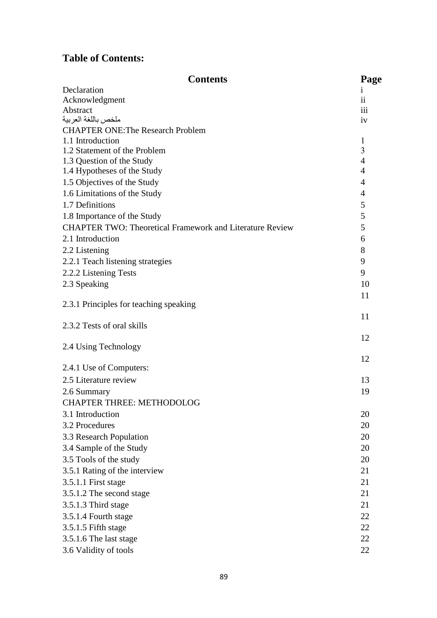# **Table of Contents:**

| <b>Contents</b>                                                 | Page                |
|-----------------------------------------------------------------|---------------------|
| Declaration                                                     | 1                   |
| Acknowledgment                                                  | 11                  |
| Abstract                                                        | 111                 |
| ملخص باللغة العر بية                                            | iv                  |
| <b>CHAPTER ONE: The Research Problem</b>                        |                     |
| 1.1 Introduction                                                | 1                   |
| 1.2 Statement of the Problem<br>1.3 Question of the Study       | 3<br>$\overline{4}$ |
| 1.4 Hypotheses of the Study                                     | 4                   |
| 1.5 Objectives of the Study                                     | 4                   |
| 1.6 Limitations of the Study                                    | $\overline{4}$      |
| 1.7 Definitions                                                 | 5                   |
| 1.8 Importance of the Study                                     | 5                   |
| <b>CHAPTER TWO: Theoretical Framework and Literature Review</b> | 5                   |
| 2.1 Introduction                                                | 6                   |
|                                                                 | 8                   |
| 2.2 Listening                                                   | 9                   |
| 2.2.1 Teach listening strategies                                | 9                   |
| 2.2.2 Listening Tests                                           |                     |
| 2.3 Speaking                                                    | 10                  |
| 2.3.1 Principles for teaching speaking                          | 11                  |
|                                                                 | 11                  |
| 2.3.2 Tests of oral skills                                      |                     |
|                                                                 | 12                  |
| 2.4 Using Technology                                            |                     |
|                                                                 | 12                  |
| 2.4.1 Use of Computers:                                         |                     |
| 2.5 Literature review                                           | 13                  |
| 2.6 Summary                                                     | 19                  |
| <b>CHAPTER THREE: METHODOLOG</b>                                |                     |
| 3.1 Introduction                                                | 20                  |
| 3.2 Procedures                                                  | 20                  |
| 3.3 Research Population                                         | 20                  |
| 3.4 Sample of the Study                                         | 20                  |
| 3.5 Tools of the study                                          | 20                  |
| 3.5.1 Rating of the interview                                   | 21                  |
| 3.5.1.1 First stage                                             | 21                  |
| 3.5.1.2 The second stage                                        | 21                  |
| 3.5.1.3 Third stage                                             | 21                  |
| 3.5.1.4 Fourth stage                                            | 22                  |
| 3.5.1.5 Fifth stage                                             | 22                  |
| 3.5.1.6 The last stage                                          | 22                  |
| 3.6 Validity of tools                                           | 22                  |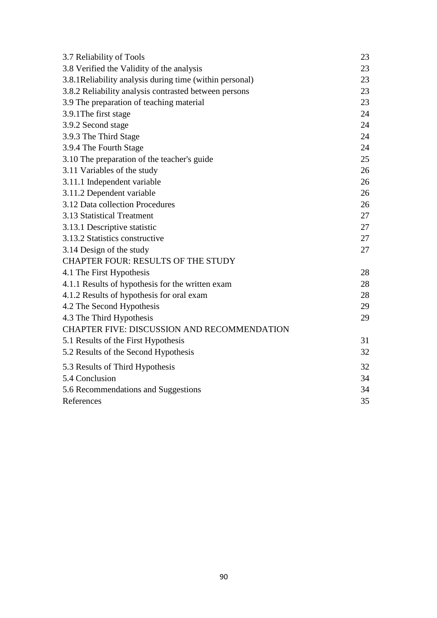| 3.7 Reliability of Tools                                 | 23 |
|----------------------------------------------------------|----|
| 3.8 Verified the Validity of the analysis                | 23 |
| 3.8.1 Reliability analysis during time (within personal) | 23 |
| 3.8.2 Reliability analysis contrasted between persons    | 23 |
| 3.9 The preparation of teaching material                 | 23 |
| 3.9.1 The first stage                                    | 24 |
| 3.9.2 Second stage                                       | 24 |
| 3.9.3 The Third Stage                                    | 24 |
| 3.9.4 The Fourth Stage                                   | 24 |
| 3.10 The preparation of the teacher's guide              | 25 |
| 3.11 Variables of the study                              | 26 |
| 3.11.1 Independent variable                              | 26 |
| 3.11.2 Dependent variable                                | 26 |
| 3.12 Data collection Procedures                          | 26 |
| 3.13 Statistical Treatment                               | 27 |
| 3.13.1 Descriptive statistic                             | 27 |
| 3.13.2 Statistics constructive                           | 27 |
| 3.14 Design of the study                                 | 27 |
| <b>CHAPTER FOUR: RESULTS OF THE STUDY</b>                |    |
| 4.1 The First Hypothesis                                 | 28 |
| 4.1.1 Results of hypothesis for the written exam         | 28 |
| 4.1.2 Results of hypothesis for oral exam                | 28 |
| 4.2 The Second Hypothesis                                | 29 |
| 4.3 The Third Hypothesis                                 | 29 |
| CHAPTER FIVE: DISCUSSION AND RECOMMENDATION              |    |
| 5.1 Results of the First Hypothesis                      | 31 |
| 5.2 Results of the Second Hypothesis                     | 32 |
| 5.3 Results of Third Hypothesis                          | 32 |
| 5.4 Conclusion                                           | 34 |
| 5.6 Recommendations and Suggestions                      | 34 |
| References                                               | 35 |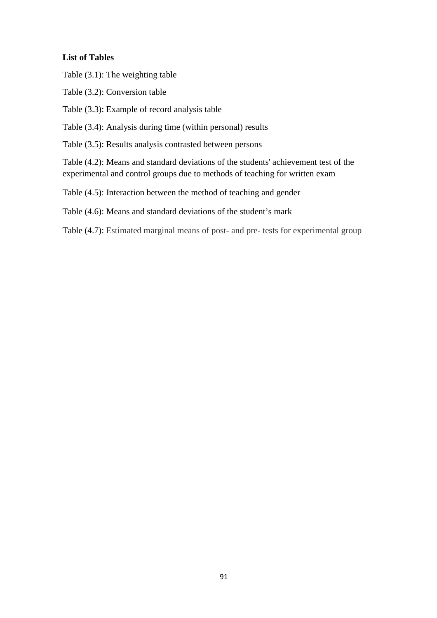## **List of Tables**

Table (3.1): The weighting table

Table (3.2): Conversion table

Table (3.3): Example of record analysis table

Table (3.4): Analysis during time (within personal) results

Table (3.5): Results analysis contrasted between persons

Table (4.2): Means and standard deviations of the students' achievement test of the experimental and control groups due to methods of teaching for written exam

Table (4.5): Interaction between the method of teaching and gender

Table (4.6): Means and standard deviations of the student's mark

Table (4.7): Estimated marginal means of post- and pre- tests for experimental group